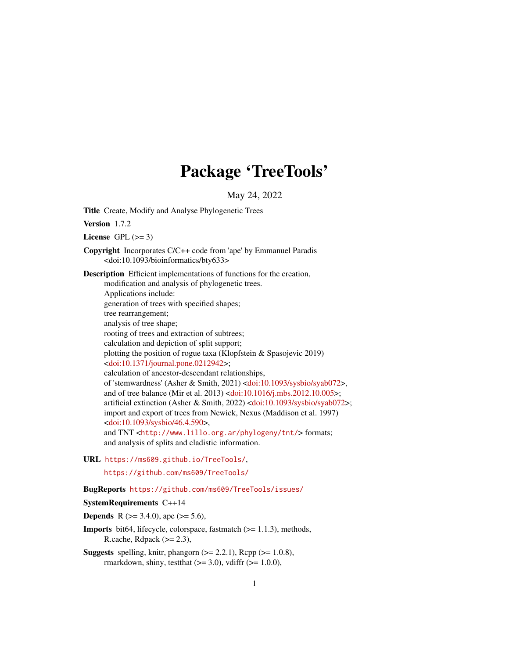# Package 'TreeTools'

May 24, 2022

<span id="page-0-0"></span>Title Create, Modify and Analyse Phylogenetic Trees

Version 1.7.2

License GPL  $(>= 3)$ 

Copyright Incorporates C/C++ code from 'ape' by Emmanuel Paradis <doi:10.1093/bioinformatics/bty633>

Description Efficient implementations of functions for the creation, modification and analysis of phylogenetic trees. Applications include: generation of trees with specified shapes;

tree rearrangement; analysis of tree shape; rooting of trees and extraction of subtrees; calculation and depiction of split support; plotting the position of rogue taxa (Klopfstein & Spasojevic 2019) [<doi:10.1371/journal.pone.0212942>](https://doi.org/10.1371/journal.pone.0212942); calculation of ancestor-descendant relationships, of 'stemwardness' (Asher & Smith, 2021) [<doi:10.1093/sysbio/syab072>](https://doi.org/10.1093/sysbio/syab072), and of tree balance (Mir et al. 2013) [<doi:10.1016/j.mbs.2012.10.005>](https://doi.org/10.1016/j.mbs.2012.10.005); artificial extinction (Asher & Smith, 2022) [<doi:10.1093/sysbio/syab072>](https://doi.org/10.1093/sysbio/syab072); import and export of trees from Newick, Nexus (Maddison et al. 1997) [<doi:10.1093/sysbio/46.4.590>](https://doi.org/10.1093/sysbio/46.4.590), and TNT <<http://www.lillo.org.ar/phylogeny/tnt/>>formats; and analysis of splits and cladistic information.

URL <https://ms609.github.io/TreeTools/>,

<https://github.com/ms609/TreeTools/>

## BugReports <https://github.com/ms609/TreeTools/issues/>

## SystemRequirements C++14

**Depends** R ( $>= 3.4.0$ ), ape ( $>= 5.6$ ),

Imports bit64, lifecycle, colorspace, fastmatch (>= 1.1.3), methods, R.cache, Rdpack  $(>= 2.3)$ ,

**Suggests** spelling, knitr, phangorn  $(>= 2.2.1)$ , Rcpp  $(>= 1.0.8)$ , rmarkdown, shiny, testthat  $(>= 3.0)$ , vdiffr  $(>= 1.0.0)$ ,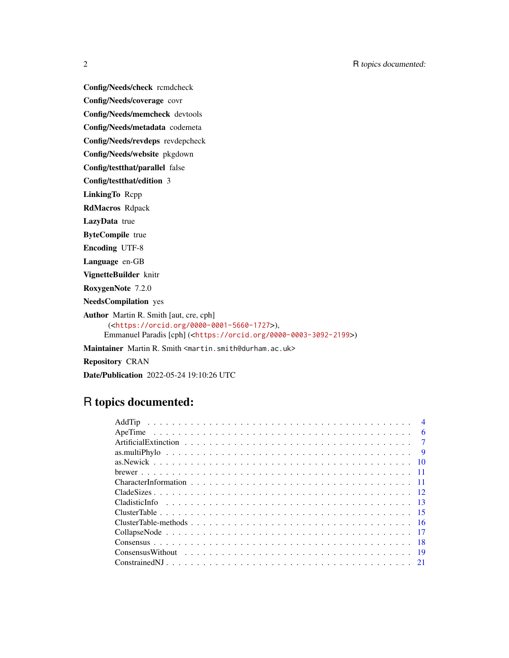Config/Needs/check rcmdcheck Config/Needs/coverage covr Config/Needs/memcheck devtools Config/Needs/metadata codemeta Config/Needs/revdeps revdepcheck Config/Needs/website pkgdown Config/testthat/parallel false Config/testthat/edition 3 LinkingTo Rcpp RdMacros Rdpack LazyData true ByteCompile true Encoding UTF-8 Language en-GB VignetteBuilder knitr RoxygenNote 7.2.0 NeedsCompilation yes Author Martin R. Smith [aut, cre, cph] (<<https://orcid.org/0000-0001-5660-1727>>), Emmanuel Paradis [cph] (<<https://orcid.org/0000-0003-3092-2199>>) Maintainer Martin R. Smith <martin.smith@durham.ac.uk> Repository CRAN Date/Publication 2022-05-24 19:10:26 UTC

## R topics documented:

| $\overline{4}$ |
|----------------|
| - 6            |
| $\overline{7}$ |
| $\overline{9}$ |
|                |
|                |
|                |
|                |
|                |
|                |
|                |
|                |
|                |
|                |
|                |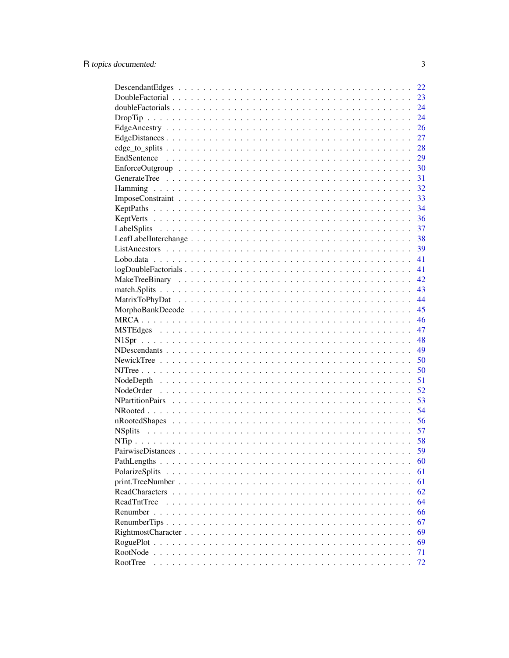|                                                                                                                   | 22 |
|-------------------------------------------------------------------------------------------------------------------|----|
|                                                                                                                   | 23 |
|                                                                                                                   | 24 |
|                                                                                                                   | 24 |
|                                                                                                                   | 26 |
|                                                                                                                   | 27 |
|                                                                                                                   | 28 |
|                                                                                                                   | 29 |
| $EnforceOutgroup \dots \dots \dots \dots \dots \dots \dots \dots \dots \dots \dots \dots \dots \dots \dots \dots$ | 30 |
|                                                                                                                   | 31 |
|                                                                                                                   | 32 |
|                                                                                                                   | 33 |
|                                                                                                                   | 34 |
|                                                                                                                   | 36 |
|                                                                                                                   | 37 |
|                                                                                                                   | 38 |
|                                                                                                                   | 39 |
|                                                                                                                   | 41 |
|                                                                                                                   | 41 |
|                                                                                                                   | 42 |
|                                                                                                                   | 43 |
|                                                                                                                   | 44 |
|                                                                                                                   | 45 |
|                                                                                                                   | 46 |
|                                                                                                                   | 47 |
|                                                                                                                   | 48 |
|                                                                                                                   | 49 |
|                                                                                                                   | 50 |
|                                                                                                                   |    |
|                                                                                                                   | 50 |
|                                                                                                                   | 51 |
|                                                                                                                   | 52 |
|                                                                                                                   | 53 |
|                                                                                                                   | 54 |
|                                                                                                                   | 56 |
|                                                                                                                   | 57 |
|                                                                                                                   | 58 |
|                                                                                                                   | 59 |
|                                                                                                                   | 60 |
| PolarizeSplits<br>$\cdot$ $\cdot$ $\cdot$                                                                         | 61 |
|                                                                                                                   | 61 |
| ReadCharacters.<br>$\ddot{\phantom{a}}$                                                                           | 62 |
| <b>ReadTntTree</b>                                                                                                | 64 |
| Renumber                                                                                                          | 66 |
|                                                                                                                   | 67 |
|                                                                                                                   | 69 |
|                                                                                                                   | 69 |
| RootNode.                                                                                                         | 71 |
| RootTree                                                                                                          | 72 |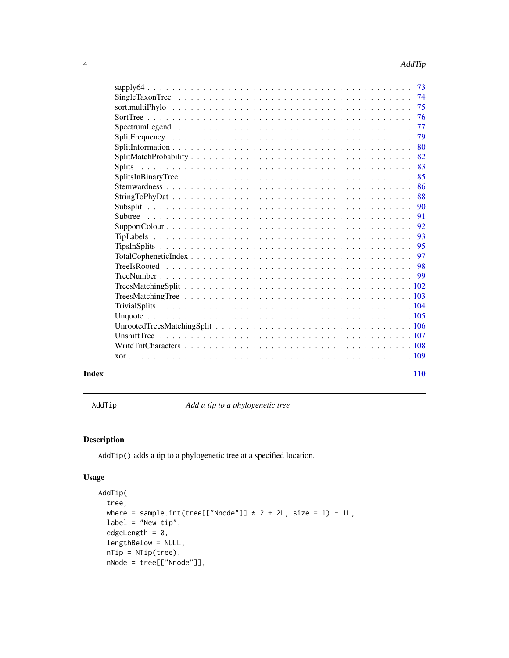<span id="page-3-0"></span>

|                | 73 |
|----------------|----|
|                | 74 |
|                | 75 |
|                | 76 |
|                | 77 |
|                | 79 |
|                | 80 |
|                | 82 |
| <b>Splits</b>  | 83 |
|                | 85 |
|                | 86 |
|                | 88 |
|                | 90 |
| <b>Subtree</b> | 91 |
|                | 92 |
|                | 93 |
|                | 95 |
|                | 97 |
|                | 98 |
|                |    |
|                |    |
|                |    |
|                |    |
|                |    |
|                |    |
|                |    |
|                |    |
|                |    |
|                |    |

#### **Index** 2008 **[110](#page-109-0)**

<span id="page-3-1"></span>AddTip *Add a tip to a phylogenetic tree*

## Description

AddTip() adds a tip to a phylogenetic tree at a specified location.

```
AddTip(
  tree,
 where = sample.int(tree[["Nnode"]] * 2 + 2L, size = 1) - 1L,
 label = "New tip",edgeLength = 0,lengthBelow = NULL,
 nTip = NTip(tree),
 nNode = tree[["Nnode"]],
```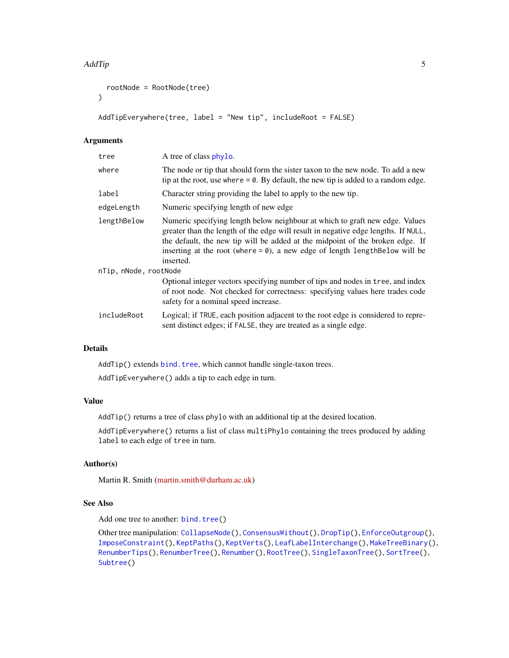```
rootNode = RootNode(tree)
\lambda
```

```
AddTipEverywhere(tree, label = "New tip", includeRoot = FALSE)
```
## Arguments

| tree                  | A tree of class phylo.                                                                                                                                                                                                                                                                                                                              |
|-----------------------|-----------------------------------------------------------------------------------------------------------------------------------------------------------------------------------------------------------------------------------------------------------------------------------------------------------------------------------------------------|
| where                 | The node or tip that should form the sister taxon to the new node. To add a new<br>tip at the root, use where $= 0$ . By default, the new tip is added to a random edge.                                                                                                                                                                            |
| label                 | Character string providing the label to apply to the new tip.                                                                                                                                                                                                                                                                                       |
| edgeLength            | Numeric specifying length of new edge                                                                                                                                                                                                                                                                                                               |
| lengthBelow           | Numeric specifying length below neighbour at which to graft new edge. Values<br>greater than the length of the edge will result in negative edge lengths. If NULL,<br>the default, the new tip will be added at the midpoint of the broken edge. If<br>inserting at the root (where $= 0$ ), a new edge of length length Below will be<br>inserted. |
| nTip, nNode, rootNode |                                                                                                                                                                                                                                                                                                                                                     |
|                       | Optional integer vectors specifying number of tips and nodes in tree, and index<br>of root node. Not checked for correctness: specifying values here trades code<br>safety for a nominal speed increase.                                                                                                                                            |
| includeRoot           | Logical; if TRUE, each position adjacent to the root edge is considered to repre-<br>sent distinct edges; if FALSE, they are treated as a single edge.                                                                                                                                                                                              |
|                       |                                                                                                                                                                                                                                                                                                                                                     |

## Details

AddTip() extends [bind.tree](#page-0-0), which cannot handle single-taxon trees.

AddTipEverywhere() adds a tip to each edge in turn.

## Value

AddTip() returns a tree of class phylo with an additional tip at the desired location.

AddTipEverywhere() returns a list of class multiPhylo containing the trees produced by adding label to each edge of tree in turn.

## Author(s)

Martin R. Smith [\(martin.smith@durham.ac.uk\)](mailto:martin.smith@durham.ac.uk)

## See Also

Add one tree to another: [bind.tree\(](#page-0-0))

Other tree manipulation: [CollapseNode\(](#page-16-1)), [ConsensusWithout\(](#page-18-1)), [DropTip\(](#page-23-1)), [EnforceOutgroup\(](#page-29-1)), [ImposeConstraint\(](#page-32-1)), [KeptPaths\(](#page-33-1)), [KeptVerts\(](#page-35-1)), [LeafLabelInterchange\(](#page-37-1)), [MakeTreeBinary\(](#page-41-1)), [RenumberTips\(](#page-66-1)), [RenumberTree\(](#page-0-0)), [Renumber\(](#page-65-1)), [RootTree\(](#page-71-1)), [SingleTaxonTree\(](#page-73-1)), [SortTree\(](#page-75-1)), [Subtree\(](#page-90-1))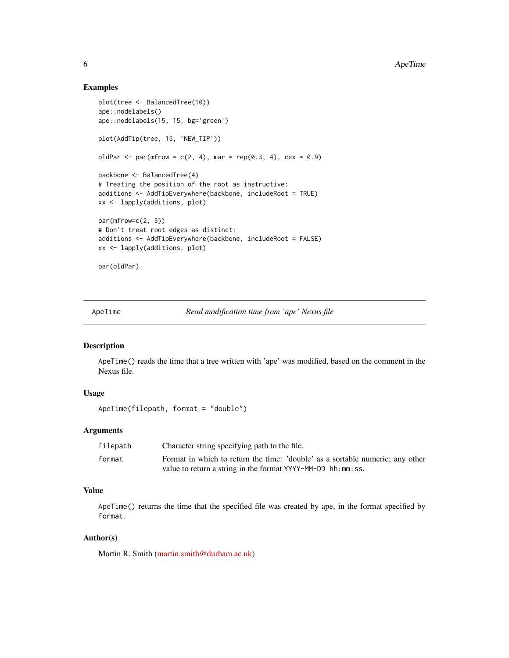## Examples

```
plot(tree <- BalancedTree(10))
ape::nodelabels()
ape::nodelabels(15, 15, bg='green')
plot(AddTip(tree, 15, 'NEW_TIP'))
oldPar <- par(mfrow = c(2, 4), mar = rep(0.3, 4), cex = 0.9)
backbone <- BalancedTree(4)
# Treating the position of the root as instructive:
additions <- AddTipEverywhere(backbone, includeRoot = TRUE)
xx <- lapply(additions, plot)
par(mfrow=c(2, 3))
# Don't treat root edges as distinct:
additions <- AddTipEverywhere(backbone, includeRoot = FALSE)
xx <- lapply(additions, plot)
par(oldPar)
```
ApeTime *Read modification time from 'ape' Nexus file*

#### Description

ApeTime() reads the time that a tree written with 'ape' was modified, based on the comment in the Nexus file.

## Usage

```
ApeTime(filepath, format = "double")
```
## Arguments

| filepath | Character string specifying path to the file.                                 |
|----------|-------------------------------------------------------------------------------|
| format   | Format in which to return the time: 'double' as a sortable numeric; any other |
|          | value to return a string in the format YYYY-MM-DD hh:mm:ss.                   |

#### Value

ApeTime() returns the time that the specified file was created by ape, in the format specified by format.

#### Author(s)

Martin R. Smith [\(martin.smith@durham.ac.uk\)](mailto:martin.smith@durham.ac.uk)

<span id="page-5-0"></span>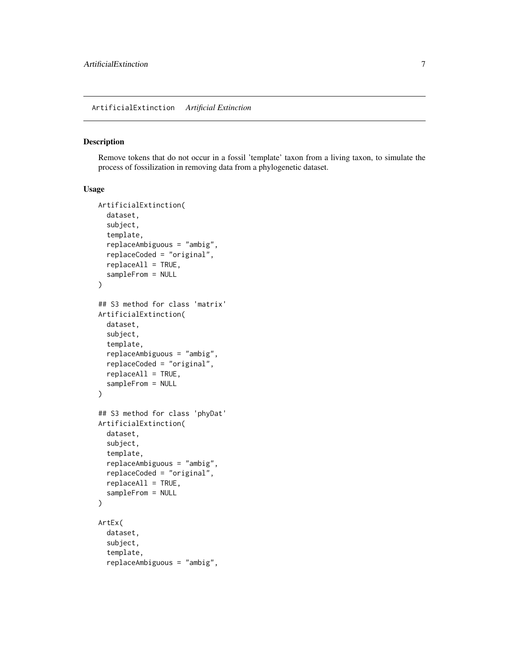## <span id="page-6-0"></span>Description

Remove tokens that do not occur in a fossil 'template' taxon from a living taxon, to simulate the process of fossilization in removing data from a phylogenetic dataset.

```
ArtificialExtinction(
  dataset,
  subject,
  template,
  replaceAmbiguous = "ambig",
  replaceCoded = "original",
  replaceAll = TRUE,
  sampleFrom = NULL
\lambda## S3 method for class 'matrix'
ArtificialExtinction(
  dataset,
  subject,
  template,
  replaceAmbiguous = "ambig",
  replaceCoded = "original",
  replaceAll = TRUE,
  sampleFrom = NULL
\mathcal{E}## S3 method for class 'phyDat'
ArtificialExtinction(
  dataset,
  subject,
  template,
  replaceAmbiguous = "ambig",
  replaceCoded = "original",
  replaceAll = TRUE,
  sampleFrom = NULL
\mathcal{L}ArtEx(
  dataset,
  subject,
  template,
  replaceAmbiguous = "ambig",
```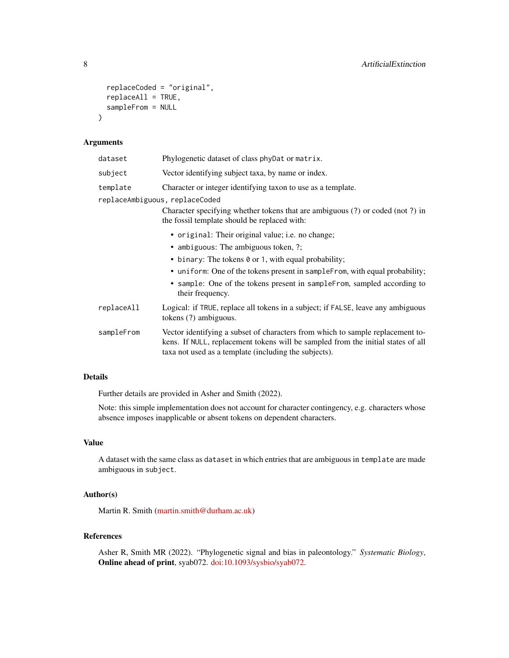```
replaceCoded = "original",
  replaceAll = TRUE,
  sampleFrom = NULL
\mathcal{L}
```
#### Arguments

| dataset    | Phylogenetic dataset of class phyDat or matrix.                                                                                                                                                                             |
|------------|-----------------------------------------------------------------------------------------------------------------------------------------------------------------------------------------------------------------------------|
| subject    | Vector identifying subject taxa, by name or index.                                                                                                                                                                          |
| template   | Character or integer identifying taxon to use as a template.                                                                                                                                                                |
|            | replaceAmbiguous, replaceCoded<br>Character specifying whether tokens that are ambiguous (?) or coded (not ?) in                                                                                                            |
|            | the fossil template should be replaced with:                                                                                                                                                                                |
|            | • original: Their original value; i.e. no change;                                                                                                                                                                           |
|            | • ambiguous: The ambiguous token, ?;                                                                                                                                                                                        |
|            | • binary: The tokens 0 or 1, with equal probability;                                                                                                                                                                        |
|            | • uniform: One of the tokens present in sampleFrom, with equal probability;                                                                                                                                                 |
|            | • sample: One of the tokens present in sampleFrom, sampled according to<br>their frequency.                                                                                                                                 |
| replaceAll | Logical: if TRUE, replace all tokens in a subject; if FALSE, leave any ambiguous<br>tokens (?) ambiguous.                                                                                                                   |
| sampleFrom | Vector identifying a subset of characters from which to sample replacement to-<br>kens. If NULL, replacement tokens will be sampled from the initial states of all<br>taxa not used as a template (including the subjects). |

## Details

Further details are provided in Asher and Smith (2022).

Note: this simple implementation does not account for character contingency, e.g. characters whose absence imposes inapplicable or absent tokens on dependent characters.

## Value

A dataset with the same class as dataset in which entries that are ambiguous in template are made ambiguous in subject.

## Author(s)

Martin R. Smith [\(martin.smith@durham.ac.uk\)](mailto:martin.smith@durham.ac.uk)

## References

Asher R, Smith MR (2022). "Phylogenetic signal and bias in paleontology." *Systematic Biology*, Online ahead of print, syab072. [doi:10.1093/sysbio/syab072.](https://doi.org/10.1093/sysbio/syab072)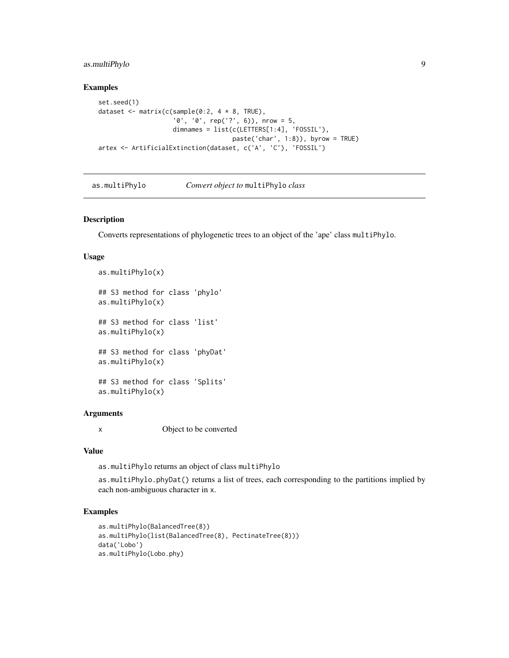## <span id="page-8-0"></span>as.multiPhylo 9

#### Examples

```
set.seed(1)
dataset <- matrix(c(sample(0:2, 4 * 8, TRUE),
                    '0', '0', rep('?', 6)), nrow = 5,
                    dimnames = list(c(LETTERS[1:4], 'FOSSIL'),
                                    paste('char', 1:8)), byrow = TRUE)
artex <- ArtificialExtinction(dataset, c('A', 'C'), 'FOSSIL')
```
as.multiPhylo *Convert object to* multiPhylo *class*

## Description

Converts representations of phylogenetic trees to an object of the 'ape' class multiPhylo.

#### Usage

```
as.multiPhylo(x)
## S3 method for class 'phylo'
as.multiPhylo(x)
## S3 method for class 'list'
as.multiPhylo(x)
## S3 method for class 'phyDat'
as.multiPhylo(x)
## S3 method for class 'Splits'
as.multiPhylo(x)
```
#### **Arguments**

x Object to be converted

#### Value

as.multiPhylo returns an object of class multiPhylo

as.multiPhylo.phyDat() returns a list of trees, each corresponding to the partitions implied by each non-ambiguous character in x.

## Examples

```
as.multiPhylo(BalancedTree(8))
as.multiPhylo(list(BalancedTree(8), PectinateTree(8)))
data('Lobo')
as.multiPhylo(Lobo.phy)
```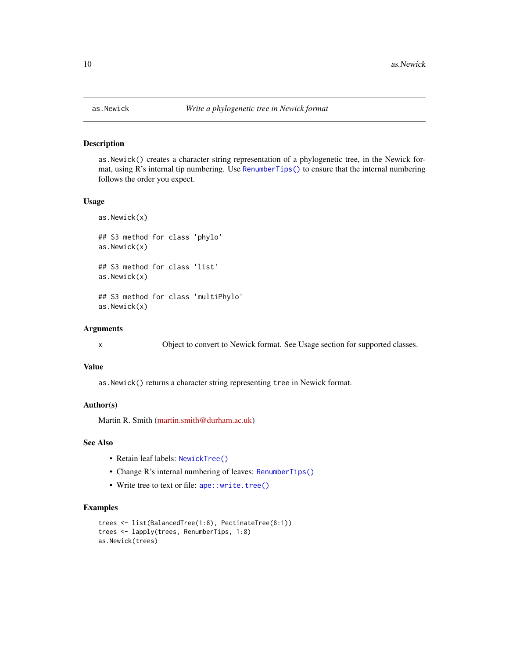#### Description

as.Newick() creates a character string representation of a phylogenetic tree, in the Newick format, using R's internal tip numbering. Use [RenumberTips\(\)](#page-66-1) to ensure that the internal numbering follows the order you expect.

#### Usage

```
as.Newick(x)
## S3 method for class 'phylo'
as.Newick(x)
## S3 method for class 'list'
as.Newick(x)
## S3 method for class 'multiPhylo'
as.Newick(x)
```
#### Arguments

x Object to convert to Newick format. See Usage section for supported classes.

#### Value

as.Newick() returns a character string representing tree in Newick format.

#### Author(s)

Martin R. Smith [\(martin.smith@durham.ac.uk\)](mailto:martin.smith@durham.ac.uk)

## See Also

- Retain leaf labels: [NewickTree\(\)](#page-49-1)
- Change R's internal numbering of leaves: [RenumberTips\(\)](#page-66-1)
- Write tree to text or file: [ape::write.tree\(\)](#page-0-0)

## Examples

```
trees <- list(BalancedTree(1:8), PectinateTree(8:1))
trees <- lapply(trees, RenumberTips, 1:8)
as.Newick(trees)
```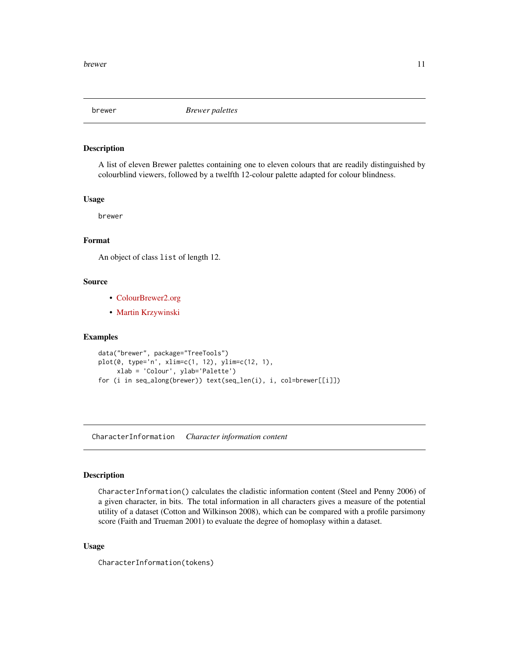<span id="page-10-0"></span>

#### Description

A list of eleven Brewer palettes containing one to eleven colours that are readily distinguished by colourblind viewers, followed by a twelfth 12-colour palette adapted for colour blindness.

#### Usage

brewer

## Format

An object of class list of length 12.

## Source

- [ColourBrewer2.org](https://colorbrewer2.org/#type=diverging&scheme=RdYlBu&n=3)
- [Martin Krzywinski](http://mkweb.bcgsc.ca/colorblind/)

#### Examples

```
data("brewer", package="TreeTools")
plot(0, type='n', xlim=c(1, 12), ylim=c(12, 1),
    xlab = 'Colour', ylab='Palette')
for (i in seq_along(brewer)) text(seq_len(i), i, col=brewer[[i]])
```
CharacterInformation *Character information content*

#### Description

CharacterInformation() calculates the cladistic information content (Steel and Penny 2006) of a given character, in bits. The total information in all characters gives a measure of the potential utility of a dataset (Cotton and Wilkinson 2008), which can be compared with a profile parsimony score (Faith and Trueman 2001) to evaluate the degree of homoplasy within a dataset.

## Usage

CharacterInformation(tokens)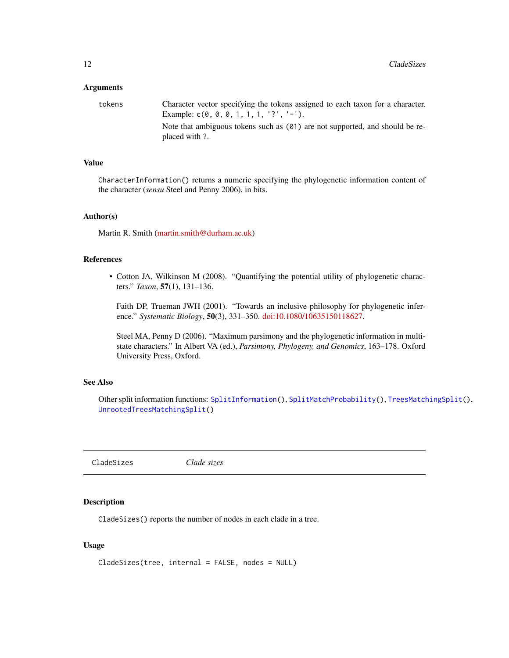#### <span id="page-11-0"></span>**Arguments**

| tokens | Character vector specifying the tokens assigned to each taxon for a character.<br>Example: $c(0, 0, 0, 1, 1, 1, 2', -1)$ . |
|--------|----------------------------------------------------------------------------------------------------------------------------|
|        | Note that ambiguous tokens such as $(01)$ are not supported, and should be re-<br>placed with ?.                           |

## Value

CharacterInformation() returns a numeric specifying the phylogenetic information content of the character (*sensu* Steel and Penny 2006), in bits.

## Author(s)

Martin R. Smith [\(martin.smith@durham.ac.uk\)](mailto:martin.smith@durham.ac.uk)

## References

• Cotton JA, Wilkinson M (2008). "Quantifying the potential utility of phylogenetic characters." *Taxon*, 57(1), 131–136.

Faith DP, Trueman JWH (2001). "Towards an inclusive philosophy for phylogenetic inference." *Systematic Biology*, 50(3), 331–350. [doi:10.1080/10635150118627.](https://doi.org/10.1080/10635150118627)

Steel MA, Penny D (2006). "Maximum parsimony and the phylogenetic information in multistate characters." In Albert VA (ed.), *Parsimony, Phylogeny, and Genomics*, 163–178. Oxford University Press, Oxford.

## See Also

Other split information functions: [SplitInformation\(](#page-79-1)), [SplitMatchProbability\(](#page-81-1)), [TreesMatchingSplit\(](#page-101-1)), [UnrootedTreesMatchingSplit\(](#page-105-1))

<span id="page-11-1"></span>CladeSizes *Clade sizes*

## Description

CladeSizes() reports the number of nodes in each clade in a tree.

```
CladeSizes(tree, internal = FALSE, nodes = NULL)
```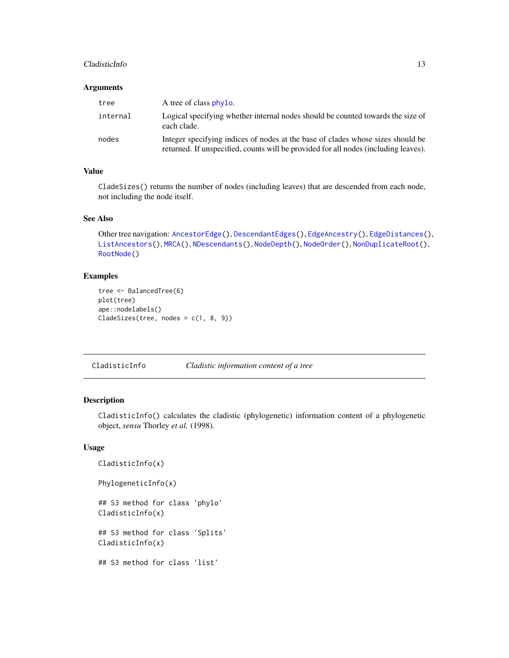#### <span id="page-12-0"></span>CladisticInfo 13

#### Arguments

| tree     | A tree of class phylo.                                                                                                                                                 |
|----------|------------------------------------------------------------------------------------------------------------------------------------------------------------------------|
| internal | Logical specifying whether internal nodes should be counted towards the size of<br>each clade.                                                                         |
| nodes    | Integer specifying indices of nodes at the base of clades whose sizes should be<br>returned. If unspecified, counts will be provided for all nodes (including leaves). |

## Value

CladeSizes() returns the number of nodes (including leaves) that are descended from each node, not including the node itself.

## See Also

```
AncestorEdge(DescendantEdges(EdgeAncestry(EdgeDistances(),
ListAncestors(), MRCA(), NDescendants(), NodeDepth(), NodeOrder(), NonDuplicateRoot(),
RootNode()
```
#### Examples

```
tree <- BalancedTree(6)
plot(tree)
ape::nodelabels()
CladeSizes(tree, nodes = c(1, 8, 9))
```
<span id="page-12-1"></span>CladisticInfo *Cladistic information content of a tree*

## Description

CladisticInfo() calculates the cladistic (phylogenetic) information content of a phylogenetic object, *sensu* Thorley *et al.* (1998).

```
CladisticInfo(x)
PhylogeneticInfo(x)
## S3 method for class 'phylo'
CladisticInfo(x)
## S3 method for class 'Splits'
CladisticInfo(x)
## S3 method for class 'list'
```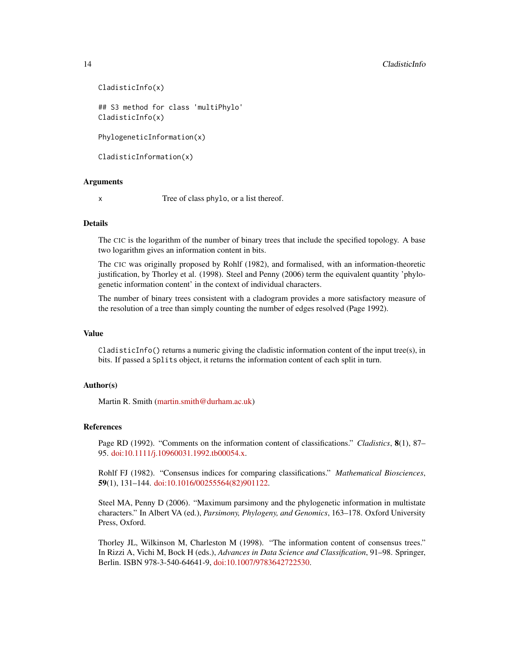#### 14 CladisticInfo

```
CladisticInfo(x)
## S3 method for class 'multiPhylo'
CladisticInfo(x)
```
PhylogeneticInformation(x)

CladisticInformation(x)

## Arguments

x Tree of class phylo, or a list thereof.

## Details

The CIC is the logarithm of the number of binary trees that include the specified topology. A base two logarithm gives an information content in bits.

The CIC was originally proposed by Rohlf (1982), and formalised, with an information-theoretic justification, by Thorley et al. (1998). Steel and Penny (2006) term the equivalent quantity 'phylogenetic information content' in the context of individual characters.

The number of binary trees consistent with a cladogram provides a more satisfactory measure of the resolution of a tree than simply counting the number of edges resolved (Page 1992).

## Value

 $C$ ladisticInfo() returns a numeric giving the cladistic information content of the input tree $(s)$ , in bits. If passed a Splits object, it returns the information content of each split in turn.

#### Author(s)

Martin R. Smith [\(martin.smith@durham.ac.uk\)](mailto:martin.smith@durham.ac.uk)

## References

Page RD (1992). "Comments on the information content of classifications." *Cladistics*, 8(1), 87– 95. [doi:10.1111/j.10960031.1992.tb00054.x.](https://doi.org/10.1111/j.1096-0031.1992.tb00054.x)

Rohlf FJ (1982). "Consensus indices for comparing classifications." *Mathematical Biosciences*, 59(1), 131–144. [doi:10.1016/00255564\(82\)901122.](https://doi.org/10.1016/0025-5564%2882%2990112-2)

Steel MA, Penny D (2006). "Maximum parsimony and the phylogenetic information in multistate characters." In Albert VA (ed.), *Parsimony, Phylogeny, and Genomics*, 163–178. Oxford University Press, Oxford.

Thorley JL, Wilkinson M, Charleston M (1998). "The information content of consensus trees." In Rizzi A, Vichi M, Bock H (eds.), *Advances in Data Science and Classification*, 91–98. Springer, Berlin. ISBN 978-3-540-64641-9, [doi:10.1007/9783642722530.](https://doi.org/10.1007/978-3-642-72253-0)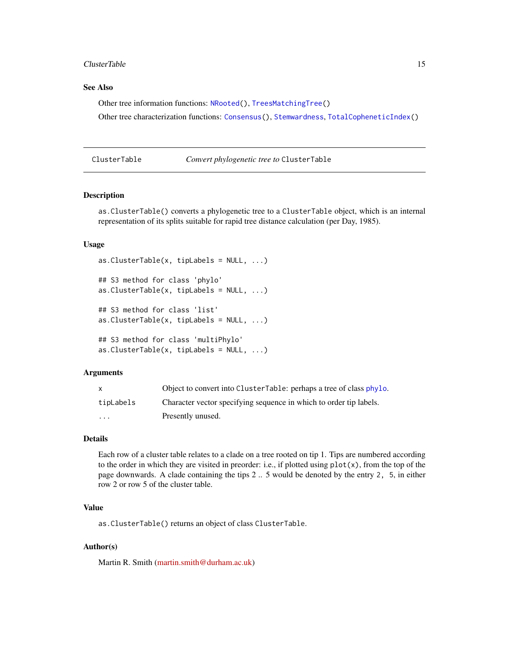#### <span id="page-14-0"></span>ClusterTable 15

## See Also

Other tree information functions: [NRooted\(](#page-53-1)), [TreesMatchingTree\(](#page-102-1)) Other tree characterization functions: [Consensus\(](#page-17-1)), [Stemwardness](#page-85-1), [TotalCopheneticIndex\(](#page-96-1))

<span id="page-14-1"></span>ClusterTable *Convert phylogenetic tree to* ClusterTable

## Description

as.ClusterTable() converts a phylogenetic tree to a ClusterTable object, which is an internal representation of its splits suitable for rapid tree distance calculation (per Day, 1985).

#### Usage

```
as. ClusterTable(x, tipLabels = NULL, ...)## S3 method for class 'phylo'
as. ClusterTable(x, tipLabels = NULL, ...)## S3 method for class 'list'
as. ClusterTable(x, tipLabels = NULL, ...)## S3 method for class 'multiPhylo'
as. ClusterTable(x, tipLabels = NULL, ...)
```
#### Arguments

| X                 | Object to convert into ClusterTable: perhaps a tree of class phylo. |
|-------------------|---------------------------------------------------------------------|
| tipLabels         | Character vector specifying sequence in which to order tip labels.  |
| $\cdot\cdot\cdot$ | Presently unused.                                                   |

## Details

Each row of a cluster table relates to a clade on a tree rooted on tip 1. Tips are numbered according to the order in which they are visited in preorder: i.e., if plotted using  $plot(x)$ , from the top of the page downwards. A clade containing the tips 2 .. 5 would be denoted by the entry 2, 5, in either row 2 or row 5 of the cluster table.

## Value

as.ClusterTable() returns an object of class ClusterTable.

## Author(s)

Martin R. Smith [\(martin.smith@durham.ac.uk\)](mailto:martin.smith@durham.ac.uk)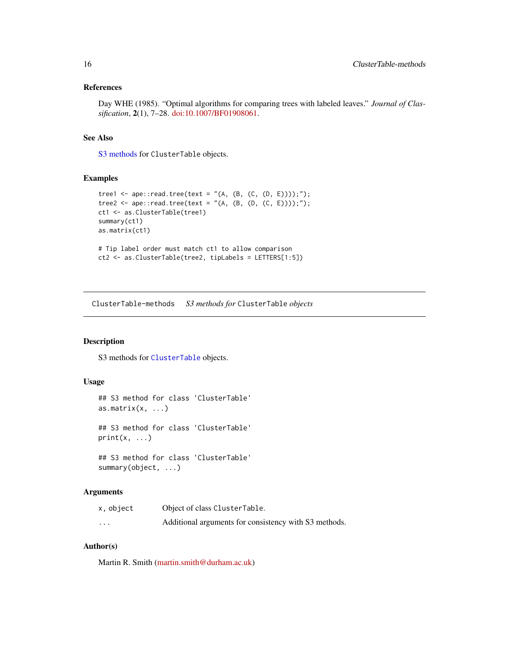## <span id="page-15-0"></span>References

Day WHE (1985). "Optimal algorithms for comparing trees with labeled leaves." *Journal of Classification*, 2(1), 7–28. [doi:10.1007/BF01908061.](https://doi.org/10.1007/BF01908061)

## See Also

[S3 methods](#page-15-1) for ClusterTable objects.

## Examples

```
tree1 <- ape::read.tree(text = "(A, (B, (C, (D, E))));");
tree2 <- ape::read.tree(text = "(A, (B, (D, (C, E))));");
ct1 <- as.ClusterTable(tree1)
summary(ct1)
as.matrix(ct1)
# Tip label order must match ct1 to allow comparison
ct2 <- as.ClusterTable(tree2, tipLabels = LETTERS[1:5])
```
<span id="page-15-1"></span>ClusterTable-methods *S3 methods for* ClusterTable *objects*

## Description

S3 methods for [ClusterTable](#page-14-1) objects.

#### Usage

```
## S3 method for class 'ClusterTable'
as.matrix(x, \ldots)## S3 method for class 'ClusterTable'
print(x, \ldots)## S3 method for class 'ClusterTable'
```
summary(object, ...)

## Arguments

| x, object | Object of class ClusterTable.                         |
|-----------|-------------------------------------------------------|
| $\cdots$  | Additional arguments for consistency with S3 methods. |

#### Author(s)

Martin R. Smith [\(martin.smith@durham.ac.uk\)](mailto:martin.smith@durham.ac.uk)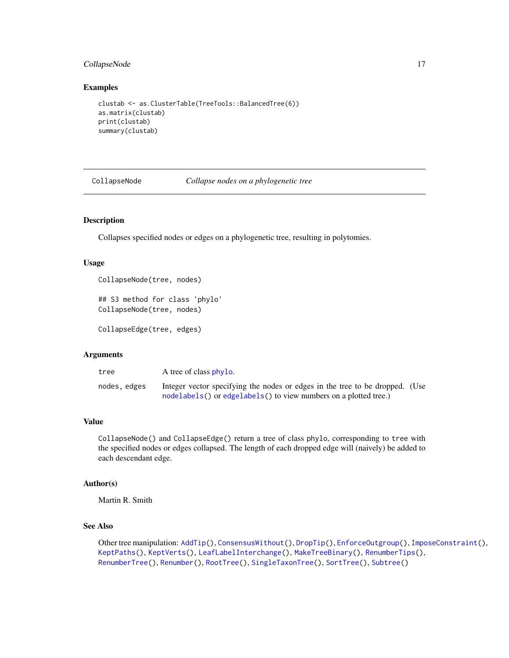## <span id="page-16-0"></span>CollapseNode 17

#### Examples

```
clustab <- as.ClusterTable(TreeTools::BalancedTree(6))
as.matrix(clustab)
print(clustab)
summary(clustab)
```
<span id="page-16-1"></span>

CollapseNode *Collapse nodes on a phylogenetic tree*

## Description

Collapses specified nodes or edges on a phylogenetic tree, resulting in polytomies.

#### Usage

```
CollapseNode(tree, nodes)
```

```
## S3 method for class 'phylo'
CollapseNode(tree, nodes)
```
CollapseEdge(tree, edges)

#### Arguments

| tree         | A tree of class phylo.                                                                                                                           |  |
|--------------|--------------------------------------------------------------------------------------------------------------------------------------------------|--|
| nodes, edges | Integer vector specifying the nodes or edges in the tree to be dropped. (Use<br>nodelabels() or edgelabels() to view numbers on a plotted tree.) |  |

## Value

CollapseNode() and CollapseEdge() return a tree of class phylo, corresponding to tree with the specified nodes or edges collapsed. The length of each dropped edge will (naively) be added to each descendant edge.

## Author(s)

Martin R. Smith

## See Also

Other tree manipulation: [AddTip\(](#page-3-1)), [ConsensusWithout\(](#page-18-1)), [DropTip\(](#page-23-1)), [EnforceOutgroup\(](#page-29-1)), [ImposeConstraint\(](#page-32-1)), [KeptPaths\(](#page-33-1)), [KeptVerts\(](#page-35-1)), [LeafLabelInterchange\(](#page-37-1)), [MakeTreeBinary\(](#page-41-1)), [RenumberTips\(](#page-66-1)), [RenumberTree\(](#page-0-0)), [Renumber\(](#page-65-1)), [RootTree\(](#page-71-1)), [SingleTaxonTree\(](#page-73-1)), [SortTree\(](#page-75-1)), [Subtree\(](#page-90-1))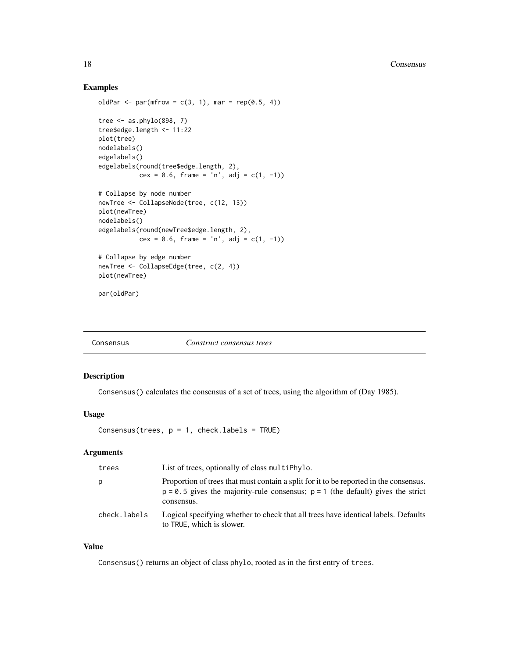## Examples

```
oldPar \leq par(mfrow = c(3, 1), mar = rep(0.5, 4))
tree \leq as.phylo(898, 7)
tree$edge.length <- 11:22
plot(tree)
nodelabels()
edgelabels()
edgelabels(round(tree$edge.length, 2),
           cex = 0.6, frame = 'n', adj = c(1, -1))
# Collapse by node number
newTree <- CollapseNode(tree, c(12, 13))
plot(newTree)
nodelabels()
edgelabels(round(newTree$edge.length, 2),
           cex = 0.6, frame = 'n', adj = c(1, -1))
# Collapse by edge number
newTree <- CollapseEdge(tree, c(2, 4))
plot(newTree)
par(oldPar)
```
<span id="page-17-1"></span>

## Description

Consensus() calculates the consensus of a set of trees, using the algorithm of (Day 1985).

#### Usage

Consensus(trees,  $p = 1$ , check.labels = TRUE)

## Arguments

| trees        | List of trees, optionally of class multiphylo.                                                                                                                                             |
|--------------|--------------------------------------------------------------------------------------------------------------------------------------------------------------------------------------------|
| p            | Proportion of trees that must contain a split for it to be reported in the consensus.<br>$p = 0.5$ gives the majority-rule consensus; $p = 1$ (the default) gives the strict<br>consensus. |
| check.labels | Logical specifying whether to check that all trees have identical labels. Defaults<br>to TRUE, which is slower.                                                                            |

## Value

Consensus() returns an object of class phylo, rooted as in the first entry of trees.

<span id="page-17-0"></span>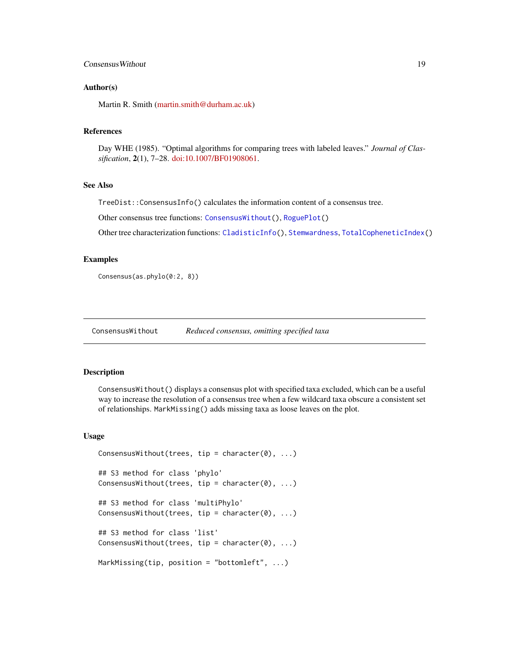## <span id="page-18-0"></span>**Consensus Without** 19

#### Author(s)

Martin R. Smith [\(martin.smith@durham.ac.uk\)](mailto:martin.smith@durham.ac.uk)

#### References

Day WHE (1985). "Optimal algorithms for comparing trees with labeled leaves." *Journal of Classification*, 2(1), 7–28. [doi:10.1007/BF01908061.](https://doi.org/10.1007/BF01908061)

#### See Also

TreeDist::ConsensusInfo() calculates the information content of a consensus tree.

Other consensus tree functions: [ConsensusWithout\(](#page-18-1)), [RoguePlot\(](#page-68-1))

Other tree characterization functions: [CladisticInfo\(](#page-12-1)), [Stemwardness](#page-85-1), [TotalCopheneticIndex\(](#page-96-1))

## Examples

Consensus(as.phylo(0:2, 8))

<span id="page-18-1"></span>ConsensusWithout *Reduced consensus, omitting specified taxa*

#### Description

ConsensusWithout() displays a consensus plot with specified taxa excluded, which can be a useful way to increase the resolution of a consensus tree when a few wildcard taxa obscure a consistent set of relationships. MarkMissing() adds missing taxa as loose leaves on the plot.

```
ConsensusWithout(trees, tip = character(0), ...)
## S3 method for class 'phylo'
ConsensusWithout(trees, tip = character(0), \dots)
## S3 method for class 'multiPhylo'
ConsensusWithout(trees, tip = character(0), \ldots)
## S3 method for class 'list'
ConsensusWithout(trees, tip = character(0), ...)
MarkMissing(tip, position = "bottomleft", ...)
```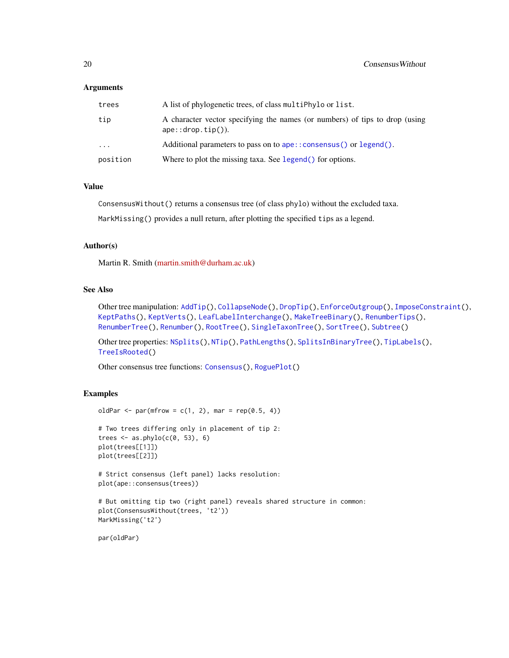## **Arguments**

| trees     | A list of phylogenetic trees, of class multiphylo or list.                                          |
|-----------|-----------------------------------------------------------------------------------------------------|
| tip       | A character vector specifying the names (or numbers) of tips to drop (using<br>$ape::drop.tip()$ ). |
| $\ddotsc$ | Additional parameters to pass on to ape:: consensus() or $lepend()$ .                               |
| position  | Where to plot the missing taxa. See legend() for options.                                           |

## Value

ConsensusWithout() returns a consensus tree (of class phylo) without the excluded taxa.

MarkMissing() provides a null return, after plotting the specified tips as a legend.

## Author(s)

Martin R. Smith [\(martin.smith@durham.ac.uk\)](mailto:martin.smith@durham.ac.uk)

#### See Also

Other tree manipulation: [AddTip\(](#page-3-1)), [CollapseNode\(](#page-16-1)), [DropTip\(](#page-23-1)), [EnforceOutgroup\(](#page-29-1)), [ImposeConstraint\(](#page-32-1)), [KeptPaths\(](#page-33-1)), [KeptVerts\(](#page-35-1)), [LeafLabelInterchange\(](#page-37-1)), [MakeTreeBinary\(](#page-41-1)), [RenumberTips\(](#page-66-1)), [RenumberTree\(](#page-0-0)), [Renumber\(](#page-65-1)), [RootTree\(](#page-71-1)), [SingleTaxonTree\(](#page-73-1)), [SortTree\(](#page-75-1)), [Subtree\(](#page-90-1))

Other tree properties: [NSplits\(](#page-56-1)), [NTip\(](#page-57-1)), [PathLengths\(](#page-59-1)), [SplitsInBinaryTree\(](#page-84-1)), [TipLabels\(](#page-92-1)), [TreeIsRooted\(](#page-97-1))

Other consensus tree functions: [Consensus\(](#page-17-1)), [RoguePlot\(](#page-68-1))

## Examples

```
oldPar \leq par(mfrow = c(1, 2), mar = rep(0.5, 4))
```

```
# Two trees differing only in placement of tip 2:
trees \leq as.phylo(c(0, 53), 6)
plot(trees[[1]])
plot(trees[[2]])
```

```
# Strict consensus (left panel) lacks resolution:
plot(ape::consensus(trees))
```

```
# But omitting tip two (right panel) reveals shared structure in common:
plot(ConsensusWithout(trees, 't2'))
MarkMissing('t2')
```
par(oldPar)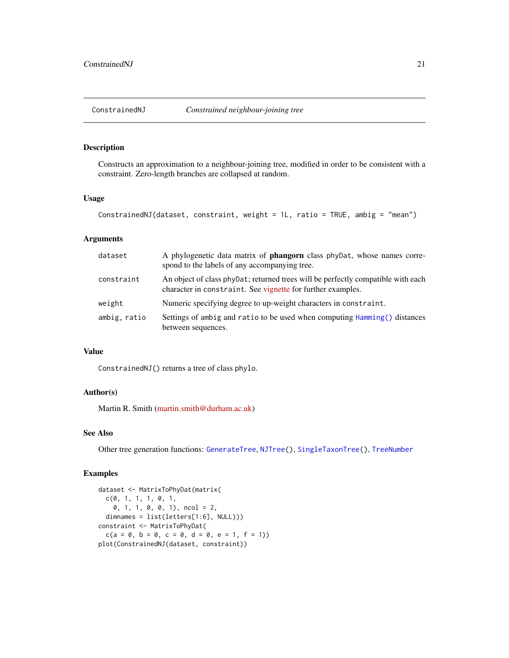<span id="page-20-1"></span><span id="page-20-0"></span>

## Description

Constructs an approximation to a neighbour-joining tree, modified in order to be consistent with a constraint. Zero-length branches are collapsed at random.

## Usage

```
ConstrainedNJ(dataset, constraint, weight = 1L, ratio = TRUE, ambig = "mean")
```
## Arguments

| dataset      | A phylogenetic data matrix of <b>phangorn</b> class phyDat, whose names corre-<br>spond to the labels of any accompanying tree.                 |
|--------------|-------------------------------------------------------------------------------------------------------------------------------------------------|
| constraint   | An object of class phypat; returned trees will be perfectly compatible with each<br>character in constraint. See vignette for further examples. |
| weight       | Numeric specifying degree to up-weight characters in constraint.                                                                                |
| ambig, ratio | Settings of ambig and ratio to be used when computing Hamming () distances<br>between sequences.                                                |

## Value

ConstrainedNJ() returns a tree of class phylo.

## Author(s)

Martin R. Smith [\(martin.smith@durham.ac.uk\)](mailto:martin.smith@durham.ac.uk)

## See Also

Other tree generation functions: [GenerateTree](#page-30-1), [NJTree\(](#page-49-2)), [SingleTaxonTree\(](#page-73-1)), [TreeNumber](#page-98-1)

#### Examples

```
dataset <- MatrixToPhyDat(matrix(
 c(0, 1, 1, 1, 0, 1,0, 1, 1, 0, 0, 1), ncol = 2,
 dimnames = list(letters[1:6], NULL)))
constraint <- MatrixToPhyDat(
 c(a = 0, b = 0, c = 0, d = 0, e = 1, f = 1)plot(ConstrainedNJ(dataset, constraint))
```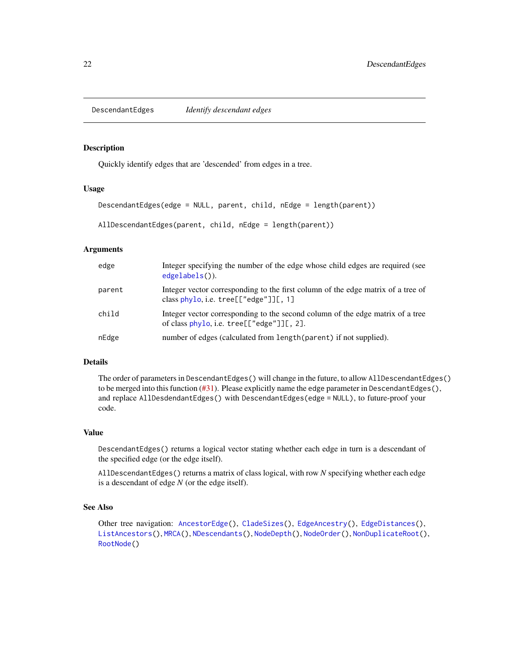<span id="page-21-1"></span><span id="page-21-0"></span>DescendantEdges *Identify descendant edges*

#### Description

Quickly identify edges that are 'descended' from edges in a tree.

## Usage

```
DescendantEdges(edge = NULL, parent, child, nEdge = length(parent))
```

```
AllDescendantEdges(parent, child, nEdge = length(parent))
```
#### Arguments

| edge   | Integer specifying the number of the edge whose child edges are required (see<br>$edgelabels()$ ).                          |
|--------|-----------------------------------------------------------------------------------------------------------------------------|
| parent | Integer vector corresponding to the first column of the edge matrix of a tree of<br>class phylo, i.e. $tree[["edge"]][, 1]$ |
| child  | Integer vector corresponding to the second column of the edge matrix of a tree<br>of class phylo, i.e. tree[["edge"]][, 2]. |
| nEdge  | number of edges (calculated from length (parent) if not supplied).                                                          |

#### Details

The order of parameters in DescendantEdges() will change in the future, to allow AllDescendantEdges() to be merged into this function  $(\#31)$ . Please explicitly name the edge parameter in DescendantEdges(), and replace AllDesdendantEdges() with DescendantEdges(edge = NULL), to future-proof your code.

#### Value

DescendantEdges() returns a logical vector stating whether each edge in turn is a descendant of the specified edge (or the edge itself).

AllDescendantEdges() returns a matrix of class logical, with row *N* specifying whether each edge is a descendant of edge *N* (or the edge itself).

## See Also

```
AncestorEdge(CladeSizes(EdgeAncestry(EdgeDistances(),
ListAncestors(), MRCA(), NDescendants(), NodeDepth(), NodeOrder(), NonDuplicateRoot(),
RootNode()
```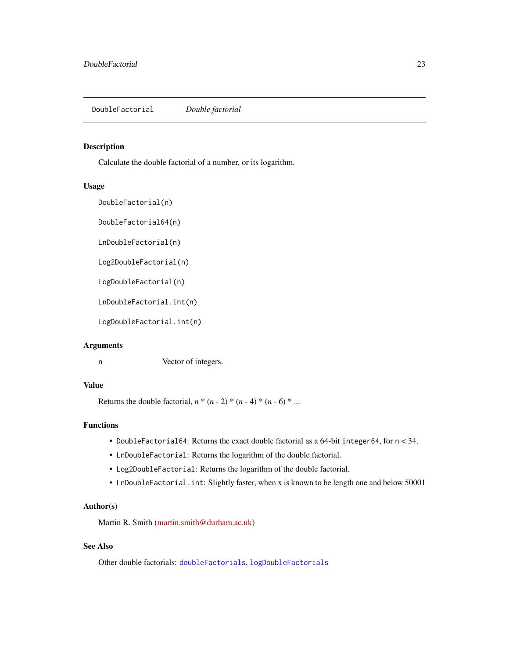<span id="page-22-1"></span><span id="page-22-0"></span>DoubleFactorial *Double factorial*

## Description

Calculate the double factorial of a number, or its logarithm.

#### Usage

```
DoubleFactorial(n)
```
DoubleFactorial64(n)

LnDoubleFactorial(n)

Log2DoubleFactorial(n)

LogDoubleFactorial(n)

LnDoubleFactorial.int(n)

LogDoubleFactorial.int(n)

#### Arguments

n Vector of integers.

## Value

Returns the double factorial,  $n * (n - 2) * (n - 4) * (n - 6) * ...$ 

## Functions

- DoubleFactorial64: Returns the exact double factorial as a 64-bit integer64, for n < 34.
- LnDoubleFactorial: Returns the logarithm of the double factorial.
- Log2DoubleFactorial: Returns the logarithm of the double factorial.
- LnDoubleFactorial.int: Slightly faster, when x is known to be length one and below 50001

## Author(s)

Martin R. Smith [\(martin.smith@durham.ac.uk\)](mailto:martin.smith@durham.ac.uk)

## See Also

Other double factorials: [doubleFactorials](#page-23-2), [logDoubleFactorials](#page-40-1)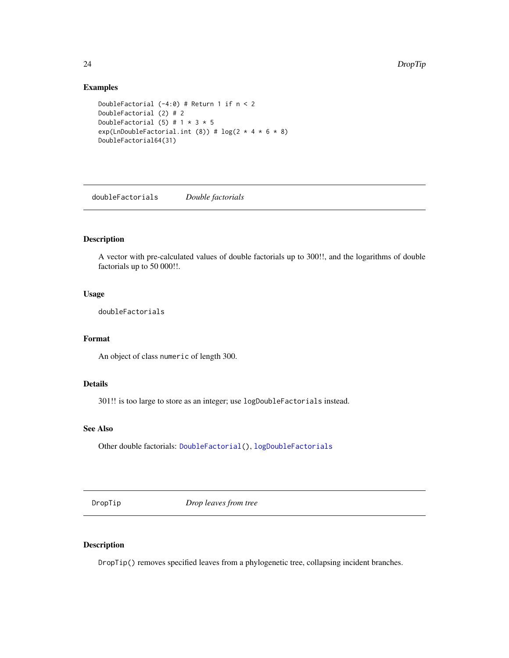## Examples

```
DoubleFactorial (-4:0) # Return 1 if n < 2
DoubleFactorial (2) # 2
DoubleFactorial (5) # 1 * 3 * 5exp(LnDoubleFactorial.int (8)) # log(2 * 4 * 6 * 8)DoubleFactorial64(31)
```
<span id="page-23-2"></span>doubleFactorials *Double factorials*

## Description

A vector with pre-calculated values of double factorials up to 300!!, and the logarithms of double factorials up to 50 000!!.

#### Usage

doubleFactorials

## Format

An object of class numeric of length 300.

## Details

301!! is too large to store as an integer; use logDoubleFactorials instead.

## See Also

Other double factorials: [DoubleFactorial\(](#page-22-1)), [logDoubleFactorials](#page-40-1)

<span id="page-23-1"></span>DropTip *Drop leaves from tree*

## Description

DropTip() removes specified leaves from a phylogenetic tree, collapsing incident branches.

<span id="page-23-0"></span>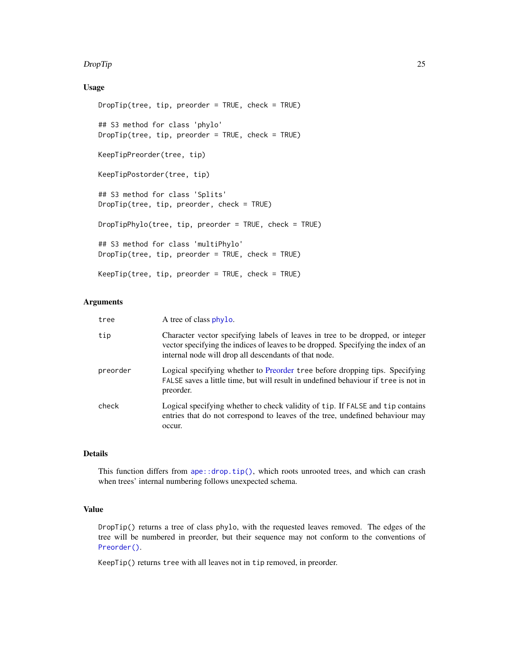#### DropTip 25

## Usage

```
DropTip(tree, tip, preorder = TRUE, check = TRUE)## S3 method for class 'phylo'
DropTip(tree, tip, preorder = TRUE, check = TRUE)
KeepTipPreorder(tree, tip)
KeepTipPostorder(tree, tip)
## S3 method for class 'Splits'
DropTip(tree, tip, preorder, check = TRUE)
DropTipPhylo(tree, tip, preorder = TRUE, check = TRUE)
## S3 method for class 'multiPhylo'
DropTip(tree, tip, preorder = TRUE, check = TRUE)KeepTip(tree, tip, preorder = TRUE, check = TRUE)
```
## Arguments

| tree     | A tree of class phylo.                                                                                                                                                                                                       |
|----------|------------------------------------------------------------------------------------------------------------------------------------------------------------------------------------------------------------------------------|
| tip      | Character vector specifying labels of leaves in tree to be dropped, or integer<br>vector specifying the indices of leaves to be dropped. Specifying the index of an<br>internal node will drop all descendants of that node. |
| preorder | Logical specifying whether to Preorder tree before dropping tips. Specifying<br>FALSE saves a little time, but will result in undefined behaviour if tree is not in<br>preorder.                                             |
| check    | Logical specifying whether to check validity of tip. If FALSE and tip contains<br>entries that do not correspond to leaves of the tree, undefined behaviour may<br>occur.                                                    |

## Details

This function differs from  $ape$ ::drop.tip(), which roots unrooted trees, and which can crash when trees' internal numbering follows unexpected schema.

## Value

DropTip() returns a tree of class phylo, with the requested leaves removed. The edges of the tree will be numbered in preorder, but their sequence may not conform to the conventions of [Preorder\(\)](#page-0-0).

KeepTip() returns tree with all leaves not in tip removed, in preorder.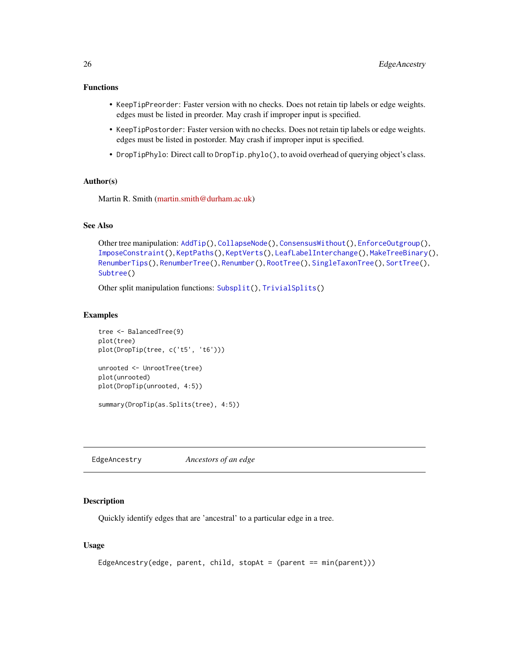## <span id="page-25-0"></span>Functions

- KeepTipPreorder: Faster version with no checks. Does not retain tip labels or edge weights. edges must be listed in preorder. May crash if improper input is specified.
- KeepTipPostorder: Faster version with no checks. Does not retain tip labels or edge weights. edges must be listed in postorder. May crash if improper input is specified.
- DropTipPhylo: Direct call to DropTip.phylo(), to avoid overhead of querying object's class.

## Author(s)

Martin R. Smith [\(martin.smith@durham.ac.uk\)](mailto:martin.smith@durham.ac.uk)

## See Also

```
Other tree manipulation: AddTip(), CollapseNode(), ConsensusWithout(), EnforceOutgroup(),
ImposeConstraint(), KeptPaths(), KeptVerts(), LeafLabelInterchange(), MakeTreeBinary(),
RenumberTips(), RenumberTree(), Renumber(), RootTree(), SingleTaxonTree(), SortTree(),
Subtree()
```
Other split manipulation functions: [Subsplit\(](#page-89-1)), [TrivialSplits\(](#page-103-1))

#### Examples

```
tree <- BalancedTree(9)
plot(tree)
plot(DropTip(tree, c('t5', 't6')))
unrooted <- UnrootTree(tree)
plot(unrooted)
plot(DropTip(unrooted, 4:5))
summary(DropTip(as.Splits(tree), 4:5))
```
<span id="page-25-1"></span>EdgeAncestry *Ancestors of an edge*

#### Description

Quickly identify edges that are 'ancestral' to a particular edge in a tree.

```
EdgeAncestry(edge, parent, child, stopAt = (parent == min(parent)))
```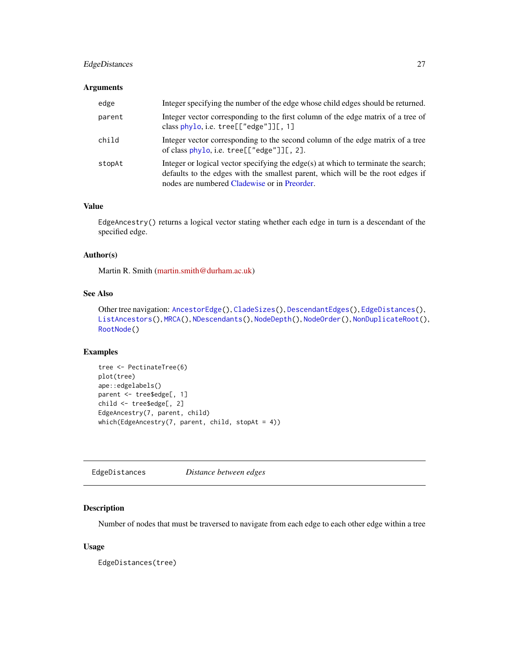## <span id="page-26-0"></span>EdgeDistances 27

## Arguments

| edge   | Integer specifying the number of the edge whose child edges should be returned.                                                                                                                                       |
|--------|-----------------------------------------------------------------------------------------------------------------------------------------------------------------------------------------------------------------------|
| parent | Integer vector corresponding to the first column of the edge matrix of a tree of<br>class phylo, i.e. $tree[["edge"][[, 1]$                                                                                           |
| child  | Integer vector corresponding to the second column of the edge matrix of a tree<br>of class $phylo$ , i.e. tree $[["edge"]$ ][, 2].                                                                                    |
| stopAt | Integer or logical vector specifying the edge(s) at which to terminate the search;<br>defaults to the edges with the smallest parent, which will be the root edges if<br>nodes are numbered Cladewise or in Preorder. |

## Value

EdgeAncestry() returns a logical vector stating whether each edge in turn is a descendant of the specified edge.

## Author(s)

Martin R. Smith [\(martin.smith@durham.ac.uk\)](mailto:martin.smith@durham.ac.uk)

## See Also

```
Other tree navigation: AncestorEdge(), CladeSizes(), DescendantEdges(), EdgeDistances(),
ListAncestors(), MRCA(), NDescendants(), NodeDepth(), NodeOrder(), NonDuplicateRoot(),
RootNode()
```
## Examples

```
tree <- PectinateTree(6)
plot(tree)
ape::edgelabels()
parent <- tree$edge[, 1]
child <- tree$edge[, 2]
EdgeAncestry(7, parent, child)
which(EdgeAncestry(7, parent, child, stopAt = 4))
```
<span id="page-26-1"></span>EdgeDistances *Distance between edges*

#### Description

Number of nodes that must be traversed to navigate from each edge to each other edge within a tree

## Usage

EdgeDistances(tree)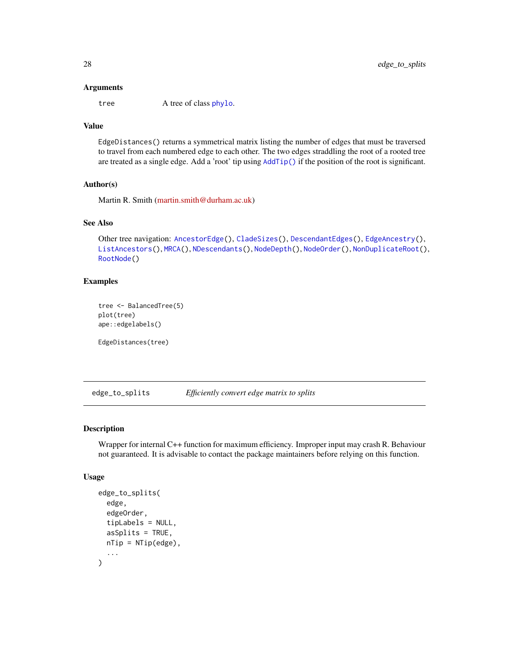#### <span id="page-27-0"></span>**Arguments**

tree A tree of class [phylo](#page-0-0).

## Value

EdgeDistances() returns a symmetrical matrix listing the number of edges that must be traversed to travel from each numbered edge to each other. The two edges straddling the root of a rooted tree are treated as a single edge. Add a 'root' tip using [AddTip\(\)](#page-3-1) if the position of the root is significant.

#### Author(s)

Martin R. Smith [\(martin.smith@durham.ac.uk\)](mailto:martin.smith@durham.ac.uk)

#### See Also

Other tree navigation: [AncestorEdge\(](#page-0-0)), [CladeSizes\(](#page-11-1)), [DescendantEdges\(](#page-21-1)), [EdgeAncestry\(](#page-25-1)), [ListAncestors\(](#page-38-1)), [MRCA\(](#page-45-1)), [NDescendants\(](#page-48-1)), [NodeDepth\(](#page-50-1)), [NodeOrder\(](#page-51-1)), [NonDuplicateRoot\(](#page-0-0)), [RootNode\(](#page-70-1))

## Examples

```
tree <- BalancedTree(5)
plot(tree)
ape::edgelabels()
EdgeDistances(tree)
```
edge\_to\_splits *Efficiently convert edge matrix to splits*

#### Description

Wrapper for internal C++ function for maximum efficiency. Improper input may crash R. Behaviour not guaranteed. It is advisable to contact the package maintainers before relying on this function.

```
edge_to_splits(
  edge,
  edgeOrder,
  tipLabels = NULL,
  asSplits = TRUE,nTip = NTip(edge),
  ...
)
```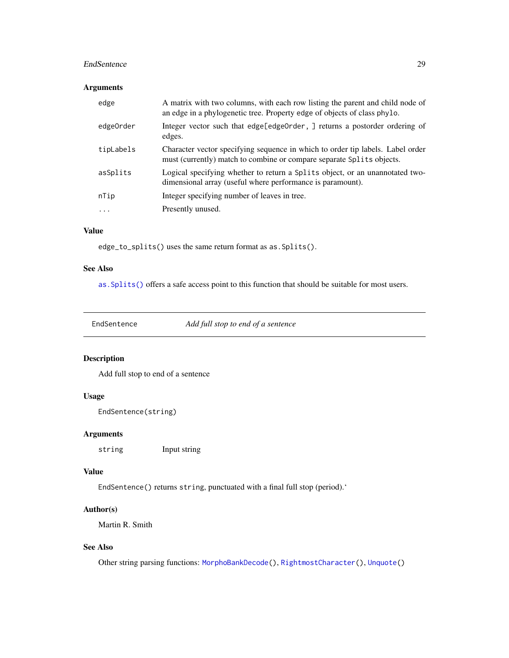#### <span id="page-28-0"></span>EndSentence 29

## Arguments

| edge                    | A matrix with two columns, with each row listing the parent and child node of<br>an edge in a phylogenetic tree. Property edge of objects of class phylo. |
|-------------------------|-----------------------------------------------------------------------------------------------------------------------------------------------------------|
| edge0rder               | Integer vector such that edge[edge0rder, ] returns a postorder ordering of<br>edges.                                                                      |
| tipLabels               | Character vector specifying sequence in which to order tip labels. Label order<br>must (currently) match to combine or compare separate Splits objects.   |
| asSplits                | Logical specifying whether to return a Splits object, or an unannotated two-<br>dimensional array (useful where performance is paramount).                |
| nTip                    | Integer specifying number of leaves in tree.                                                                                                              |
| $\cdot$ $\cdot$ $\cdot$ | Presently unused.                                                                                                                                         |
|                         |                                                                                                                                                           |

## Value

edge\_to\_splits() uses the same return format as as.Splits().

## See Also

[as.Splits\(\)](#page-82-1) offers a safe access point to this function that should be suitable for most users.

EndSentence *Add full stop to end of a sentence*

## Description

Add full stop to end of a sentence

## Usage

```
EndSentence(string)
```
## Arguments

string Input string

## Value

EndSentence() returns string, punctuated with a final full stop (period).'

## Author(s)

Martin R. Smith

## See Also

Other string parsing functions: [MorphoBankDecode\(](#page-44-1)), [RightmostCharacter\(](#page-68-2)), [Unquote\(](#page-104-1))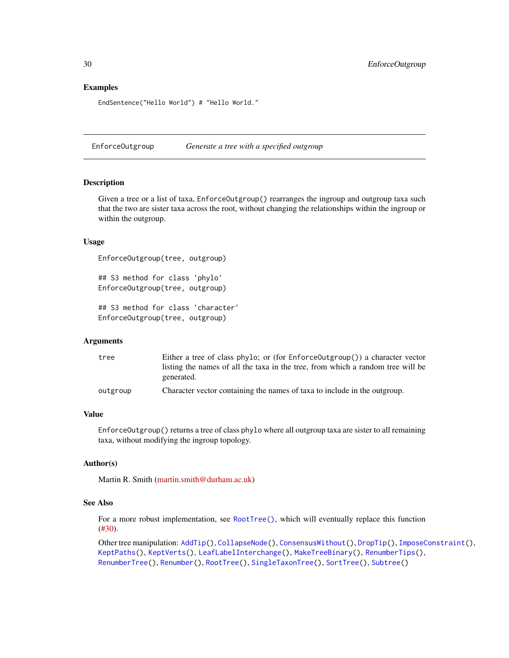## Examples

EndSentence("Hello World") # "Hello World."

<span id="page-29-1"></span>EnforceOutgroup *Generate a tree with a specified outgroup*

## Description

Given a tree or a list of taxa, EnforceOutgroup() rearranges the ingroup and outgroup taxa such that the two are sister taxa across the root, without changing the relationships within the ingroup or within the outgroup.

## Usage

```
EnforceOutgroup(tree, outgroup)
```
## S3 method for class 'phylo' EnforceOutgroup(tree, outgroup)

## S3 method for class 'character' EnforceOutgroup(tree, outgroup)

#### Arguments

| tree     | Either a tree of class phylo; or (for $EnforceOutput$ group()) a character vector |
|----------|-----------------------------------------------------------------------------------|
|          | listing the names of all the taxa in the tree, from which a random tree will be   |
|          | generated.                                                                        |
| outgroup | Character vector containing the names of taxa to include in the outgroup.         |

#### Value

EnforceOutgroup() returns a tree of class phylo where all outgroup taxa are sister to all remaining taxa, without modifying the ingroup topology.

## Author(s)

Martin R. Smith [\(martin.smith@durham.ac.uk\)](mailto:martin.smith@durham.ac.uk)

## See Also

For a more robust implementation, see [RootTree\(\)](#page-71-1), which will eventually replace this function [\(#30\)](https://github.com/ms609/TreeTools/issues/30).

Other tree manipulation: [AddTip\(](#page-3-1)), [CollapseNode\(](#page-16-1)), [ConsensusWithout\(](#page-18-1)), [DropTip\(](#page-23-1)), [ImposeConstraint\(](#page-32-1)), [KeptPaths\(](#page-33-1)), [KeptVerts\(](#page-35-1)), [LeafLabelInterchange\(](#page-37-1)), [MakeTreeBinary\(](#page-41-1)), [RenumberTips\(](#page-66-1)), [RenumberTree\(](#page-0-0)), [Renumber\(](#page-65-1)), [RootTree\(](#page-71-1)), [SingleTaxonTree\(](#page-73-1)), [SortTree\(](#page-75-1)), [Subtree\(](#page-90-1))

<span id="page-29-0"></span>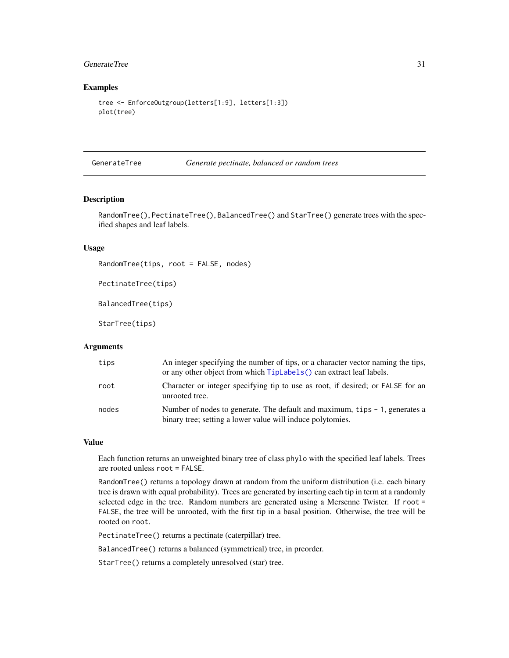## <span id="page-30-0"></span>GenerateTree 31

## Examples

```
tree <- EnforceOutgroup(letters[1:9], letters[1:3])
plot(tree)
```
<span id="page-30-1"></span>GenerateTree *Generate pectinate, balanced or random trees*

## Description

RandomTree(), PectinateTree(), BalancedTree() and StarTree() generate trees with the specified shapes and leaf labels.

#### Usage

```
RandomTree(tips, root = FALSE, nodes)
```

```
PectinateTree(tips)
```
BalancedTree(tips)

StarTree(tips)

#### **Arguments**

| tips  | An integer specifying the number of tips, or a character vector naming the tips,<br>or any other object from which TipLabels () can extract leaf labels. |
|-------|----------------------------------------------------------------------------------------------------------------------------------------------------------|
| root  | Character or integer specifying tip to use as root, if desired; or FALSE for an<br>unrooted tree.                                                        |
| nodes | Number of nodes to generate. The default and maximum, tips $-1$ , generates a<br>binary tree; setting a lower value will induce polytomies.              |

#### Value

Each function returns an unweighted binary tree of class phylo with the specified leaf labels. Trees are rooted unless root = FALSE.

RandomTree() returns a topology drawn at random from the uniform distribution (i.e. each binary tree is drawn with equal probability). Trees are generated by inserting each tip in term at a randomly selected edge in the tree. Random numbers are generated using a Mersenne Twister. If root = FALSE, the tree will be unrooted, with the first tip in a basal position. Otherwise, the tree will be rooted on root.

PectinateTree() returns a pectinate (caterpillar) tree.

BalancedTree() returns a balanced (symmetrical) tree, in preorder.

StarTree() returns a completely unresolved (star) tree.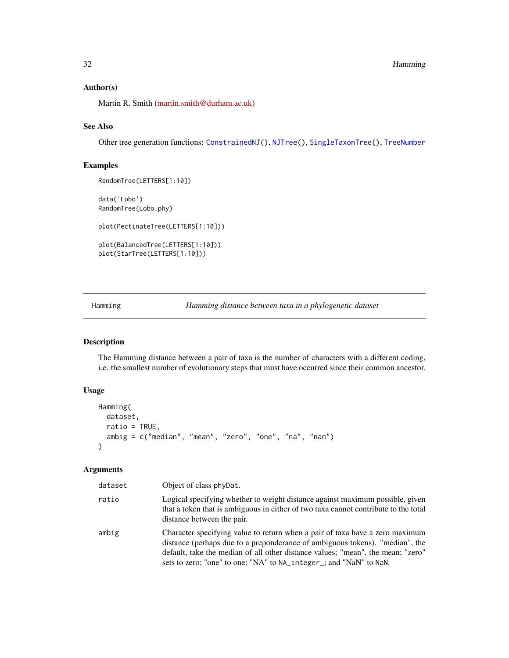#### <span id="page-31-0"></span>Author(s)

Martin R. Smith [\(martin.smith@durham.ac.uk\)](mailto:martin.smith@durham.ac.uk)

## See Also

Other tree generation functions: [ConstrainedNJ\(](#page-20-1)), [NJTree\(](#page-49-2)), [SingleTaxonTree\(](#page-73-1)), [TreeNumber](#page-98-1)

## Examples

RandomTree(LETTERS[1:10])

data('Lobo') RandomTree(Lobo.phy)

plot(PectinateTree(LETTERS[1:10]))

```
plot(BalancedTree(LETTERS[1:10]))
plot(StarTree(LETTERS[1:10]))
```
<span id="page-31-1"></span>Hamming *Hamming distance between taxa in a phylogenetic dataset*

## Description

The Hamming distance between a pair of taxa is the number of characters with a different coding, i.e. the smallest number of evolutionary steps that must have occurred since their common ancestor.

## Usage

```
Hamming(
  dataset,
  ratio = TRUE,
  ambig = c("median", "mean", "zero", "one", "na", "nan")
)
```
### Arguments

| dataset | Object of class phyDat.                                                                                                                                                                                                                                                                                               |
|---------|-----------------------------------------------------------------------------------------------------------------------------------------------------------------------------------------------------------------------------------------------------------------------------------------------------------------------|
| ratio   | Logical specifying whether to weight distance against maximum possible, given<br>that a token that is ambiguous in either of two taxa cannot contribute to the total<br>distance between the pair.                                                                                                                    |
| ambig   | Character specifying value to return when a pair of taxa have a zero maximum<br>distance (perhaps due to a preponderance of ambiguous tokens). "median", the<br>default, take the median of all other distance values; "mean", the mean; "zero"<br>sets to zero; "one" to one; "NA" to NA_integer_; and "NaN" to NaN. |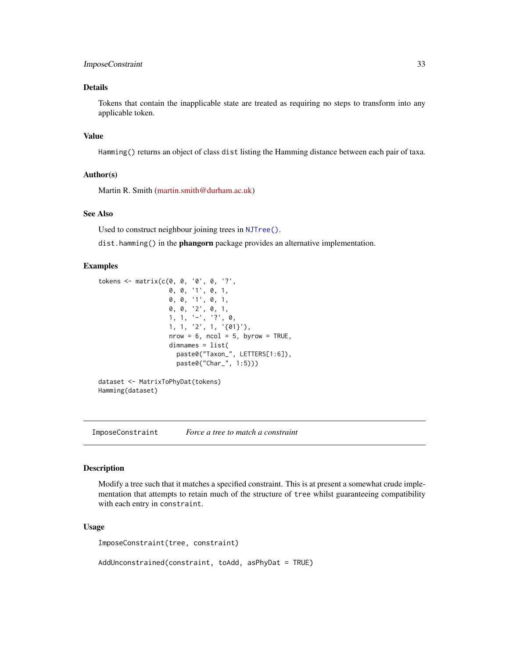## <span id="page-32-0"></span>ImposeConstraint 33

## Details

Tokens that contain the inapplicable state are treated as requiring no steps to transform into any applicable token.

## Value

Hamming() returns an object of class dist listing the Hamming distance between each pair of taxa.

## Author(s)

Martin R. Smith [\(martin.smith@durham.ac.uk\)](mailto:martin.smith@durham.ac.uk)

#### See Also

Used to construct neighbour joining trees in [NJTree\(\)](#page-49-2).

dist.hamming() in the **phangorn** package provides an alternative implementation.

#### Examples

```
tokens <- matrix(c(0, 0, '0', 0, '?',
                  0, 0, '1', 0, 1,
                   0, 0, '1', 0, 1,
                   0, 0, '2', 0, 1,
                   1, 1, '-'', '?', 0,1, 1, '2', 1, '01}'),
                   nrow = 6, ncol = 5, byrow = TRUE,
                   dimnames = list(
                     paste0("Taxon_", LETTERS[1:6]),
                     paste0("Char_", 1:5)))
dataset <- MatrixToPhyDat(tokens)
Hamming(dataset)
```
<span id="page-32-1"></span>ImposeConstraint *Force a tree to match a constraint*

#### Description

Modify a tree such that it matches a specified constraint. This is at present a somewhat crude implementation that attempts to retain much of the structure of tree whilst guaranteeing compatibility with each entry in constraint.

#### Usage

ImposeConstraint(tree, constraint)

AddUnconstrained(constraint, toAdd, asPhyDat = TRUE)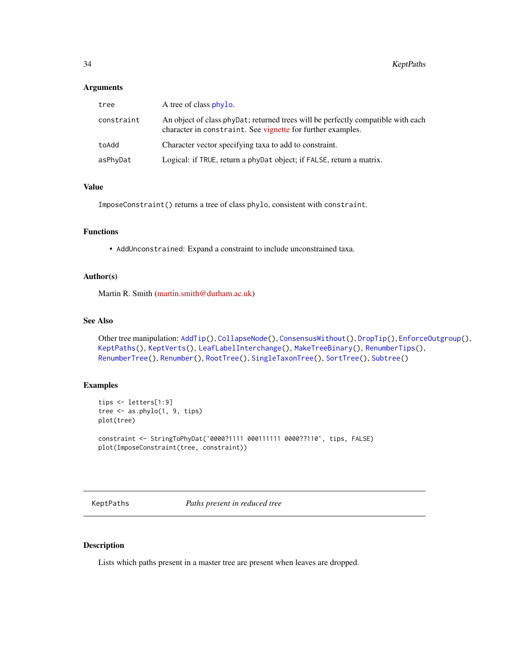#### <span id="page-33-0"></span>**Arguments**

| tree       | A tree of class phylo.                                                                                                                           |
|------------|--------------------------------------------------------------------------------------------------------------------------------------------------|
| constraint | An object of class phy Dat; returned trees will be perfectly compatible with each<br>character in constraint. See vignette for further examples. |
| toAdd      | Character vector specifying taxa to add to constraint.                                                                                           |
| asPhyDat   | Logical: if TRUE, return a phyDat object; if FALSE, return a matrix.                                                                             |

## Value

ImposeConstraint() returns a tree of class phylo, consistent with constraint.

## Functions

• AddUnconstrained: Expand a constraint to include unconstrained taxa.

#### Author(s)

Martin R. Smith [\(martin.smith@durham.ac.uk\)](mailto:martin.smith@durham.ac.uk)

## See Also

```
Other tree manipulation: AddTip(), CollapseNode(), ConsensusWithout(), DropTip(), EnforceOutgroup(),
KeptPaths(), KeptVerts(), LeafLabelInterchange(), MakeTreeBinary(), RenumberTips(),
RenumberTree(), Renumber(), RootTree(), SingleTaxonTree(), SortTree(), Subtree()
```
#### Examples

```
tips <- letters[1:9]
tree <- as.phylo(1, 9, tips)
plot(tree)
```

```
constraint <- StringToPhyDat('0000?1111 000111111 0000??110', tips, FALSE)
plot(ImposeConstraint(tree, constraint))
```
<span id="page-33-1"></span>KeptPaths *Paths present in reduced tree*

## Description

Lists which paths present in a master tree are present when leaves are dropped.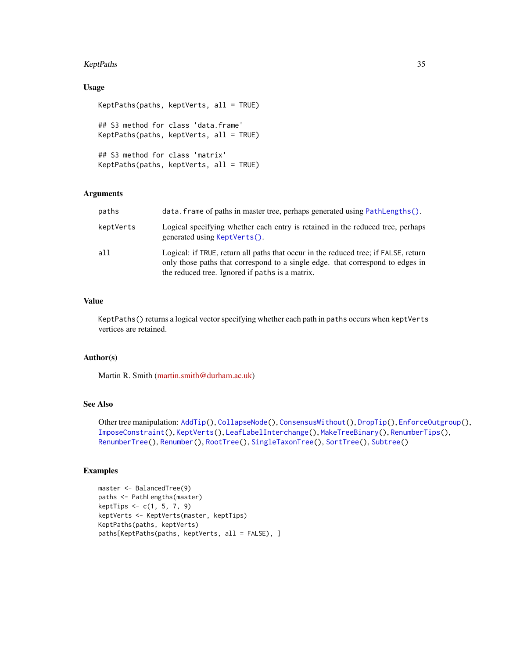#### KeptPaths 35

## Usage

```
KeptPaths(paths, keptVerts, all = TRUE)
## S3 method for class 'data.frame'
KeptPaths(paths, keptVerts, all = TRUE)
## S3 method for class 'matrix'
KeptPaths(paths, keptVerts, all = TRUE)
```
#### Arguments

| paths     | data. frame of paths in master tree, perhaps generated using PathLengths().                                                                                                                                              |
|-----------|--------------------------------------------------------------------------------------------------------------------------------------------------------------------------------------------------------------------------|
| keptVerts | Logical specifying whether each entry is retained in the reduced tree, perhaps<br>generated using KeptVerts().                                                                                                           |
| a11       | Logical: if TRUE, return all paths that occur in the reduced tree; if FALSE, return<br>only those paths that correspond to a single edge, that correspond to edges in<br>the reduced tree. Ignored if paths is a matrix. |

## Value

KeptPaths() returns a logical vector specifying whether each path in paths occurs when keptVerts vertices are retained.

#### Author(s)

Martin R. Smith [\(martin.smith@durham.ac.uk\)](mailto:martin.smith@durham.ac.uk)

## See Also

Other tree manipulation: [AddTip\(](#page-3-1)), [CollapseNode\(](#page-16-1)), [ConsensusWithout\(](#page-18-1)), [DropTip\(](#page-23-1)), [EnforceOutgroup\(](#page-29-1)), [ImposeConstraint\(](#page-32-1)), [KeptVerts\(](#page-35-1)), [LeafLabelInterchange\(](#page-37-1)), [MakeTreeBinary\(](#page-41-1)), [RenumberTips\(](#page-66-1)), [RenumberTree\(](#page-0-0)), [Renumber\(](#page-65-1)), [RootTree\(](#page-71-1)), [SingleTaxonTree\(](#page-73-1)), [SortTree\(](#page-75-1)), [Subtree\(](#page-90-1))

## Examples

```
master <- BalancedTree(9)
paths <- PathLengths(master)
keptTips <- c(1, 5, 7, 9)
keptVerts <- KeptVerts(master, keptTips)
KeptPaths(paths, keptVerts)
paths[KeptPaths(paths, keptVerts, all = FALSE), ]
```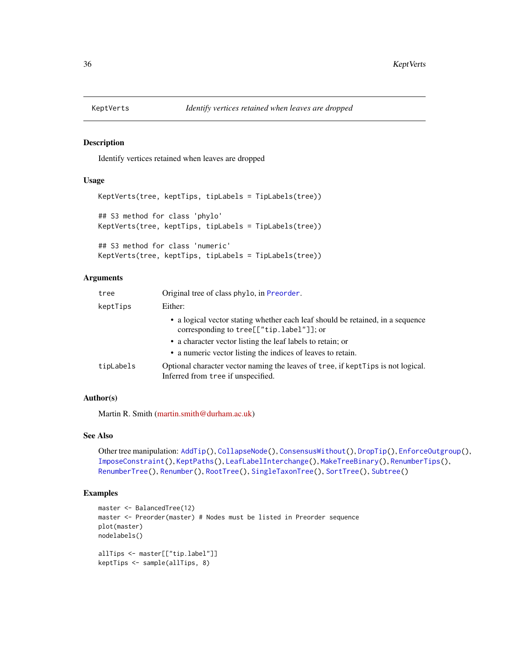<span id="page-35-1"></span><span id="page-35-0"></span>

#### Description

Identify vertices retained when leaves are dropped

#### Usage

```
KeptVerts(tree, keptTips, tipLabels = TipLabels(tree))
## S3 method for class 'phylo'
KeptVerts(tree, keptTips, tipLabels = TipLabels(tree))
## S3 method for class 'numeric'
KeptVerts(tree, keptTips, tipLabels = TipLabels(tree))
```
#### Arguments

| tree      | Original tree of class phylo, in Preorder.                                                                                 |
|-----------|----------------------------------------------------------------------------------------------------------------------------|
| keptTips  | Either:                                                                                                                    |
|           | • a logical vector stating whether each leaf should be retained, in a sequence<br>corresponding to tree[["tip.label"]]; or |
|           | • a character vector listing the leaf labels to retain; or                                                                 |
|           | • a numeric vector listing the indices of leaves to retain.                                                                |
| tipLabels | Optional character vector naming the leaves of tree, if keptTips is not logical.<br>Inferred from tree if unspecified.     |

#### Author(s)

Martin R. Smith [\(martin.smith@durham.ac.uk\)](mailto:martin.smith@durham.ac.uk)

#### See Also

```
Other tree manipulation: AddTip(), CollapseNode(), ConsensusWithout(), DropTip(), EnforceOutgroup(),
ImposeConstraint(), KeptPaths(), LeafLabelInterchange(), MakeTreeBinary(), RenumberTips(),
RenumberTree(), Renumber(), RootTree(), SingleTaxonTree(), SortTree(), Subtree()
```
## Examples

```
master <- BalancedTree(12)
master <- Preorder(master) # Nodes must be listed in Preorder sequence
plot(master)
nodelabels()
allTips <- master[["tip.label"]]
keptTips <- sample(allTips, 8)
```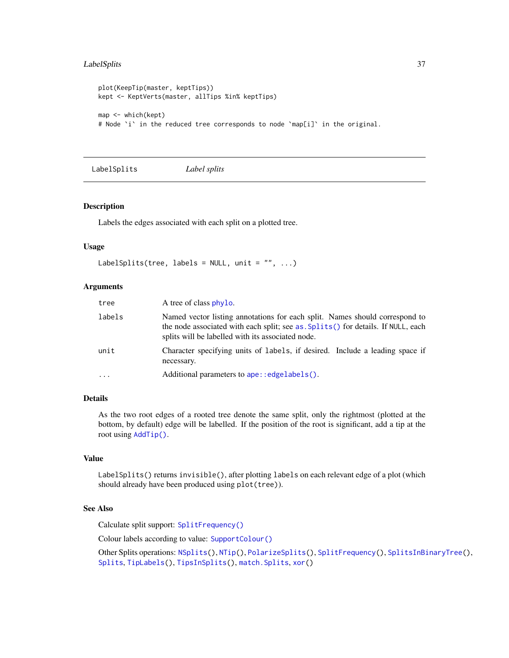# LabelSplits 37

```
plot(KeepTip(master, keptTips))
kept <- KeptVerts(master, allTips %in% keptTips)
map <- which(kept)
# Node `i` in the reduced tree corresponds to node `map[i]` in the original.
```
<span id="page-36-0"></span>LabelSplits *Label splits*

## Description

Labels the edges associated with each split on a plotted tree.

### Usage

```
LabelSplits(tree, labels = NULL, unit = ", ...)
```
### Arguments

| tree     | A tree of class phylo.                                                                                                                                                                                               |
|----------|----------------------------------------------------------------------------------------------------------------------------------------------------------------------------------------------------------------------|
| labels   | Named vector listing annotations for each split. Names should correspond to<br>the node associated with each split; see as. Splits() for details. If NULL, each<br>splits will be labelled with its associated node. |
| unit     | Character specifying units of labels, if desired. Include a leading space if<br>necessary.                                                                                                                           |
| $\cdots$ | Additional parameters to ape:: edgelabels().                                                                                                                                                                         |

#### Details

As the two root edges of a rooted tree denote the same split, only the rightmost (plotted at the bottom, by default) edge will be labelled. If the position of the root is significant, add a tip at the root using [AddTip\(\)](#page-3-0).

#### Value

LabelSplits() returns invisible(), after plotting labels on each relevant edge of a plot (which should already have been produced using plot(tree)).

#### See Also

Calculate split support: [SplitFrequency\(\)](#page-78-0)

Colour labels according to value: [SupportColour\(\)](#page-91-0)

Other Splits operations: [NSplits\(](#page-56-0)), [NTip\(](#page-57-0)), [PolarizeSplits\(](#page-60-0)), [SplitFrequency\(](#page-78-0)), [SplitsInBinaryTree\(](#page-84-0)), [Splits](#page-82-1), [TipLabels\(](#page-92-0)), [TipsInSplits\(](#page-94-0)), match. Splits, [xor\(](#page-108-0))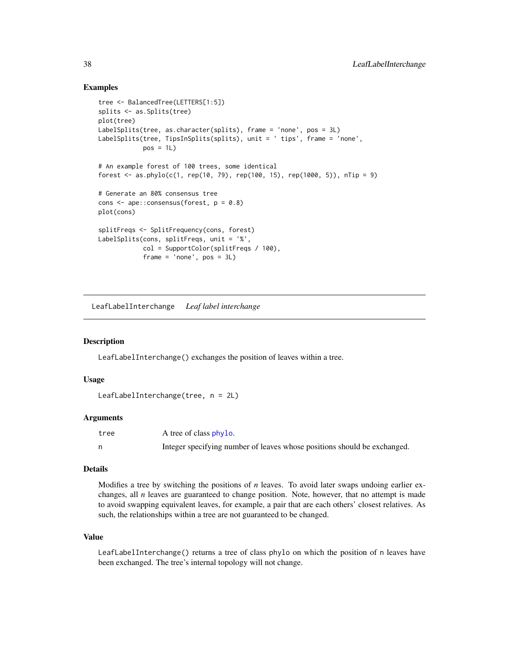## Examples

```
tree <- BalancedTree(LETTERS[1:5])
splits <- as.Splits(tree)
plot(tree)
LabelSplits(tree, as.character(splits), frame = 'none', pos = 3L)
LabelSplits(tree, TipsInSplits(splits), unit = ' tips', frame = 'none',
            pos = 1L)# An example forest of 100 trees, some identical
forest \leq as.phylo(c(1, rep(10, 79), rep(100, 15), rep(1000, 5)), nTip = 9)
# Generate an 80% consensus tree
cons <- ape::consensus(forest, p = 0.8)
plot(cons)
splitFreqs <- SplitFrequency(cons, forest)
LabelSplits(cons, splitFreqs, unit = '%',
            col = SupportColor(splitFreqs / 100),
            frame = 'none', pos = 3L)
```
<span id="page-37-0"></span>LeafLabelInterchange *Leaf label interchange*

### Description

LeafLabelInterchange() exchanges the position of leaves within a tree.

### Usage

```
LeafLabelInterchange(tree, n = 2L)
```
### Arguments

| tree | A tree of class phylo.                                                   |
|------|--------------------------------------------------------------------------|
|      | Integer specifying number of leaves whose positions should be exchanged. |

#### Details

Modifies a tree by switching the positions of *n* leaves. To avoid later swaps undoing earlier exchanges, all *n* leaves are guaranteed to change position. Note, however, that no attempt is made to avoid swapping equivalent leaves, for example, a pair that are each others' closest relatives. As such, the relationships within a tree are not guaranteed to be changed.

#### Value

LeafLabelInterchange() returns a tree of class phylo on which the position of n leaves have been exchanged. The tree's internal topology will not change.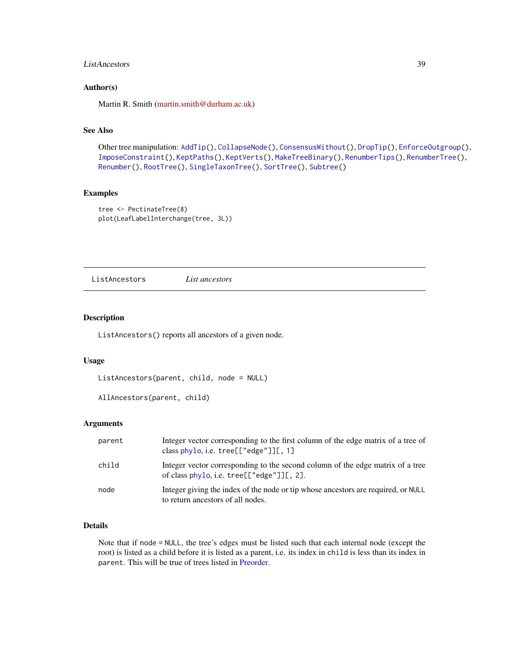## ListAncestors 39

### Author(s)

Martin R. Smith [\(martin.smith@durham.ac.uk\)](mailto:martin.smith@durham.ac.uk)

## See Also

```
AddTip(CollapseNode(ConsensusWithout(DropTip(EnforceOutgroup(),
ImposeConstraint(), KeptPaths(), KeptVerts(), MakeTreeBinary(), RenumberTips(), RenumberTree(),
Renumber(), RootTree(), SingleTaxonTree(), SortTree(), Subtree()
```
#### Examples

```
tree <- PectinateTree(8)
plot(LeafLabelInterchange(tree, 3L))
```
<span id="page-38-0"></span>ListAncestors *List ancestors*

#### Description

ListAncestors() reports all ancestors of a given node.

## Usage

```
ListAncestors(parent, child, node = NULL)
```

```
AllAncestors(parent, child)
```
#### Arguments

| parent | Integer vector corresponding to the first column of the edge matrix of a tree of<br>class phylo, i.e. $tree[["edge"][[, 1]$       |
|--------|-----------------------------------------------------------------------------------------------------------------------------------|
| child  | Integer vector corresponding to the second column of the edge matrix of a tree<br>of class $phylo$ , i.e. tree $[["edge"]$ [, 2]. |
| node   | Integer giving the index of the node or tip whose ancestors are required, or NULL<br>to return ancestors of all nodes.            |

# Details

Note that if node = NULL, the tree's edges must be listed such that each internal node (except the root) is listed as a child before it is listed as a parent, i.e. its index in child is less than its index in parent. This will be true of trees listed in [Preorder.](#page-0-0)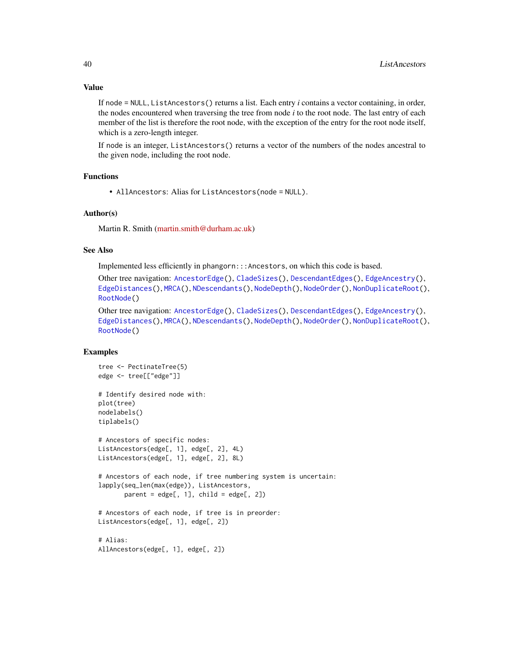If node = NULL, ListAncestors() returns a list. Each entry *i* contains a vector containing, in order, the nodes encountered when traversing the tree from node *i* to the root node. The last entry of each member of the list is therefore the root node, with the exception of the entry for the root node itself, which is a zero-length integer.

If node is an integer, ListAncestors() returns a vector of the numbers of the nodes ancestral to the given node, including the root node.

#### Functions

• AllAncestors: Alias for ListAncestors(node = NULL).

### Author(s)

Martin R. Smith [\(martin.smith@durham.ac.uk\)](mailto:martin.smith@durham.ac.uk)

#### See Also

Implemented less efficiently in phangorn:::Ancestors, on which this code is based.

Other tree navigation: [AncestorEdge\(](#page-0-0)), [CladeSizes\(](#page-11-0)), [DescendantEdges\(](#page-21-0)), [EdgeAncestry\(](#page-25-0)), [EdgeDistances\(](#page-26-0)), [MRCA\(](#page-45-0)), [NDescendants\(](#page-48-0)), [NodeDepth\(](#page-50-0)), [NodeOrder\(](#page-51-0)), [NonDuplicateRoot\(](#page-0-0)), [RootNode\(](#page-70-0))

```
Other tree navigation: AncestorEdge(), CladeSizes(), DescendantEdges(), EdgeAncestry(),
EdgeDistances(), MRCA(), NDescendants(), NodeDepth(), NodeOrder(), NonDuplicateRoot(),
RootNode()
```
### Examples

```
tree <- PectinateTree(5)
edge <- tree[["edge"]]
# Identify desired node with:
plot(tree)
nodelabels()
tiplabels()
# Ancestors of specific nodes:
ListAncestors(edge[, 1], edge[, 2], 4L)
ListAncestors(edge[, 1], edge[, 2], 8L)
# Ancestors of each node, if tree numbering system is uncertain:
lapply(seq_len(max(edge)), ListAncestors,
       parent = edge[, 1], child = edge[, 2]# Ancestors of each node, if tree is in preorder:
ListAncestors(edge[, 1], edge[, 2])
# Alias:
AllAncestors(edge[, 1], edge[, 2])
```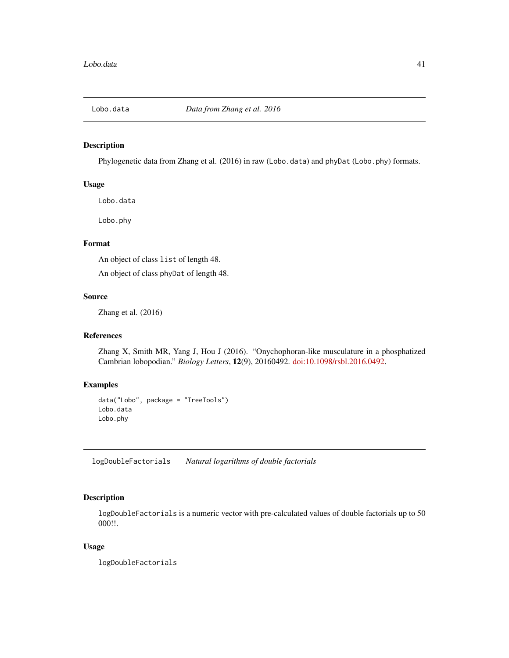# Description

Phylogenetic data from Zhang et al. (2016) in raw (Lobo.data) and phyDat (Lobo.phy) formats.

### Usage

Lobo.data

Lobo.phy

# Format

An object of class list of length 48.

An object of class phyDat of length 48.

## Source

Zhang et al. (2016)

### References

Zhang X, Smith MR, Yang J, Hou J (2016). "Onychophoran-like musculature in a phosphatized Cambrian lobopodian." *Biology Letters*, 12(9), 20160492. [doi:10.1098/rsbl.2016.0492.](https://doi.org/10.1098/rsbl.2016.0492)

# Examples

```
data("Lobo", package = "TreeTools")
Lobo.data
Lobo.phy
```
logDoubleFactorials *Natural logarithms of double factorials*

## Description

logDoubleFactorials is a numeric vector with pre-calculated values of double factorials up to 50 000!!.

#### Usage

logDoubleFactorials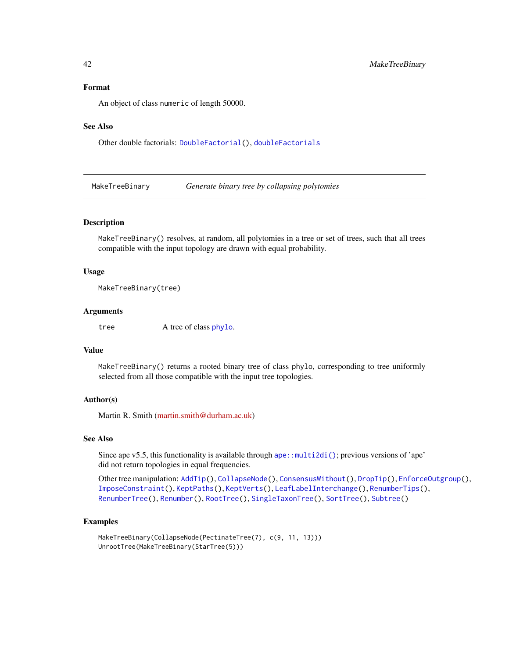#### Format

An object of class numeric of length 50000.

#### See Also

Other double factorials: [DoubleFactorial\(](#page-22-0)), [doubleFactorials](#page-23-1)

<span id="page-41-0"></span>MakeTreeBinary *Generate binary tree by collapsing polytomies*

### Description

MakeTreeBinary() resolves, at random, all polytomies in a tree or set of trees, such that all trees compatible with the input topology are drawn with equal probability.

### Usage

MakeTreeBinary(tree)

#### Arguments

tree A tree of class [phylo](#page-0-0).

## Value

MakeTreeBinary() returns a rooted binary tree of class phylo, corresponding to tree uniformly selected from all those compatible with the input tree topologies.

#### Author(s)

Martin R. Smith [\(martin.smith@durham.ac.uk\)](mailto:martin.smith@durham.ac.uk)

#### See Also

Since ape v5.5, this functionality is available through [ape::multi2di\(\)](#page-0-0); previous versions of 'ape' did not return topologies in equal frequencies.

Other tree manipulation: [AddTip\(](#page-3-0)), [CollapseNode\(](#page-16-0)), [ConsensusWithout\(](#page-18-0)), [DropTip\(](#page-23-0)), [EnforceOutgroup\(](#page-29-0)), [ImposeConstraint\(](#page-32-0)), [KeptPaths\(](#page-33-0)), [KeptVerts\(](#page-35-0)), [LeafLabelInterchange\(](#page-37-0)), [RenumberTips\(](#page-66-0)), [RenumberTree\(](#page-0-0)), [Renumber\(](#page-65-0)), [RootTree\(](#page-71-0)), [SingleTaxonTree\(](#page-73-0)), [SortTree\(](#page-75-0)), [Subtree\(](#page-90-0))

#### Examples

```
MakeTreeBinary(CollapseNode(PectinateTree(7), c(9, 11, 13)))
UnrootTree(MakeTreeBinary(StarTree(5)))
```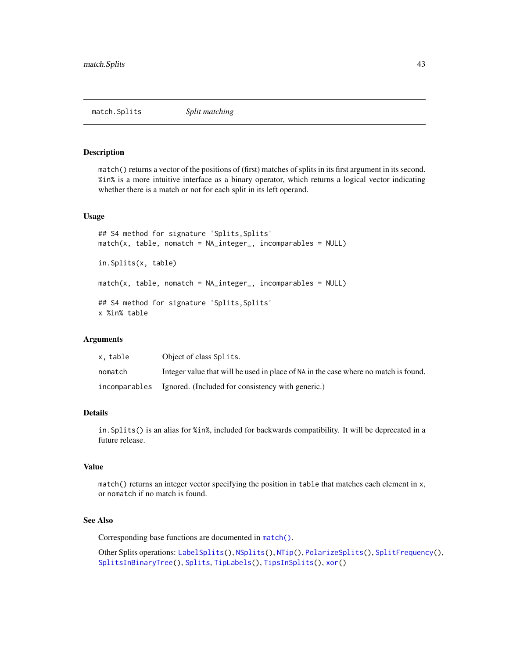#### <span id="page-42-0"></span>Description

match() returns a vector of the positions of (first) matches of splits in its first argument in its second. %in% is a more intuitive interface as a binary operator, which returns a logical vector indicating whether there is a match or not for each split in its left operand.

## Usage

```
## S4 method for signature 'Splits, Splits'
match(x, table, nomatch = NA_integer_, incomparables = NULL)
in.Splits(x, table)
match(x, table, nomatch = NA_integer_, incomparables = NULL)
## S4 method for signature 'Splits, Splits'
x %in% table
```
### Arguments

| x. table | Object of class Splits.                                                             |
|----------|-------------------------------------------------------------------------------------|
| nomatch  | Integer value that will be used in place of NA in the case where no match is found. |
|          | incomparables Ignored. (Included for consistency with generic.)                     |

## Details

in.Splits() is an alias for %in%, included for backwards compatibility. It will be deprecated in a future release.

#### Value

match() returns an integer vector specifying the position in table that matches each element in x, or nomatch if no match is found.

## See Also

Corresponding base functions are documented in [match\(\)](#page-0-0).

Other Splits operations: [LabelSplits\(](#page-36-0)), [NSplits\(](#page-56-0)), [NTip\(](#page-57-0)), [PolarizeSplits\(](#page-60-0)), [SplitFrequency\(](#page-78-0)), [SplitsInBinaryTree\(](#page-84-0)), [Splits](#page-82-1), [TipLabels\(](#page-92-0)), [TipsInSplits\(](#page-94-0)), [xor\(](#page-108-0))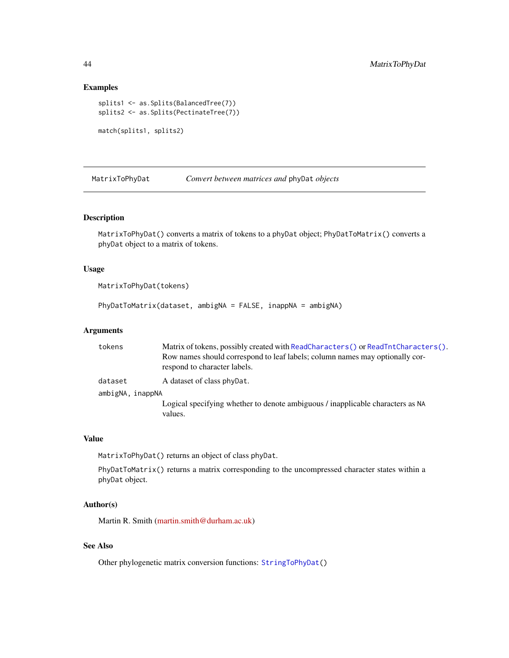### Examples

```
splits1 <- as.Splits(BalancedTree(7))
splits2 <- as.Splits(PectinateTree(7))
match(splits1, splits2)
```
<span id="page-43-0"></span>

MatrixToPhyDat *Convert between matrices and* phyDat *objects*

# Description

MatrixToPhyDat() converts a matrix of tokens to a phyDat object; PhyDatToMatrix() converts a phyDat object to a matrix of tokens.

## Usage

```
MatrixToPhyDat(tokens)
```
PhyDatToMatrix(dataset, ambigNA = FALSE, inappNA = ambigNA)

### Arguments

| tokens           | Matrix of tokens, possibly created with ReadCharacters () or ReadTntCharacters ().        |  |
|------------------|-------------------------------------------------------------------------------------------|--|
|                  | Row names should correspond to leaf labels; column names may optionally cor-              |  |
|                  | respond to character labels.                                                              |  |
| dataset          | A dataset of class phyDat.                                                                |  |
| ambigNA, inappNA |                                                                                           |  |
|                  | Logical specifying whether to denote ambiguous / inapplicable characters as NA<br>values. |  |

# Value

MatrixToPhyDat() returns an object of class phyDat.

PhyDatToMatrix() returns a matrix corresponding to the uncompressed character states within a phyDat object.

## Author(s)

Martin R. Smith [\(martin.smith@durham.ac.uk\)](mailto:martin.smith@durham.ac.uk)

## See Also

Other phylogenetic matrix conversion functions: [StringToPhyDat\(](#page-87-0))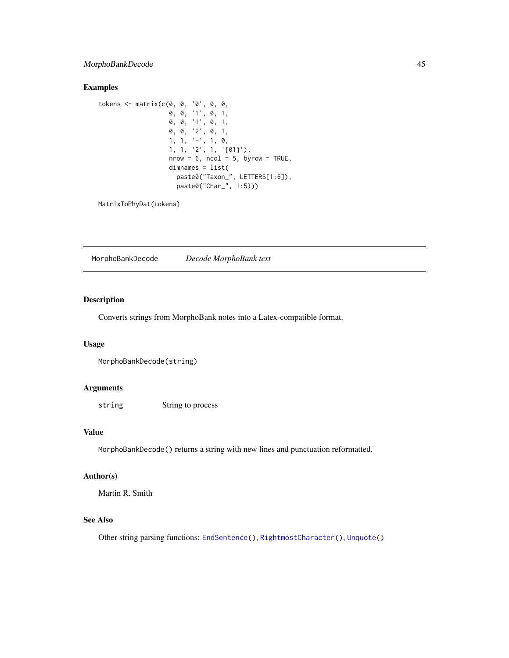# MorphoBankDecode 45

## Examples

```
tokens <- matrix(c(0, 0, '0', 0, 0,
                  0, 0, '1', 0, 1,
                   0, 0, '1', 0, 1,
                   0, 0, '2', 0, 1,
                   1, 1, '-', 1, 0,
                   1, 1, '2', 1, '{01}'),
                   nrow = 6, ncol = 5, byrow = TRUE,
                   dimnames = list(
                     paste0("Taxon_", LETTERS[1:6]),
                     paste0("Char_", 1:5)))
```
MatrixToPhyDat(tokens)

<span id="page-44-0"></span>MorphoBankDecode *Decode MorphoBank text*

### Description

Converts strings from MorphoBank notes into a Latex-compatible format.

### Usage

```
MorphoBankDecode(string)
```
# Arguments

string String to process

#### Value

MorphoBankDecode() returns a string with new lines and punctuation reformatted.

## Author(s)

Martin R. Smith

## See Also

Other string parsing functions: [EndSentence\(](#page-28-0)), [RightmostCharacter\(](#page-68-0)), [Unquote\(](#page-104-0))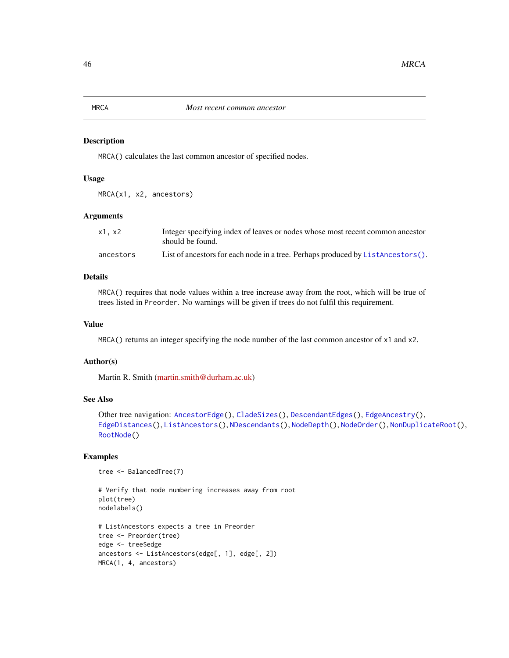# <span id="page-45-0"></span>Description

MRCA() calculates the last common ancestor of specified nodes.

#### Usage

MRCA(x1, x2, ancestors)

#### Arguments

| $x1$ , $x2$ | Integer specifying index of leaves or nodes whose most recent common ancestor<br>should be found. |
|-------------|---------------------------------------------------------------------------------------------------|
| ancestors   | List of ancestors for each node in a tree. Perhaps produced by $ListAnceators()$ .                |

# Details

MRCA() requires that node values within a tree increase away from the root, which will be true of trees listed in Preorder. No warnings will be given if trees do not fulfil this requirement.

## Value

MRCA() returns an integer specifying the node number of the last common ancestor of  $x1$  and  $x2$ .

### Author(s)

Martin R. Smith [\(martin.smith@durham.ac.uk\)](mailto:martin.smith@durham.ac.uk)

#### See Also

```
Other tree navigation: AncestorEdge(), CladeSizes(), DescendantEdges(), EdgeAncestry(),
EdgeDistances(), ListAncestors(), NDescendants(), NodeDepth(), NodeOrder(), NonDuplicateRoot(),
RootNode()
```
## Examples

```
tree <- BalancedTree(7)
```

```
# Verify that node numbering increases away from root
plot(tree)
nodelabels()
# ListAncestors expects a tree in Preorder
tree <- Preorder(tree)
edge <- tree$edge
ancestors <- ListAncestors(edge[, 1], edge[, 2])
MRCA(1, 4, ancestors)
```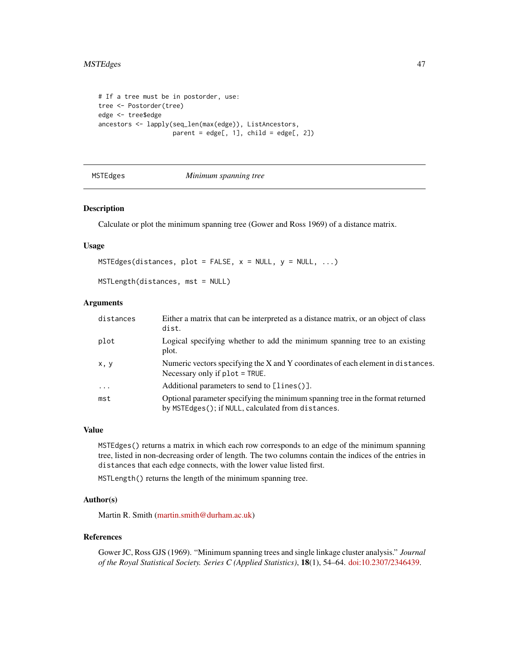```
# If a tree must be in postorder, use:
tree <- Postorder(tree)
edge <- tree$edge
ancestors <- lapply(seq_len(max(edge)), ListAncestors,
                    parent = edge[, 1], child = edge[, 2]
```

```
MSTEdges Minimum spanning tree
```
#### Description

Calculate or plot the minimum spanning tree (Gower and Ross 1969) of a distance matrix.

### Usage

```
MSTEdges(distances, plot = FALSE, x = NULL, y = NULL, ...)
```
MSTLength(distances, mst = NULL)

### Arguments

| distances | Either a matrix that can be interpreted as a distance matrix, or an object of class<br>dist.                                         |
|-----------|--------------------------------------------------------------------------------------------------------------------------------------|
| plot      | Logical specifying whether to add the minimum spanning tree to an existing<br>plot.                                                  |
| x, y      | Numeric vectors specifying the X and Y coordinates of each element in distances.<br>Necessary only if $plot = TRUE$ .                |
| $\ddots$  | Additional parameters to send to [lines()].                                                                                          |
| mst       | Optional parameter specifying the minimum spanning tree in the format returned<br>by MSTEdges(); if NULL, calculated from distances. |

### Value

MSTEdges() returns a matrix in which each row corresponds to an edge of the minimum spanning tree, listed in non-decreasing order of length. The two columns contain the indices of the entries in distances that each edge connects, with the lower value listed first.

MSTLength() returns the length of the minimum spanning tree.

#### Author(s)

Martin R. Smith [\(martin.smith@durham.ac.uk\)](mailto:martin.smith@durham.ac.uk)

#### References

Gower JC, Ross GJS (1969). "Minimum spanning trees and single linkage cluster analysis." *Journal of the Royal Statistical Society. Series C (Applied Statistics)*, 18(1), 54–64. [doi:10.2307/2346439.](https://doi.org/10.2307/2346439)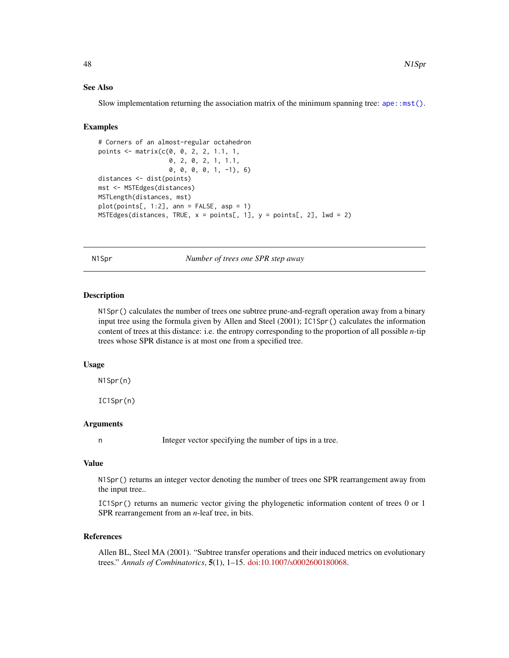#### See Also

Slow implementation returning the association matrix of the minimum spanning tree:  $ape::mst()$ .

#### Examples

```
# Corners of an almost-regular octahedron
points <- matrix(c(0, 0, 2, 2, 1.1, 1,
                   0, 2, 0, 2, 1, 1.1,
                   0, 0, 0, 0, 1, -1), 6)
distances <- dist(points)
mst <- MSTEdges(distances)
MSTLength(distances, mst)
plot(points[, 1:2], ann = FALSE, asp = 1)MSTEdges(distances, TRUE, x = points[, 1], y = points[, 2], 1wd = 2)
```
N1Spr *Number of trees one SPR step away*

### Description

N1Spr() calculates the number of trees one subtree prune-and-regraft operation away from a binary input tree using the formula given by Allen and Steel (2001); IC1Spr() calculates the information content of trees at this distance: i.e. the entropy corresponding to the proportion of all possible *n*-tip trees whose SPR distance is at most one from a specified tree.

#### Usage

N1Spr(n)

IC1Spr(n)

# Arguments

n Integer vector specifying the number of tips in a tree.

## Value

N1Spr() returns an integer vector denoting the number of trees one SPR rearrangement away from the input tree..

IC1Spr() returns an numeric vector giving the phylogenetic information content of trees 0 or 1 SPR rearrangement from an *n*-leaf tree, in bits.

## References

Allen BL, Steel MA (2001). "Subtree transfer operations and their induced metrics on evolutionary trees." *Annals of Combinatorics*, 5(1), 1–15. [doi:10.1007/s0002600180068.](https://doi.org/10.1007/s00026-001-8006-8)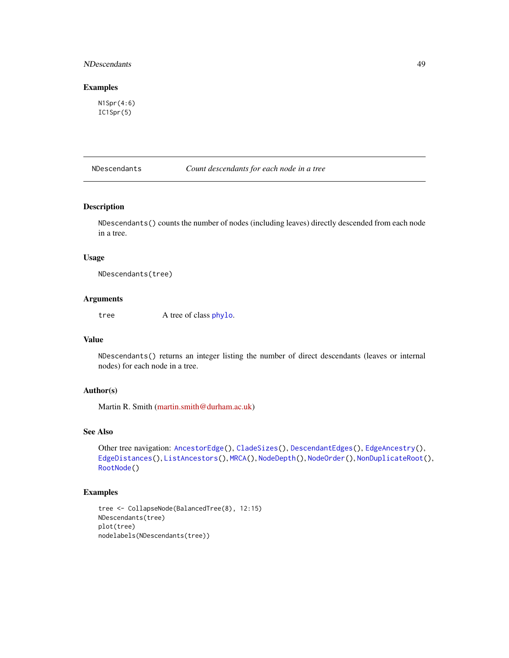## NDescendants 49

## Examples

N1Spr(4:6) IC1Spr(5)

<span id="page-48-0"></span>NDescendants *Count descendants for each node in a tree*

## Description

NDescendants() counts the number of nodes (including leaves) directly descended from each node in a tree.

## Usage

NDescendants(tree)

## Arguments

tree A tree of class [phylo](#page-0-0).

# Value

NDescendants() returns an integer listing the number of direct descendants (leaves or internal nodes) for each node in a tree.

## Author(s)

Martin R. Smith [\(martin.smith@durham.ac.uk\)](mailto:martin.smith@durham.ac.uk)

### See Also

```
Other tree navigation: AncestorEdge(), CladeSizes(), DescendantEdges(), EdgeAncestry(),
EdgeDistances(), ListAncestors(), MRCA(), NodeDepth(), NodeOrder(), NonDuplicateRoot(),
RootNode()
```
# Examples

```
tree <- CollapseNode(BalancedTree(8), 12:15)
NDescendants(tree)
plot(tree)
nodelabels(NDescendants(tree))
```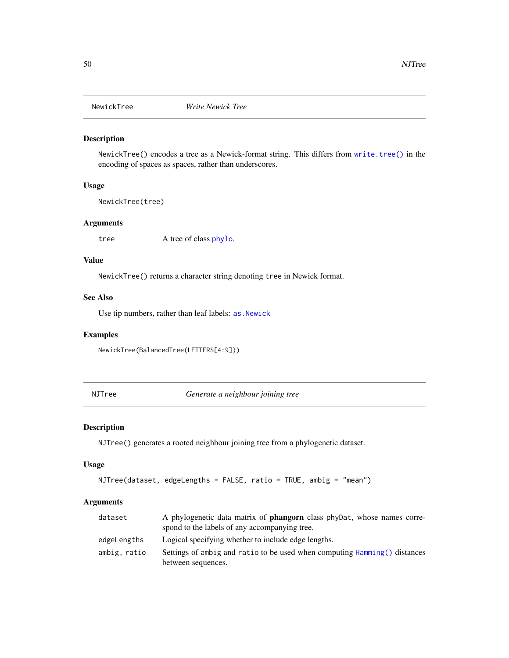## Description

NewickTree() encodes a tree as a Newick-format string. This differs from [write.tree\(\)](#page-0-0) in the encoding of spaces as spaces, rather than underscores.

### Usage

NewickTree(tree)

## Arguments

tree A tree of class [phylo](#page-0-0).

### Value

NewickTree() returns a character string denoting tree in Newick format.

## See Also

Use tip numbers, rather than leaf labels: [as.Newick](#page-9-0)

#### Examples

NewickTree(BalancedTree(LETTERS[4:9]))

NJTree *Generate a neighbour joining tree*

### Description

NJTree() generates a rooted neighbour joining tree from a phylogenetic dataset.

#### Usage

```
NJTree(dataset, edgeLengths = FALSE, ratio = TRUE, ambig = "mean")
```
### Arguments

| dataset      | A phylogenetic data matrix of <b>phangorn</b> class phyDat, whose names corre-<br>spond to the labels of any accompanying tree. |
|--------------|---------------------------------------------------------------------------------------------------------------------------------|
| edgeLengths  | Logical specifying whether to include edge lengths.                                                                             |
| ambig, ratio | Settings of ambig and ratio to be used when computing Hamming () distances<br>between sequences.                                |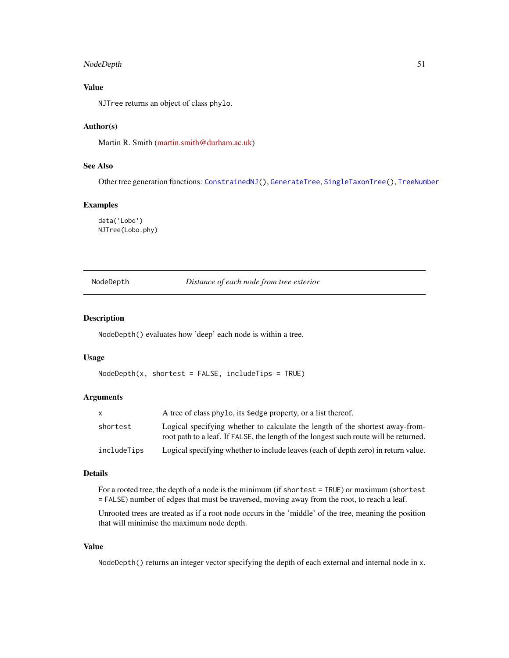# NodeDepth 51

## Value

NJTree returns an object of class phylo.

## Author(s)

Martin R. Smith [\(martin.smith@durham.ac.uk\)](mailto:martin.smith@durham.ac.uk)

## See Also

Other tree generation functions: [ConstrainedNJ\(](#page-20-0)), [GenerateTree](#page-30-0), [SingleTaxonTree\(](#page-73-0)), [TreeNumber](#page-98-0)

## Examples

data('Lobo') NJTree(Lobo.phy)

<span id="page-50-0"></span>NodeDepth *Distance of each node from tree exterior*

#### Description

NodeDepth() evaluates how 'deep' each node is within a tree.

#### Usage

```
NodeDepth(x, shortest = FALSE, includeTip = TRUE)
```
## Arguments

| X           | A tree of class phylo, its \$edge property, or a list thereof.                                                                                                         |
|-------------|------------------------------------------------------------------------------------------------------------------------------------------------------------------------|
| shortest    | Logical specifying whether to calculate the length of the shortest away-from-<br>root path to a leaf. If FALSE, the length of the longest such route will be returned. |
| includeTips | Logical specifying whether to include leaves (each of depth zero) in return value.                                                                                     |

### Details

For a rooted tree, the depth of a node is the minimum (if shortest = TRUE) or maximum (shortest = FALSE) number of edges that must be traversed, moving away from the root, to reach a leaf.

Unrooted trees are treated as if a root node occurs in the 'middle' of the tree, meaning the position that will minimise the maximum node depth.

#### Value

NodeDepth() returns an integer vector specifying the depth of each external and internal node in x.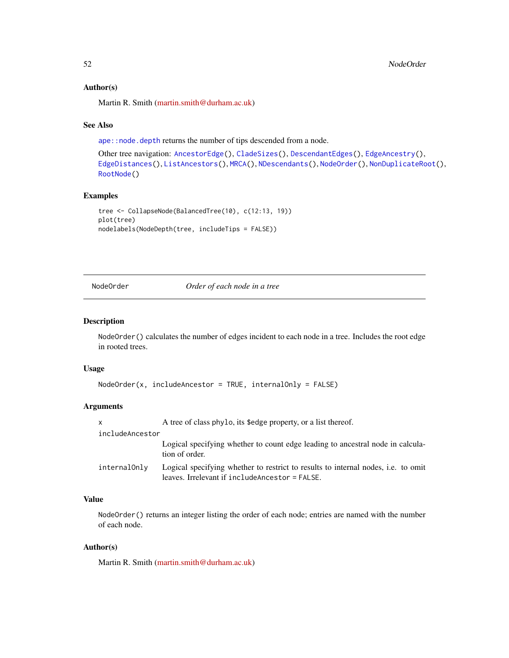### Author(s)

Martin R. Smith [\(martin.smith@durham.ac.uk\)](mailto:martin.smith@durham.ac.uk)

### See Also

[ape::node.depth](#page-0-0) returns the number of tips descended from a node.

```
Other tree navigation: AncestorEdge(), CladeSizes(), DescendantEdges(), EdgeAncestry(),
EdgeDistances(), ListAncestors(), MRCA(), NDescendants(), NodeOrder(), NonDuplicateRoot(),
RootNode()
```
# Examples

```
tree <- CollapseNode(BalancedTree(10), c(12:13, 19))
plot(tree)
nodelabels(NodeDepth(tree, includeTips = FALSE))
```
<span id="page-51-0"></span>NodeOrder *Order of each node in a tree*

## Description

NodeOrder() calculates the number of edges incident to each node in a tree. Includes the root edge in rooted trees.

#### Usage

```
NodeOrder(x, includeAncestor = TRUE, internalOnly = FALSE)
```
# Arguments

| $\mathsf{x}$    | A tree of class phylo, its \$edge property, or a list thereof.                                                                      |
|-----------------|-------------------------------------------------------------------------------------------------------------------------------------|
| includeAncestor |                                                                                                                                     |
|                 | Logical specifying whether to count edge leading to ancestral node in calcula-<br>tion of order.                                    |
| internalOnly    | Logical specifying whether to restrict to results to internal nodes, i.e. to omit<br>leaves. Irrelevant if includeAncestor = FALSE. |

## Value

NodeOrder() returns an integer listing the order of each node; entries are named with the number of each node.

## Author(s)

Martin R. Smith [\(martin.smith@durham.ac.uk\)](mailto:martin.smith@durham.ac.uk)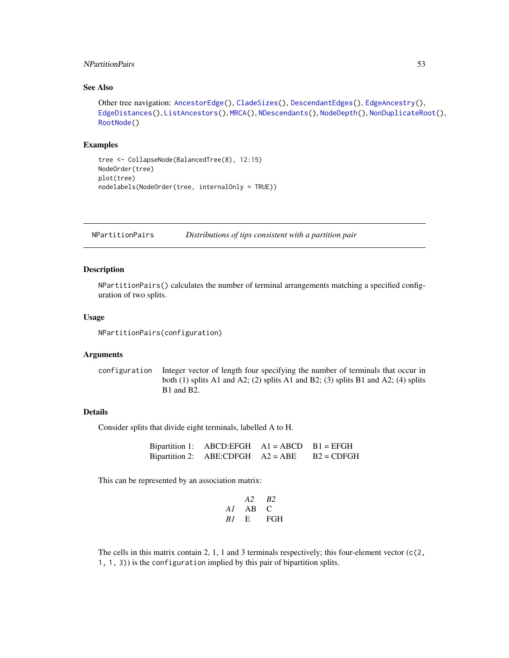## NPartitionPairs 53

## See Also

```
Other tree navigation: AncestorEdge(), CladeSizes(), DescendantEdges(), EdgeAncestry(),
EdgeDistances(), ListAncestors(), MRCA(), NDescendants(), NodeDepth(), NonDuplicateRoot(),
RootNode()
```
### Examples

```
tree <- CollapseNode(BalancedTree(8), 12:15)
NodeOrder(tree)
plot(tree)
nodelabels(NodeOrder(tree, internalOnly = TRUE))
```
NPartitionPairs *Distributions of tips consistent with a partition pair*

# **Description**

NPartitionPairs() calculates the number of terminal arrangements matching a specified configuration of two splits.

### Usage

NPartitionPairs(configuration)

#### Arguments

configuration Integer vector of length four specifying the number of terminals that occur in both (1) splits A1 and A2; (2) splits A1 and B2; (3) splits B1 and A2; (4) splits B1 and B2.

## Details

Consider splits that divide eight terminals, labelled A to H.

Bipartition 1: ABCD:EFGH A1 = ABCD B1 = EFGH Bipartition 2: ABE:CDFGH  $A2 = ABE$   $B2 = CDFGH$ 

This can be represented by an association matrix:

$$
\begin{array}{ccc}\n & A2 & B2 \\
AI & AB & C \\
BI & E & FGH\n\end{array}
$$

The cells in this matrix contain 2, 1, 1 and 3 terminals respectively; this four-element vector  $(c(2, 1))$ 1, 1, 3)) is the configuration implied by this pair of bipartition splits.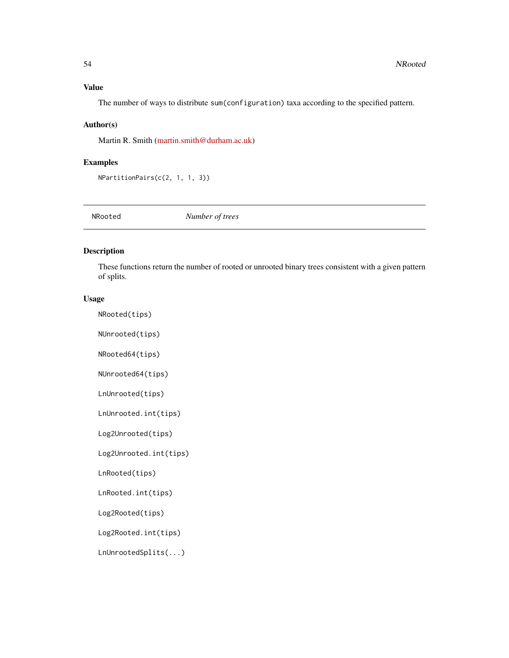### Value

The number of ways to distribute sum(configuration) taxa according to the specified pattern.

## Author(s)

Martin R. Smith [\(martin.smith@durham.ac.uk\)](mailto:martin.smith@durham.ac.uk)

### Examples

NPartitionPairs(c(2, 1, 1, 3))

NRooted *Number of trees*

# Description

These functions return the number of rooted or unrooted binary trees consistent with a given pattern of splits.

## Usage

NRooted(tips)

NUnrooted(tips)

NRooted64(tips)

NUnrooted64(tips)

LnUnrooted(tips)

LnUnrooted.int(tips)

Log2Unrooted(tips)

Log2Unrooted.int(tips)

LnRooted(tips)

LnRooted.int(tips)

Log2Rooted(tips)

Log2Rooted.int(tips)

LnUnrootedSplits(...)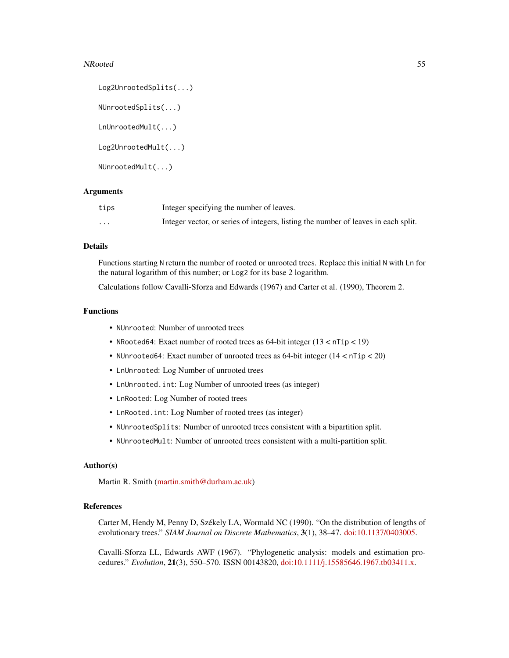#### NRooted 55

```
Log2UnrootedSplits(...)
NUnrootedSplits(...)
LnUnrootedMult(...)
Log2UnrootedMult(...)
NUnrootedMult(...)
```
## Arguments

| tips     | Integer specifying the number of leaves.                                           |
|----------|------------------------------------------------------------------------------------|
| $\cdots$ | Integer vector, or series of integers, listing the number of leaves in each split. |

## Details

Functions starting N return the number of rooted or unrooted trees. Replace this initial N with Ln for the natural logarithm of this number; or Log2 for its base 2 logarithm.

Calculations follow Cavalli-Sforza and Edwards (1967) and Carter et al. (1990), Theorem 2.

#### Functions

- NUnrooted: Number of unrooted trees
- NRooted64: Exact number of rooted trees as 64-bit integer (13 < nTip < 19)
- NUnrooted64: Exact number of unrooted trees as 64-bit integer (14 < nTip < 20)
- LnUnrooted: Log Number of unrooted trees
- LnUnrooted.int: Log Number of unrooted trees (as integer)
- LnRooted: Log Number of rooted trees
- LnRooted.int: Log Number of rooted trees (as integer)
- NUnrootedSplits: Number of unrooted trees consistent with a bipartition split.
- NUnrootedMult: Number of unrooted trees consistent with a multi-partition split.

## Author(s)

Martin R. Smith [\(martin.smith@durham.ac.uk\)](mailto:martin.smith@durham.ac.uk)

### References

Carter M, Hendy M, Penny D, Székely LA, Wormald NC (1990). "On the distribution of lengths of evolutionary trees." *SIAM Journal on Discrete Mathematics*, 3(1), 38–47. [doi:10.1137/0403005.](https://doi.org/10.1137/0403005)

Cavalli-Sforza LL, Edwards AWF (1967). "Phylogenetic analysis: models and estimation procedures." *Evolution*, 21(3), 550–570. ISSN 00143820, [doi:10.1111/j.15585646.1967.tb03411.x.](https://doi.org/10.1111/j.1558-5646.1967.tb03411.x)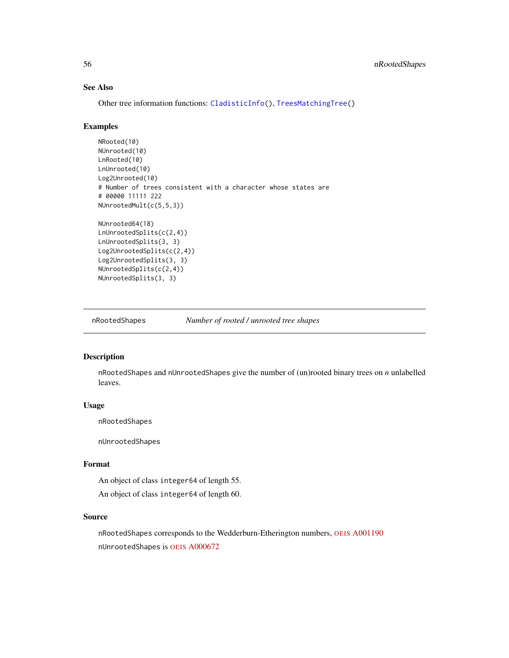# See Also

Other tree information functions: [CladisticInfo\(](#page-12-0)), [TreesMatchingTree\(](#page-102-0))

### Examples

```
NRooted(10)
NUnrooted(10)
LnRooted(10)
LnUnrooted(10)
Log2Unrooted(10)
# Number of trees consistent with a character whose states are
# 00000 11111 222
NUnrootedMult(c(5,5,3))
```

```
NUnrooted64(18)
LnUnrootedSplits(c(2,4))
LnUnrootedSplits(3, 3)
Log2UnrootedSplits(c(2,4))
Log2UnrootedSplits(3, 3)
NUnrootedSplits(c(2,4))
NUnrootedSplits(3, 3)
```
nRootedShapes *Number of rooted / unrooted tree shapes*

# Description

nRootedShapes and nUnrootedShapes give the number of (un)rooted binary trees on *n* unlabelled leaves.

### Usage

nRootedShapes

nUnrootedShapes

### Format

An object of class integer64 of length 55.

An object of class integer64 of length 60.

#### Source

nRootedShapes corresponds to the Wedderburn-Etherington numbers, OEIS [A001190](https://oeis.org/A001190) nUnrootedShapes is OEIS [A000672](https://oeis.org/A000672)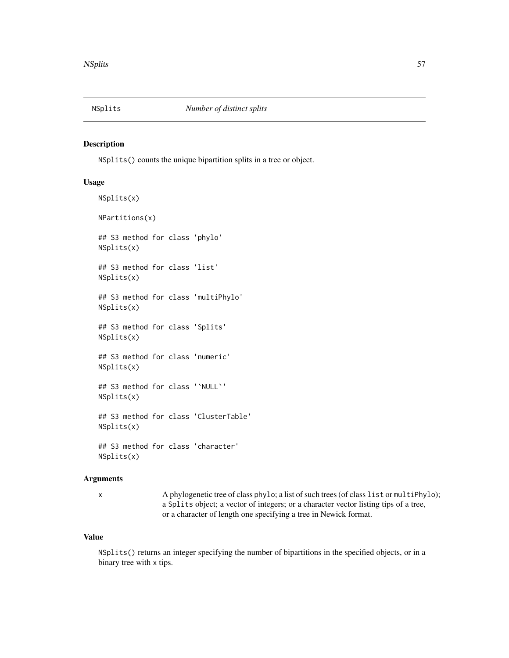<span id="page-56-0"></span>

## Description

NSplits() counts the unique bipartition splits in a tree or object.

# Usage

```
NSplits(x)
NPartitions(x)
## S3 method for class 'phylo'
NSplits(x)
## S3 method for class 'list'
NSplits(x)
## S3 method for class 'multiPhylo'
NSplits(x)
## S3 method for class 'Splits'
NSplits(x)
## S3 method for class 'numeric'
NSplits(x)
## S3 method for class '`NULL`'
NSplits(x)
## S3 method for class 'ClusterTable'
NSplits(x)
## S3 method for class 'character'
NSplits(x)
```
# Arguments

x A phylogenetic tree of class phylo; a list of such trees (of class list or multiPhylo); a Splits object; a vector of integers; or a character vector listing tips of a tree, or a character of length one specifying a tree in Newick format.

#### Value

NSplits() returns an integer specifying the number of bipartitions in the specified objects, or in a binary tree with x tips.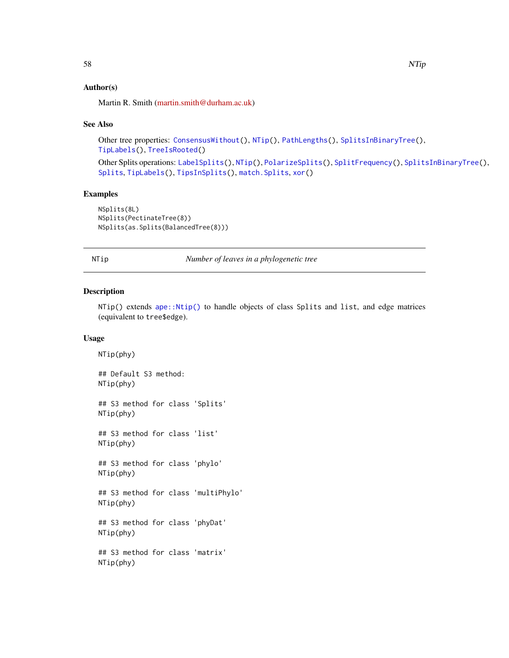### Author(s)

Martin R. Smith [\(martin.smith@durham.ac.uk\)](mailto:martin.smith@durham.ac.uk)

#### See Also

Other tree properties: [ConsensusWithout\(](#page-18-0)), [NTip\(](#page-57-0)), [PathLengths\(](#page-59-0)), [SplitsInBinaryTree\(](#page-84-0)), [TipLabels\(](#page-92-0)), [TreeIsRooted\(](#page-97-0))

Other Splits operations: [LabelSplits\(](#page-36-0)), [NTip\(](#page-57-0)), [PolarizeSplits\(](#page-60-0)), [SplitFrequency\(](#page-78-0)), [SplitsInBinaryTree\(](#page-84-0)), [Splits](#page-82-1), [TipLabels\(](#page-92-0)), [TipsInSplits\(](#page-94-0)), [match.Splits](#page-42-0), [xor\(](#page-108-0))

## Examples

```
NSplits(8L)
NSplits(PectinateTree(8))
NSplits(as.Splits(BalancedTree(8)))
```
<span id="page-57-0"></span>NTip *Number of leaves in a phylogenetic tree*

#### Description

NTip() extends [ape::Ntip\(\)](#page-0-0) to handle objects of class Splits and list, and edge matrices (equivalent to tree\$edge).

### Usage

NTip(phy) ## Default S3 method: NTip(phy) ## S3 method for class 'Splits' NTip(phy) ## S3 method for class 'list' NTip(phy) ## S3 method for class 'phylo' NTip(phy) ## S3 method for class 'multiPhylo' NTip(phy) ## S3 method for class 'phyDat' NTip(phy) ## S3 method for class 'matrix' NTip(phy)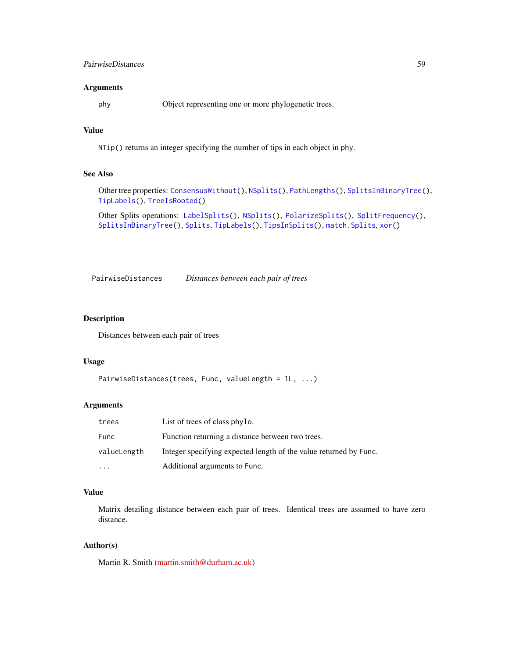## PairwiseDistances 59

### Arguments

phy Object representing one or more phylogenetic trees.

# Value

NTip() returns an integer specifying the number of tips in each object in phy.

## See Also

Other tree properties: [ConsensusWithout\(](#page-18-0)), [NSplits\(](#page-56-0)), [PathLengths\(](#page-59-0)), [SplitsInBinaryTree\(](#page-84-0)), [TipLabels\(](#page-92-0)), [TreeIsRooted\(](#page-97-0))

Other Splits operations: [LabelSplits\(](#page-36-0)), [NSplits\(](#page-56-0)), [PolarizeSplits\(](#page-60-0)), [SplitFrequency\(](#page-78-0)), [SplitsInBinaryTree\(](#page-84-0)), [Splits](#page-82-1), [TipLabels\(](#page-92-0)), [TipsInSplits\(](#page-94-0)), [match.Splits](#page-42-0), [xor\(](#page-108-0))

PairwiseDistances *Distances between each pair of trees*

### Description

Distances between each pair of trees

#### Usage

```
PairwiseDistances(trees, Func, valueLength = 1L, ...)
```
### Arguments

| trees       | List of trees of class phylo.                                     |
|-------------|-------------------------------------------------------------------|
| Func        | Function returning a distance between two trees.                  |
| valueLength | Integer specifying expected length of the value returned by Func. |
| $\cdot$     | Additional arguments to Func.                                     |

## Value

Matrix detailing distance between each pair of trees. Identical trees are assumed to have zero distance.

#### Author(s)

Martin R. Smith [\(martin.smith@durham.ac.uk\)](mailto:martin.smith@durham.ac.uk)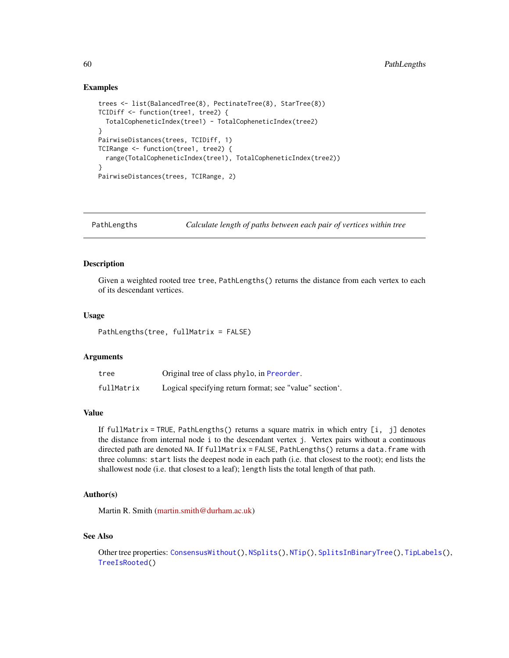### Examples

```
trees <- list(BalancedTree(8), PectinateTree(8), StarTree(8))
TCIDiff <- function(tree1, tree2) {
  TotalCopheneticIndex(tree1) - TotalCopheneticIndex(tree2)
}
PairwiseDistances(trees, TCIDiff, 1)
TCIRange <- function(tree1, tree2) {
  range(TotalCopheneticIndex(tree1), TotalCopheneticIndex(tree2))
}
PairwiseDistances(trees, TCIRange, 2)
```
<span id="page-59-0"></span>PathLengths *Calculate length of paths between each pair of vertices within tree*

#### Description

Given a weighted rooted tree tree, PathLengths() returns the distance from each vertex to each of its descendant vertices.

## Usage

```
PathLengths(tree, fullMatrix = FALSE)
```
### Arguments

| tree       | Original tree of class phylo, in Preorder.              |
|------------|---------------------------------------------------------|
| fullMatrix | Logical specifying return format; see "value" section". |

## Value

If fullMatrix = TRUE, PathLengths() returns a square matrix in which entry [i, j] denotes the distance from internal node i to the descendant vertex j. Vertex pairs without a continuous directed path are denoted NA. If fullMatrix = FALSE, PathLengths() returns a data.frame with three columns: start lists the deepest node in each path (i.e. that closest to the root); end lists the shallowest node (i.e. that closest to a leaf); length lists the total length of that path.

## Author(s)

Martin R. Smith [\(martin.smith@durham.ac.uk\)](mailto:martin.smith@durham.ac.uk)

### See Also

Other tree properties: [ConsensusWithout\(](#page-18-0)), [NSplits\(](#page-56-0)), [NTip\(](#page-57-0)), [SplitsInBinaryTree\(](#page-84-0)), [TipLabels\(](#page-92-0)), [TreeIsRooted\(](#page-97-0))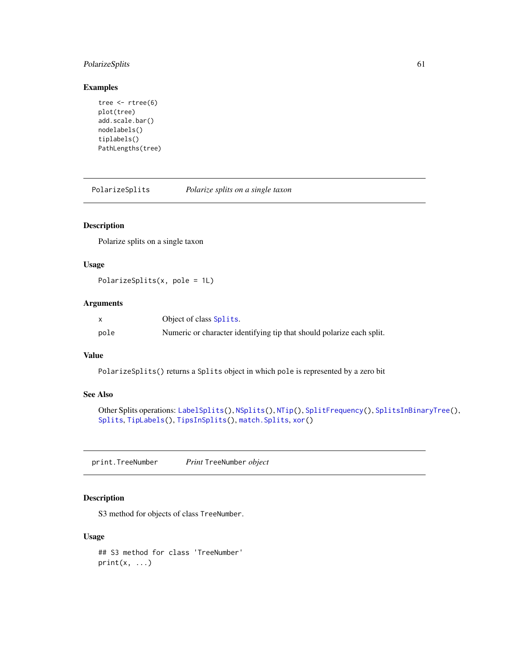# PolarizeSplits 61

## Examples

```
tree <- rtree(6)
plot(tree)
add.scale.bar()
nodelabels()
tiplabels()
PathLengths(tree)
```
<span id="page-60-0"></span>PolarizeSplits *Polarize splits on a single taxon*

## Description

Polarize splits on a single taxon

## Usage

```
PolarizeSplits(x, pole = 1L)
```
## Arguments

|      | Object of class Splits.                                               |
|------|-----------------------------------------------------------------------|
| pole | Numeric or character identifying tip that should polarize each split. |

### Value

PolarizeSplits() returns a Splits object in which pole is represented by a zero bit

# See Also

```
Other Splits operations: LabelSplits(), NSplits(), NTip(), SplitFrequency(), SplitsInBinaryTree(),
Splits, TipLabels(), TipsInSplits(), match.Splits, xor()
```
print.TreeNumber *Print* TreeNumber *object*

# Description

S3 method for objects of class TreeNumber.

#### Usage

## S3 method for class 'TreeNumber'  $print(x, \ldots)$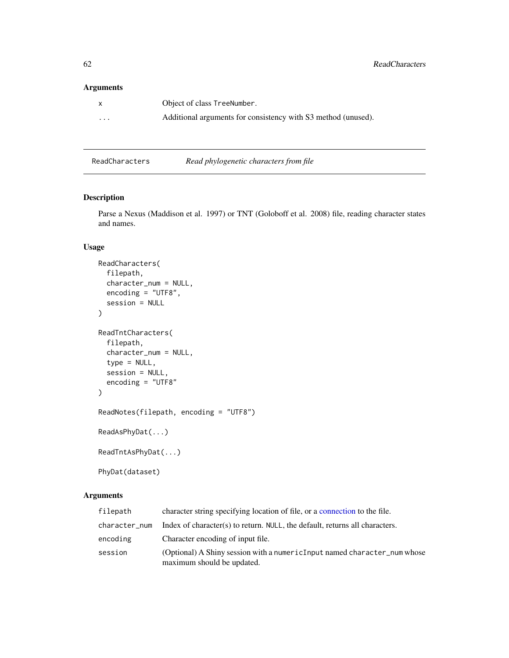## Arguments

| $\mathsf{x}$            | Object of class TreeNumber.                                   |
|-------------------------|---------------------------------------------------------------|
| $\cdot$ $\cdot$ $\cdot$ | Additional arguments for consistency with S3 method (unused). |

<span id="page-61-0"></span>ReadCharacters *Read phylogenetic characters from file*

# <span id="page-61-1"></span>Description

Parse a Nexus (Maddison et al. 1997) or TNT (Goloboff et al. 2008) file, reading character states and names.

## Usage

```
ReadCharacters(
  filepath,
  character_num = NULL,
  encoding = "UTF8",
  session = NULL
)
ReadTntCharacters(
  filepath,
  character_num = NULL,
  type = NULL,
  session = NULL,
  encoding = "UTF8"
)
ReadNotes(filepath, encoding = "UTF8")
ReadAsPhyDat(...)
ReadTntAsPhyDat(...)
PhyDat(dataset)
```
## Arguments

| filepath      | character string specifying location of file, or a connection to the file.                             |
|---------------|--------------------------------------------------------------------------------------------------------|
| character_num | Index of character(s) to return. NULL, the default, returns all characters.                            |
| encoding      | Character encoding of input file.                                                                      |
| session       | (Optional) A Shiny session with a numericInput named character_num whose<br>maximum should be updated. |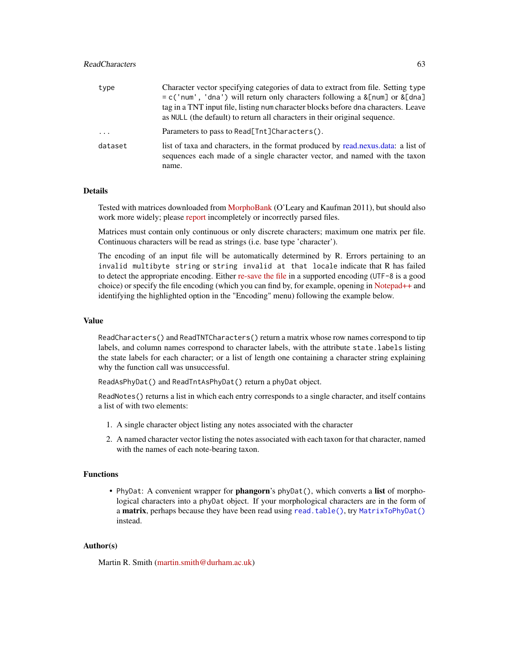## ReadCharacters 63

| type     | Character vector specifying categories of data to extract from file. Setting type                                                                                 |
|----------|-------------------------------------------------------------------------------------------------------------------------------------------------------------------|
|          | $= c('num', 'dna')$ will return only characters following a & [num] or & [dna]                                                                                    |
|          | tag in a TNT input file, listing num character blocks before dna characters. Leave                                                                                |
|          | as NULL (the default) to return all characters in their original sequence.                                                                                        |
| $\cdots$ | Parameters to pass to Read[Tnt]Characters().                                                                                                                      |
| dataset  | list of taxa and characters, in the format produced by read, nexus, data: a list of<br>sequences each made of a single character vector, and named with the taxon |
|          | name.                                                                                                                                                             |

## Details

Tested with matrices downloaded from [MorphoBank](https://morphobank.org) (O'Leary and Kaufman 2011), but should also work more widely; please [report](https://github.com/ms609/TreeTools/issues/new?title=Error+parsing+Nexus+file&body=<!--Tell+me+more+and+attach+your+file...-->) incompletely or incorrectly parsed files.

Matrices must contain only continuous or only discrete characters; maximum one matrix per file. Continuous characters will be read as strings (i.e. base type 'character').

The encoding of an input file will be automatically determined by R. Errors pertaining to an invalid multibyte string or string invalid at that locale indicate that R has failed to detect the appropriate encoding. Either [re-save the file](https://support.rstudio.com/hc/en-us/articles/200532197-Character-Encoding) in a supported encoding (UTF-8 is a good choice) or specify the file encoding (which you can find by, for example, opening in [Notepad++](https://notepad-plus-plus.org/downloads/) and identifying the highlighted option in the "Encoding" menu) following the example below.

## Value

ReadCharacters() and ReadTNTCharacters() return a matrix whose row names correspond to tip labels, and column names correspond to character labels, with the attribute state.labels listing the state labels for each character; or a list of length one containing a character string explaining why the function call was unsuccessful.

ReadAsPhyDat() and ReadTntAsPhyDat() return a phyDat object.

ReadNotes() returns a list in which each entry corresponds to a single character, and itself contains a list of with two elements:

- 1. A single character object listing any notes associated with the character
- 2. A named character vector listing the notes associated with each taxon for that character, named with the names of each note-bearing taxon.

## Functions

• PhyDat: A convenient wrapper for **phangorn**'s  $phv$ Dat(), which converts a **list** of morphological characters into a phyDat object. If your morphological characters are in the form of a matrix, perhaps because they have been read using [read.table\(\)](#page-0-0), try [MatrixToPhyDat\(\)](#page-43-0) instead.

#### Author(s)

Martin R. Smith [\(martin.smith@durham.ac.uk\)](mailto:martin.smith@durham.ac.uk)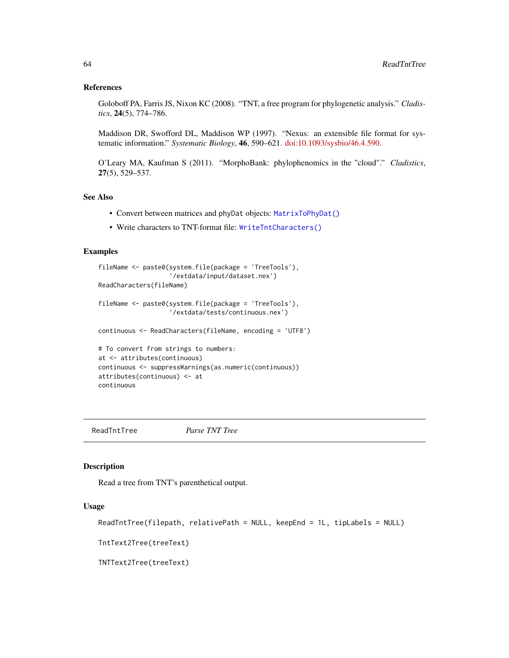#### References

Goloboff PA, Farris JS, Nixon KC (2008). "TNT, a free program for phylogenetic analysis." *Cladistics*, 24(5), 774–786.

Maddison DR, Swofford DL, Maddison WP (1997). "Nexus: an extensible file format for systematic information." *Systematic Biology*, 46, 590–621. [doi:10.1093/sysbio/46.4.590.](https://doi.org/10.1093/sysbio/46.4.590)

O'Leary MA, Kaufman S (2011). "MorphoBank: phylophenomics in the "cloud"." *Cladistics*, 27(5), 529–537.

## See Also

- Convert between matrices and phyDat objects: [MatrixToPhyDat\(\)](#page-43-0)
- Write characters to TNT-format file: [WriteTntCharacters\(\)](#page-107-0)

# Examples

```
fileName <- paste0(system.file(package = 'TreeTools'),
                   '/extdata/input/dataset.nex')
ReadCharacters(fileName)
fileName <- paste0(system.file(package = 'TreeTools'),
                   '/extdata/tests/continuous.nex')
continuous <- ReadCharacters(fileName, encoding = 'UTF8')
# To convert from strings to numbers:
at <- attributes(continuous)
continuous <- suppressWarnings(as.numeric(continuous))
attributes(continuous) <- at
continuous
```
ReadTntTree *Parse TNT Tree*

#### Description

Read a tree from TNT's parenthetical output.

#### Usage

```
ReadTntTree(filepath, relativePath = NULL, keepEnd = 1L, tipLabels = NULL)
```
TntText2Tree(treeText)

TNTText2Tree(treeText)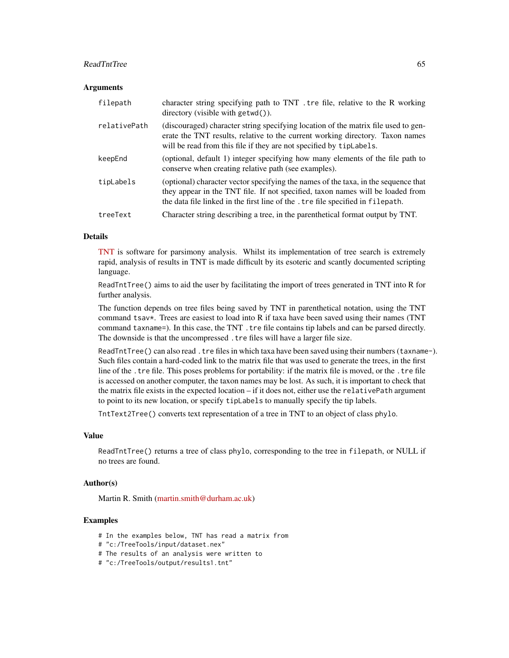#### ReadTntTree 65

#### **Arguments**

| filepath     | character string specifying path to TNT. tre file, relative to the R working<br>directory (visible with getwd()).                                                                                                                                       |
|--------------|---------------------------------------------------------------------------------------------------------------------------------------------------------------------------------------------------------------------------------------------------------|
| relativePath | (discouraged) character string specifying location of the matrix file used to gen-<br>erate the TNT results, relative to the current working directory. Taxon names<br>will be read from this file if they are not specified by tipLabels.              |
| keepEnd      | (optional, default 1) integer specifying how many elements of the file path to<br>conserve when creating relative path (see examples).                                                                                                                  |
| tipLabels    | (optional) character vector specifying the names of the taxa, in the sequence that<br>they appear in the TNT file. If not specified, taxon names will be loaded from<br>the data file linked in the first line of the . tre file specified in filepath. |
| treeText     | Character string describing a tree, in the parenthetical format output by TNT.                                                                                                                                                                          |

### Details

[TNT](http://www.lillo.org.ar/phylogeny/tnt/) is software for parsimony analysis. Whilst its implementation of tree search is extremely rapid, analysis of results in TNT is made difficult by its esoteric and scantly documented scripting language.

ReadTntTree() aims to aid the user by facilitating the import of trees generated in TNT into R for further analysis.

The function depends on tree files being saved by TNT in parenthetical notation, using the TNT command tsav\*. Trees are easiest to load into R if taxa have been saved using their names (TNT command taxname=). In this case, the TNT . tre file contains tip labels and can be parsed directly. The downside is that the uncompressed .tre files will have a larger file size.

ReadTntTree() can also read .tre files in which taxa have been saved using their numbers (taxname-). Such files contain a hard-coded link to the matrix file that was used to generate the trees, in the first line of the .tre file. This poses problems for portability: if the matrix file is moved, or the .tre file is accessed on another computer, the taxon names may be lost. As such, it is important to check that the matrix file exists in the expected location – if it does not, either use the relativePath argument to point to its new location, or specify tipLabels to manually specify the tip labels.

TntText2Tree() converts text representation of a tree in TNT to an object of class phylo.

#### Value

ReadTntTree() returns a tree of class phylo, corresponding to the tree in filepath, or NULL if no trees are found.

## Author(s)

Martin R. Smith [\(martin.smith@durham.ac.uk\)](mailto:martin.smith@durham.ac.uk)

# Examples

- # In the examples below, TNT has read a matrix from
- # "c:/TreeTools/input/dataset.nex"
- # The results of an analysis were written to
- # "c:/TreeTools/output/results1.tnt"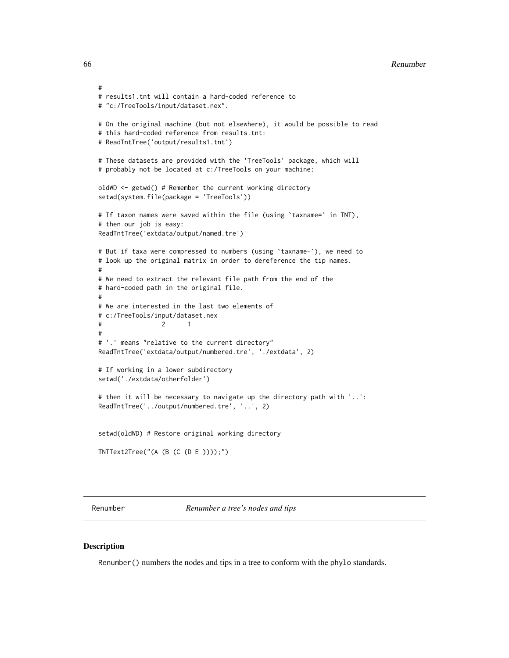#### 66 **Renumber Renumber Renumber Renumber Renumber Renumber Renumber Renumber Renumber Renumber Renumber Renumber Renumber Renumber Renumber Renumber Renumber Renumber Renumber Renumber**

```
#
# results1.tnt will contain a hard-coded reference to
# "c:/TreeTools/input/dataset.nex".
# On the original machine (but not elsewhere), it would be possible to read
# this hard-coded reference from results.tnt:
# ReadTntTree('output/results1.tnt')
# These datasets are provided with the 'TreeTools' package, which will
# probably not be located at c:/TreeTools on your machine:
oldWD <- getwd() # Remember the current working directory
setwd(system.file(package = 'TreeTools'))
# If taxon names were saved within the file (using 'taxname=' in TNT),
# then our job is easy:
ReadTntTree('extdata/output/named.tre')
# But if taxa were compressed to numbers (using `taxname-`), we need to
# look up the original matrix in order to dereference the tip names.
#
# We need to extract the relevant file path from the end of the
# hard-coded path in the original file.
#
# We are interested in the last two elements of
# c:/TreeTools/input/dataset.nex
# 2 1
#
# '.' means "relative to the current directory"
ReadTntTree('extdata/output/numbered.tre', './extdata', 2)
# If working in a lower subdirectory
setwd('./extdata/otherfolder')
# then it will be necessary to navigate up the directory path with '..':
ReadTntTree('../output/numbered.tre', '..', 2)
setwd(oldWD) # Restore original working directory
TNTText2Tree("(A (B (C (D E ))));")
```
<span id="page-65-0"></span>Renumber *Renumber a tree's nodes and tips*

## **Description**

Renumber() numbers the nodes and tips in a tree to conform with the phylo standards.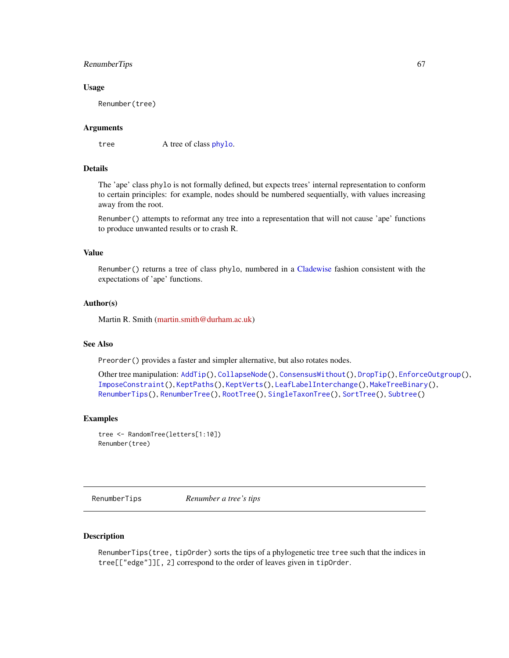## RenumberTips 67

### Usage

Renumber(tree)

## Arguments

tree A tree of class [phylo](#page-0-0).

### Details

The 'ape' class phylo is not formally defined, but expects trees' internal representation to conform to certain principles: for example, nodes should be numbered sequentially, with values increasing away from the root.

Renumber() attempts to reformat any tree into a representation that will not cause 'ape' functions to produce unwanted results or to crash R.

## Value

Renumber() returns a tree of class phylo, numbered in a [Cladewise](#page-0-0) fashion consistent with the expectations of 'ape' functions.

### Author(s)

Martin R. Smith [\(martin.smith@durham.ac.uk\)](mailto:martin.smith@durham.ac.uk)

#### See Also

Preorder() provides a faster and simpler alternative, but also rotates nodes.

```
AddTip(CollapseNode(ConsensusWithout(DropTip(EnforceOutgroup(),
ImposeConstraint(), KeptPaths(), KeptVerts(), LeafLabelInterchange(), MakeTreeBinary(),
RenumberTips(), RenumberTree(), RootTree(), SingleTaxonTree(), SortTree(), Subtree()
```
#### Examples

```
tree <- RandomTree(letters[1:10])
Renumber(tree)
```
<span id="page-66-0"></span>RenumberTips *Renumber a tree's tips*

### Description

RenumberTips(tree, tipOrder) sorts the tips of a phylogenetic tree tree such that the indices in tree[["edge"]][, 2] correspond to the order of leaves given in tipOrder.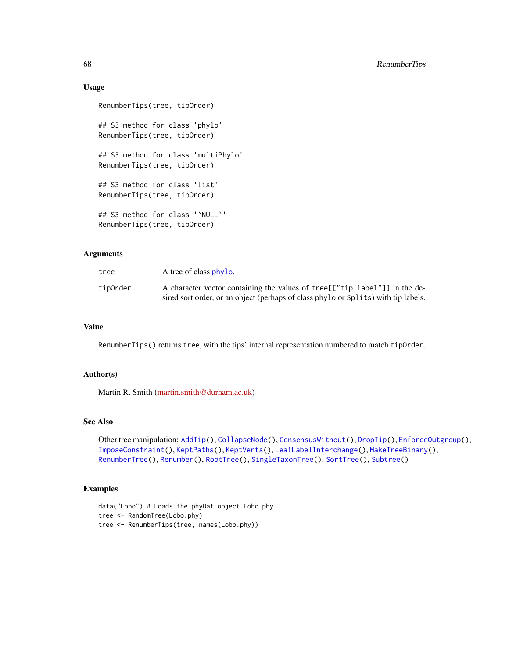### Usage

```
RenumberTips(tree, tipOrder)
## S3 method for class 'phylo'
RenumberTips(tree, tipOrder)
## S3 method for class 'multiPhylo'
RenumberTips(tree, tipOrder)
## S3 method for class 'list'
RenumberTips(tree, tipOrder)
## S3 method for class '`NULL`'
RenumberTips(tree, tipOrder)
```
## Arguments

| tree     | A tree of class phylo.                                                             |
|----------|------------------------------------------------------------------------------------|
| tipOrder | A character vector containing the values of tree [["tip.label"]] in the de-        |
|          | sired sort order, or an object (perhaps of class phylo or Splits) with tip labels. |

### Value

RenumberTips() returns tree, with the tips' internal representation numbered to match tipOrder.

## Author(s)

Martin R. Smith [\(martin.smith@durham.ac.uk\)](mailto:martin.smith@durham.ac.uk)

# See Also

```
AddTip(CollapseNode(ConsensusWithout(DropTip(EnforceOutgroup(),
ImposeConstraint(), KeptPaths(), KeptVerts(), LeafLabelInterchange(), MakeTreeBinary(),
RenumberTree(), Renumber(), RootTree(), SingleTaxonTree(), SortTree(), Subtree()
```
# Examples

```
data("Lobo") # Loads the phyDat object Lobo.phy
tree <- RandomTree(Lobo.phy)
tree <- RenumberTips(tree, names(Lobo.phy))
```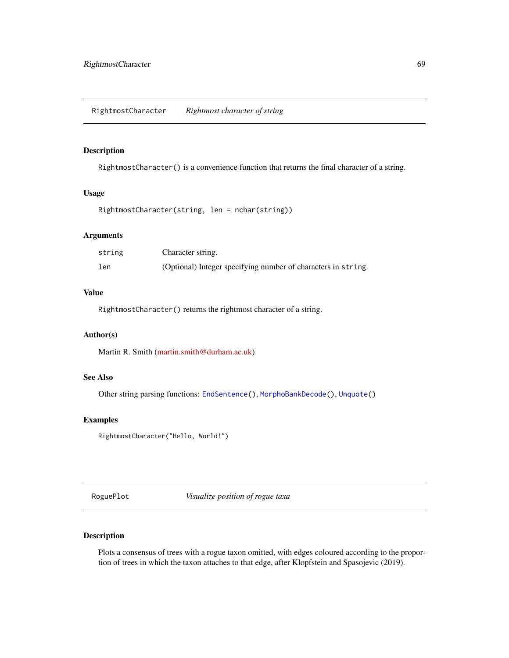<span id="page-68-0"></span>RightmostCharacter *Rightmost character of string*

# Description

RightmostCharacter() is a convenience function that returns the final character of a string.

#### Usage

```
RightmostCharacter(string, len = nchar(string))
```
## Arguments

| string | Character string.                                             |
|--------|---------------------------------------------------------------|
| len    | (Optional) Integer specifying number of characters in string. |

# Value

RightmostCharacter() returns the rightmost character of a string.

#### Author(s)

Martin R. Smith [\(martin.smith@durham.ac.uk\)](mailto:martin.smith@durham.ac.uk)

#### See Also

Other string parsing functions: [EndSentence\(](#page-28-0)), [MorphoBankDecode\(](#page-44-0)), [Unquote\(](#page-104-0))

# Examples

```
RightmostCharacter("Hello, World!")
```
RoguePlot *Visualize position of rogue taxa*

# Description

Plots a consensus of trees with a rogue taxon omitted, with edges coloured according to the proportion of trees in which the taxon attaches to that edge, after Klopfstein and Spasojevic (2019).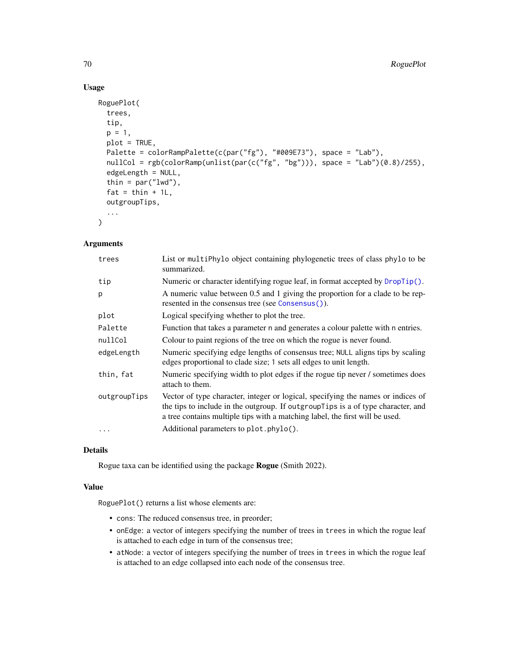# Usage

```
RoguePlot(
 trees,
  tip,
 p = 1,
 plot = TRUE,
 Palette = colorRampPalette(c(par("fg"), "#009E73"), space = "Lab"),
  nullCol = rgb(colorRamp(unlist(par(c("fg", "bg"))), space = "Lab")(0.8)/255),
  edgeLength = NULL,
  thin = par("lwd"),
  fat = thin + 1L,outgroupTips,
  ...
\mathcal{L}
```
# Arguments

| trees        | List or multiPhylo object containing phylogenetic trees of class phylo to be<br>summarized.                                                                                                                                                           |
|--------------|-------------------------------------------------------------------------------------------------------------------------------------------------------------------------------------------------------------------------------------------------------|
| tip          | Numeric or character identifying rogue leaf, in format accepted by DropTip().                                                                                                                                                                         |
| p            | A numeric value between 0.5 and 1 giving the proportion for a clade to be rep-<br>resented in the consensus tree (see Consensus()).                                                                                                                   |
| plot         | Logical specifying whether to plot the tree.                                                                                                                                                                                                          |
| Palette      | Function that takes a parameter n and generates a colour palette with n entries.                                                                                                                                                                      |
| nullCol      | Colour to paint regions of the tree on which the rogue is never found.                                                                                                                                                                                |
| edgeLength   | Numeric specifying edge lengths of consensus tree; NULL aligns tips by scaling<br>edges proportional to clade size; 1 sets all edges to unit length.                                                                                                  |
| thin, fat    | Numeric specifying width to plot edges if the rogue tip never / sometimes does<br>attach to them.                                                                                                                                                     |
| outgroupTips | Vector of type character, integer or logical, specifying the names or indices of<br>the tips to include in the outgroup. If outgroup Tips is a of type character, and<br>a tree contains multiple tips with a matching label, the first will be used. |
|              | Additional parameters to plot.phylo().                                                                                                                                                                                                                |

## Details

Rogue taxa can be identified using the package Rogue (Smith 2022).

## Value

RoguePlot() returns a list whose elements are:

- cons: The reduced consensus tree, in preorder;
- onEdge: a vector of integers specifying the number of trees in trees in which the rogue leaf is attached to each edge in turn of the consensus tree;
- atNode: a vector of integers specifying the number of trees in trees in which the rogue leaf is attached to an edge collapsed into each node of the consensus tree.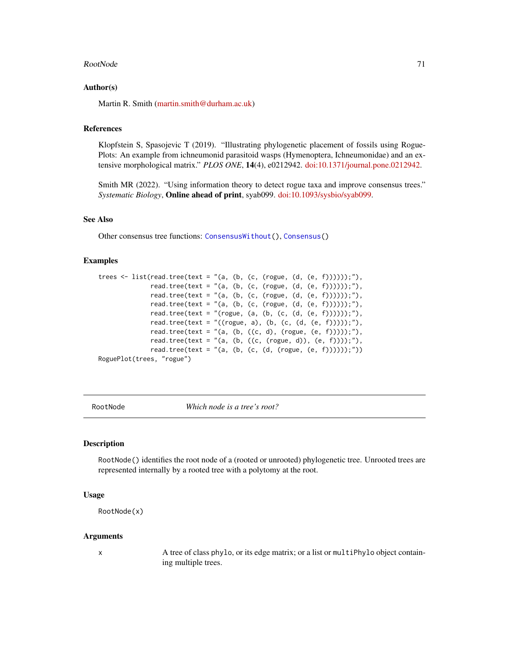#### RootNode 71

### Author(s)

Martin R. Smith [\(martin.smith@durham.ac.uk\)](mailto:martin.smith@durham.ac.uk)

### References

Klopfstein S, Spasojevic T (2019). "Illustrating phylogenetic placement of fossils using Rogue-Plots: An example from ichneumonid parasitoid wasps (Hymenoptera, Ichneumonidae) and an extensive morphological matrix." *PLOS ONE*, 14(4), e0212942. [doi:10.1371/journal.pone.0212942.](https://doi.org/10.1371/journal.pone.0212942)

Smith MR (2022). "Using information theory to detect rogue taxa and improve consensus trees." *Systematic Biology*, Online ahead of print, syab099. [doi:10.1093/sysbio/syab099.](https://doi.org/10.1093/sysbio/syab099)

## See Also

Other consensus tree functions: [ConsensusWithout\(](#page-18-0)), [Consensus\(](#page-17-0))

#### Examples

```
trees \le list(read.tree(text = "(a, (b, (c, (rogue, (d, (e, f))))));"),
              read.tree(text = "(a, (b, (c, (rogue, (d, (e, f))))));"),
              read.tree(text = "(a, (b, (c, (rogue, (d, (e, f))))));"),
              read.tree(text = "(a, (b, (c, (rogue, (d, (e, f))))));"),
              read.tree(text = "(rogue, (a, (b, (c, (d, (e, f))))));"),
              read.tree(text = "((rogue, a), (b, (c, (d, (e, f)))));"),
              read.tree(text = "(a, (b, ((c, d), (rogue, (e, f)))));"),read.tree(text = "(a, (b, ((c, (rogue, d)), (e, f))));"),
              read.tree(text = "(a, (b, (c, (d, (rogue, (e, f))))));"))
RoguePlot(trees, "rogue")
```
<span id="page-70-0"></span>RootNode *Which node is a tree's root?*

## **Description**

RootNode() identifies the root node of a (rooted or unrooted) phylogenetic tree. Unrooted trees are represented internally by a rooted tree with a polytomy at the root.

### Usage

```
RootNode(x)
```
#### Arguments

x A tree of class phylo, or its edge matrix; or a list or multiPhylo object containing multiple trees.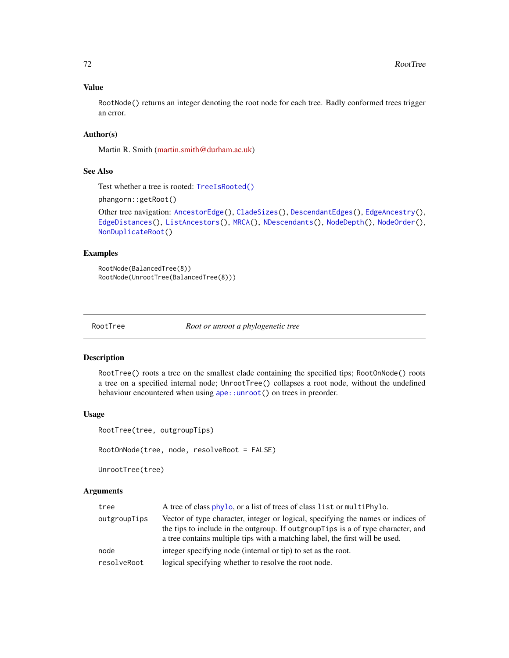## Value

RootNode() returns an integer denoting the root node for each tree. Badly conformed trees trigger an error.

# Author(s)

Martin R. Smith [\(martin.smith@durham.ac.uk\)](mailto:martin.smith@durham.ac.uk)

### See Also

Test whether a tree is rooted: [TreeIsRooted\(\)](#page-97-0)

phangorn::getRoot()

```
Other tree navigation: AncestorEdge(), CladeSizes(), DescendantEdges(), EdgeAncestry(),
EdgeDistances(), ListAncestors(), MRCA(), NDescendants(), NodeDepth(), NodeOrder(),
NonDuplicateRoot()
```
### Examples

```
RootNode(BalancedTree(8))
RootNode(UnrootTree(BalancedTree(8)))
```
<span id="page-71-0"></span>

RootTree *Root or unroot a phylogenetic tree*

#### Description

RootTree() roots a tree on the smallest clade containing the specified tips; RootOnNode() roots a tree on a specified internal node; UnrootTree() collapses a root node, without the undefined behaviour encountered when using [ape::unroot\(](#page-0-0)) on trees in preorder.

#### Usage

```
RootTree(tree, outgroupTips)
```

```
RootOnNode(tree, node, resolveRoot = FALSE)
```
UnrootTree(tree)

#### Arguments

| tree         | A tree of class phylo, or a list of trees of class list or multiphylo.                                                                                                                                                                                |
|--------------|-------------------------------------------------------------------------------------------------------------------------------------------------------------------------------------------------------------------------------------------------------|
| outgroupTips | Vector of type character, integer or logical, specifying the names or indices of<br>the tips to include in the outgroup. If outgroup Tips is a of type character, and<br>a tree contains multiple tips with a matching label, the first will be used. |
| node         | integer specifying node (internal or tip) to set as the root.                                                                                                                                                                                         |
| resolveRoot  | logical specifying whether to resolve the root node.                                                                                                                                                                                                  |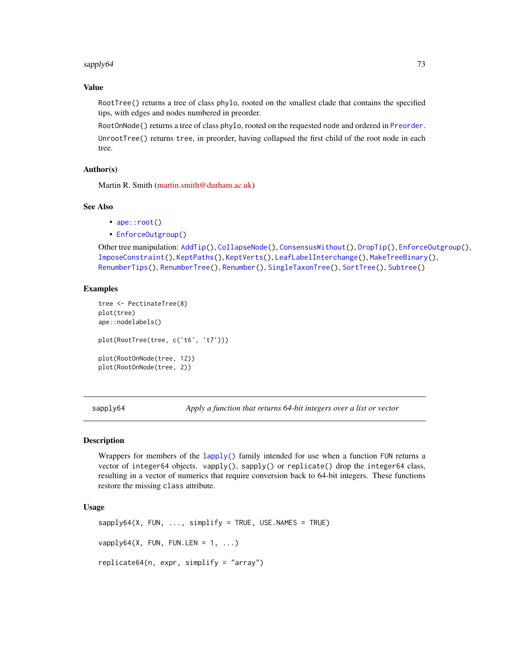#### sapply64 73

# Value

RootTree() returns a tree of class phylo, rooted on the smallest clade that contains the specified tips, with edges and nodes numbered in preorder.

RootOnNode() returns a tree of class phylo, rooted on the requested node and ordered in [Preorder](#page-0-0). UnrootTree() returns tree, in preorder, having collapsed the first child of the root node in each tree.

# Author(s)

Martin R. Smith [\(martin.smith@durham.ac.uk\)](mailto:martin.smith@durham.ac.uk)

## See Also

- [ape::root\(\)](#page-0-0)
- [EnforceOutgroup\(\)](#page-29-0)

```
AddTip(CollapseNode(ConsensusWithout(DropTip(EnforceOutgroup(),
ImposeConstraint(), KeptPaths(), KeptVerts(), LeafLabelInterchange(), MakeTreeBinary(),
RenumberTips(), RenumberTree(), Renumber(), SingleTaxonTree(), SortTree(), Subtree()
```
# Examples

```
tree <- PectinateTree(8)
plot(tree)
ape::nodelabels()
plot(RootTree(tree, c('t6', 't7')))
plot(RootOnNode(tree, 12))
plot(RootOnNode(tree, 2))
```
sapply64 *Apply a function that returns 64-bit integers over a list or vector*

#### Description

Wrappers for members of the [lapply\(\)](#page-0-0) family intended for use when a function FUN returns a vector of integer64 objects. vapply(), sapply() or replicate() drop the integer64 class, resulting in a vector of numerics that require conversion back to 64-bit integers. These functions restore the missing class attribute.

```
sapply64(X, FUN, ..., simplify = TRUE, USE.NAMES = TRUE)vapply64(X, FUN, FUN.LEN = 1, ...)
replicate64(n, expr, simplify = "array")
```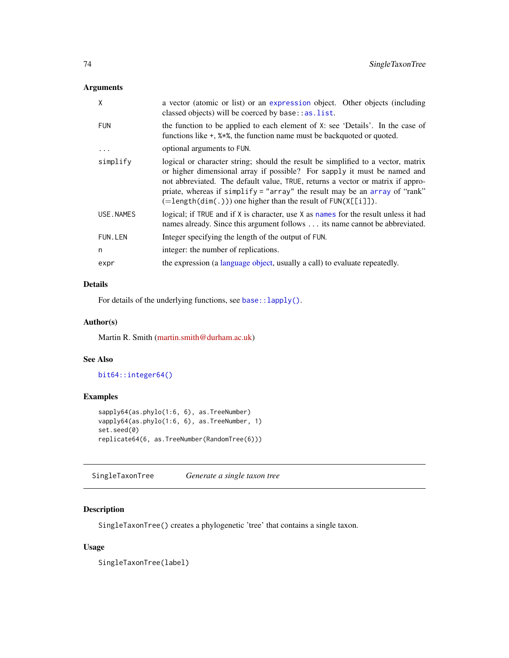# Arguments

| X          | a vector (atomic or list) or an expression object. Other objects (including<br>classed objects) will be coerced by base: : as. list.                                                                                                                                                                                                                                                                     |
|------------|----------------------------------------------------------------------------------------------------------------------------------------------------------------------------------------------------------------------------------------------------------------------------------------------------------------------------------------------------------------------------------------------------------|
| <b>FUN</b> | the function to be applied to each element of X: see 'Details'. In the case of<br>functions like $+$ , $%*$ , the function name must be backguoted or quoted.                                                                                                                                                                                                                                            |
|            | optional arguments to FUN.                                                                                                                                                                                                                                                                                                                                                                               |
| simplify   | logical or character string; should the result be simplified to a vector, matrix<br>or higher dimensional array if possible? For sapply it must be named and<br>not abbreviated. The default value, TRUE, returns a vector or matrix if appro-<br>priate, whereas if simplify = "array" the result may be an array of "rank"<br>$(=\text{length}(dim(.)))$ one higher than the result of $FUN(X[[i]])$ . |
| USE.NAMES  | logical; if TRUE and if X is character, use X as names for the result unless it had<br>names already. Since this argument follows its name cannot be abbreviated.                                                                                                                                                                                                                                        |
| FUN.LEN    | Integer specifying the length of the output of FUN.                                                                                                                                                                                                                                                                                                                                                      |
| n          | integer: the number of replications.                                                                                                                                                                                                                                                                                                                                                                     |
| expr       | the expression (a language object, usually a call) to evaluate repeatedly.                                                                                                                                                                                                                                                                                                                               |
|            |                                                                                                                                                                                                                                                                                                                                                                                                          |

# Details

For details of the underlying functions, see base:: lapply().

# Author(s)

Martin R. Smith [\(martin.smith@durham.ac.uk\)](mailto:martin.smith@durham.ac.uk)

# See Also

[bit64::integer64\(\)](#page-0-0)

# Examples

```
sapply64(as.phylo(1:6, 6), as.TreeNumber)
vapply64(as.phylo(1:6, 6), as.TreeNumber, 1)
set.seed(0)
replicate64(6, as.TreeNumber(RandomTree(6)))
```
<span id="page-73-0"></span>SingleTaxonTree *Generate a single taxon tree*

# Description

SingleTaxonTree() creates a phylogenetic 'tree' that contains a single taxon.

# Usage

SingleTaxonTree(label)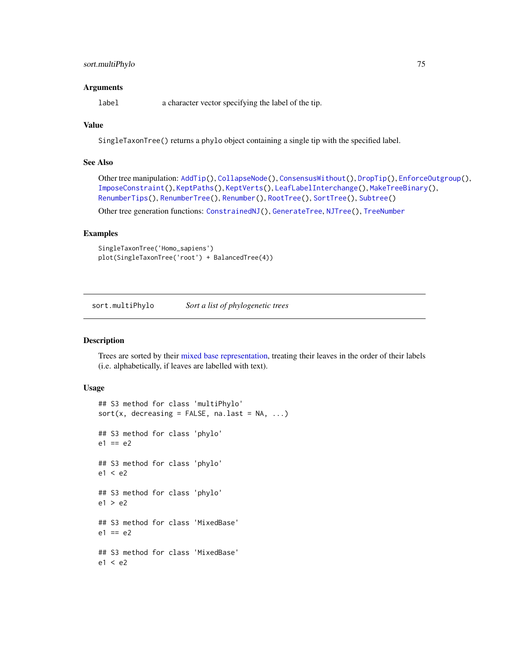# sort.multiPhylo 75

### **Arguments**

label a character vector specifying the label of the tip.

# Value

SingleTaxonTree() returns a phylo object containing a single tip with the specified label.

# See Also

```
Other tree manipulation: AddTip(), CollapseNode(), ConsensusWithout(), DropTip(), EnforceOutgroup(),
ImposeConstraint(), KeptPaths(), KeptVerts(), LeafLabelInterchange(), MakeTreeBinary(),
RenumberTips(), RenumberTree(), Renumber(), RootTree(), SortTree(), Subtree()
```
Other tree generation functions: [ConstrainedNJ\(](#page-20-0)), [GenerateTree](#page-30-0), [NJTree\(](#page-49-0)), [TreeNumber](#page-98-0)

# Examples

```
SingleTaxonTree('Homo_sapiens')
plot(SingleTaxonTree('root') + BalancedTree(4))
```
<span id="page-74-0"></span>sort.multiPhylo *Sort a list of phylogenetic trees*

## Description

Trees are sorted by their [mixed base representation,](#page-98-0) treating their leaves in the order of their labels (i.e. alphabetically, if leaves are labelled with text).

```
## S3 method for class 'multiPhylo'
sort(x, decreasing = FALSE, na last = NA, ...)## S3 method for class 'phylo'
e1 == e2## S3 method for class 'phylo'
e1 < e2
## S3 method for class 'phylo'
e1 > e2## S3 method for class 'MixedBase'
e1 == e2## S3 method for class 'MixedBase'
e1 < e2
```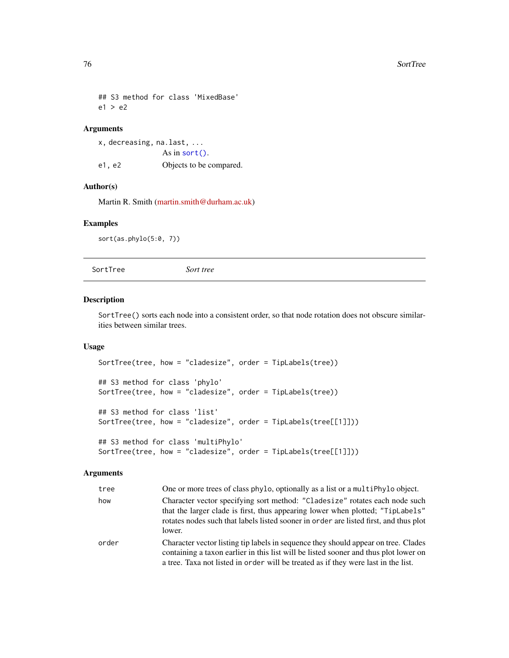```
## S3 method for class 'MixedBase'
e1 > e2
```
# Arguments

```
x, decreasing, na.last, ...
               As in sort().
e1, e2 Objects to be compared.
```
# Author(s)

Martin R. Smith [\(martin.smith@durham.ac.uk\)](mailto:martin.smith@durham.ac.uk)

# Examples

sort(as.phylo(5:0, 7))

<span id="page-75-0"></span>SortTree *Sort tree*

## Description

SortTree() sorts each node into a consistent order, so that node rotation does not obscure similarities between similar trees.

# Usage

```
SortTree(tree, how = "cladesize", order = TipLabels(tree))
## S3 method for class 'phylo'
SortTree(tree, how = "cladesize", order = TipLabels(tree))
## S3 method for class 'list'
SortTree(tree, how = "cladesize", order = TipLabels(tree[[1]]))
## S3 method for class 'multiPhylo'
SortTree(tree, how = "cladesize", order = TipLabels(tree[[1]]))
```
## Arguments

| tree  | One or more trees of class phylo, optionally as a list or a multiphylo object.                                                                                                                                                                                   |
|-------|------------------------------------------------------------------------------------------------------------------------------------------------------------------------------------------------------------------------------------------------------------------|
| how   | Character vector specifying sort method: "Cladesize" rotates each node such<br>that the larger clade is first, thus appearing lower when plotted; "TipLabels"<br>rotates nodes such that labels listed sooner in order are listed first, and thus plot<br>lower. |
| order | Character vector listing tip labels in sequence they should appear on tree. Clades<br>containing a taxon earlier in this list will be listed sooner and thus plot lower on<br>a tree. Taxa not listed in order will be treated as if they were last in the list. |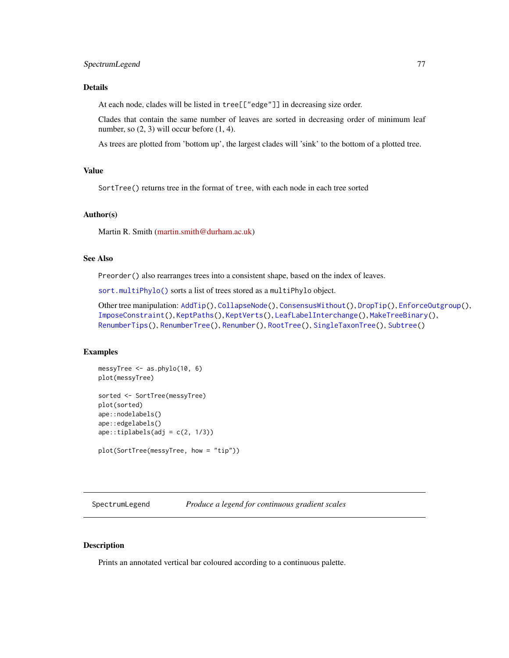# Details

At each node, clades will be listed in tree[["edge"]] in decreasing size order.

Clades that contain the same number of leaves are sorted in decreasing order of minimum leaf number, so  $(2, 3)$  will occur before  $(1, 4)$ .

As trees are plotted from 'bottom up', the largest clades will 'sink' to the bottom of a plotted tree.

## Value

SortTree() returns tree in the format of tree, with each node in each tree sorted

## Author(s)

Martin R. Smith [\(martin.smith@durham.ac.uk\)](mailto:martin.smith@durham.ac.uk)

## See Also

Preorder() also rearranges trees into a consistent shape, based on the index of leaves.

[sort.multiPhylo\(\)](#page-74-0) sorts a list of trees stored as a multiPhylo object.

```
Other tree manipulation: AddTip(), CollapseNode(), ConsensusWithout(), DropTip(), EnforceOutgroup(),
ImposeConstraint(), KeptPaths(), KeptVerts(), LeafLabelInterchange(), MakeTreeBinary(),
RenumberTips(), RenumberTree(), Renumber(), RootTree(), SingleTaxonTree(), Subtree()
```
## Examples

```
messyTree <- as.phylo(10, 6)
plot(messyTree)
sorted <- SortTree(messyTree)
plot(sorted)
ape::nodelabels()
ape::edgelabels()
ape::tiplabels(adj = c(2, 1/3))plot(SortTree(messyTree, how = "tip"))
```
SpectrumLegend *Produce a legend for continuous gradient scales*

#### Description

Prints an annotated vertical bar coloured according to a continuous palette.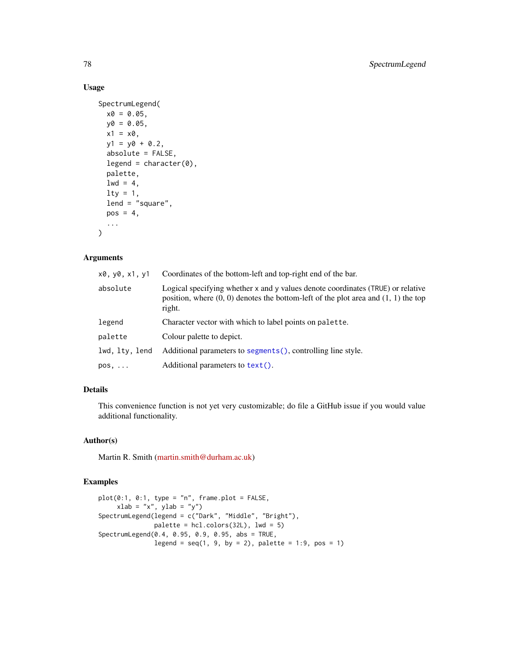# Usage

```
SpectrumLegend(
 x0 = 0.05,
 y0 = 0.05,
 x1 = x0,
 y1 = y0 + 0.2,
  absolute = FALSE,
  legend = character(0),
 palette,
  1wd = 4,
  lty = 1,lend = "square",
 pos = 4,
  ...
)
```
# Arguments

| x0, y0, x1, y1 | Coordinates of the bottom-left and top-right end of the bar.                                                                                                                        |
|----------------|-------------------------------------------------------------------------------------------------------------------------------------------------------------------------------------|
| absolute       | Logical specifying whether x and y values denote coordinates (TRUE) or relative<br>position, where $(0, 0)$ denotes the bottom-left of the plot area and $(1, 1)$ the top<br>right. |
| legend         | Character vector with which to label points on palette.                                                                                                                             |
| palette        | Colour palette to depict.                                                                                                                                                           |
| lwd, lty, lend | Additional parameters to segments (), controlling line style.                                                                                                                       |
| $pos, \ldots$  | Additional parameters to text().                                                                                                                                                    |

# Details

This convenience function is not yet very customizable; do file a GitHub issue if you would value additional functionality.

#### Author(s)

Martin R. Smith [\(martin.smith@durham.ac.uk\)](mailto:martin.smith@durham.ac.uk)

#### Examples

```
plot(0:1, 0:1, type = "n", frame.plot = FALSE,xlab = "x", ylab = "y")SpectrumLegend(legend = c("Dark", "Middle", "Bright"),
              palette = hcl.colors(32L), lwd = 5)
SpectrumLegend(0.4, 0.95, 0.9, 0.95, abs = TRUE,
              legend = seq(1, 9, by = 2), palette = 1:9, pos = 1)
```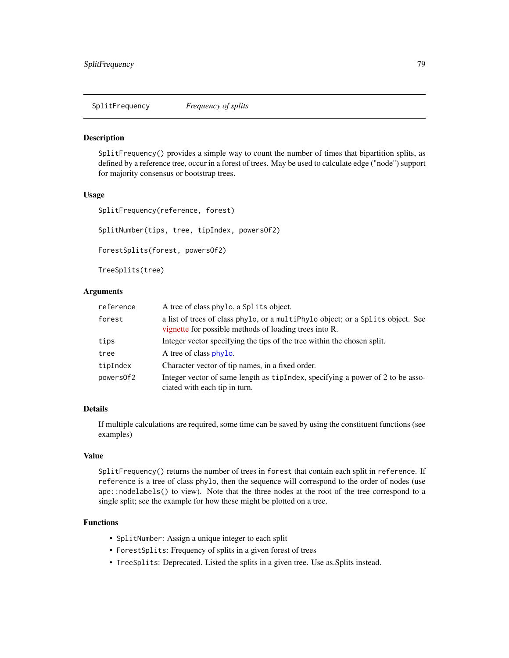<span id="page-78-0"></span>SplitFrequency *Frequency of splits*

#### Description

SplitFrequency() provides a simple way to count the number of times that bipartition splits, as defined by a reference tree, occur in a forest of trees. May be used to calculate edge ("node") support for majority consensus or bootstrap trees.

#### Usage

SplitFrequency(reference, forest)

SplitNumber(tips, tree, tipIndex, powersOf2)

ForestSplits(forest, powersOf2)

TreeSplits(tree)

# Arguments

| reference | A tree of class phylo, a Splits object.                                                                                                   |
|-----------|-------------------------------------------------------------------------------------------------------------------------------------------|
| forest    | a list of trees of class phylo, or a multiphylo object; or a Splits object. See<br>vignette for possible methods of loading trees into R. |
| tips      | Integer vector specifying the tips of the tree within the chosen split.                                                                   |
| tree      | A tree of class phylo.                                                                                                                    |
| tipIndex  | Character vector of tip names, in a fixed order.                                                                                          |
| powers0f2 | Integer vector of same length as tip Index, specifying a power of 2 to be asso-<br>ciated with each tip in turn.                          |

# Details

If multiple calculations are required, some time can be saved by using the constituent functions (see examples)

## Value

SplitFrequency() returns the number of trees in forest that contain each split in reference. If reference is a tree of class phylo, then the sequence will correspond to the order of nodes (use ape::nodelabels() to view). Note that the three nodes at the root of the tree correspond to a single split; see the example for how these might be plotted on a tree.

# Functions

- SplitNumber: Assign a unique integer to each split
- ForestSplits: Frequency of splits in a given forest of trees
- TreeSplits: Deprecated. Listed the splits in a given tree. Use as.Splits instead.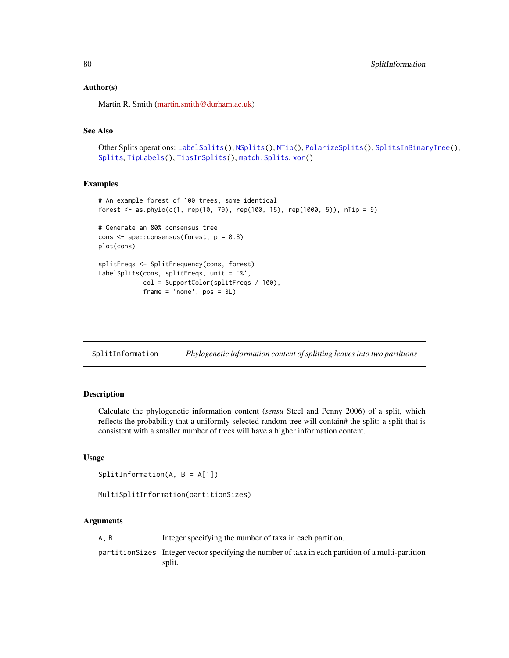## Author(s)

Martin R. Smith [\(martin.smith@durham.ac.uk\)](mailto:martin.smith@durham.ac.uk)

# See Also

```
Other Splits operations: LabelSplits(), NSplits(), NTip(), PolarizeSplits(), SplitsInBinaryTree(),
SplitsTipLabels(TipsInSplits(xor()
```
#### Examples

```
# An example forest of 100 trees, some identical
forest <- as.phylo(c(1, rep(10, 79), rep(100, 15), rep(1000, 5)), nTip = 9)
# Generate an 80% consensus tree
cons \leq ape:: consensus(forest, p = 0.8)
plot(cons)
splitFreqs <- SplitFrequency(cons, forest)
LabelSplits(cons, splitFreqs, unit = '%',
            col = SupportColor(splitFreqs / 100),
            frame = 'none', pos = 3L)
```
<span id="page-79-0"></span>SplitInformation *Phylogenetic information content of splitting leaves into two partitions*

## **Description**

Calculate the phylogenetic information content (*sensu* Steel and Penny 2006) of a split, which reflects the probability that a uniformly selected random tree will contain# the split: a split that is consistent with a smaller number of trees will have a higher information content.

#### Usage

```
SplitInformation(A, B = A[1])
```

```
MultiSplitInformation(partitionSizes)
```
# Arguments

A, B Integer specifying the number of taxa in each partition.

partitionSizes Integer vector specifying the number of taxa in each partition of a multi-partition split.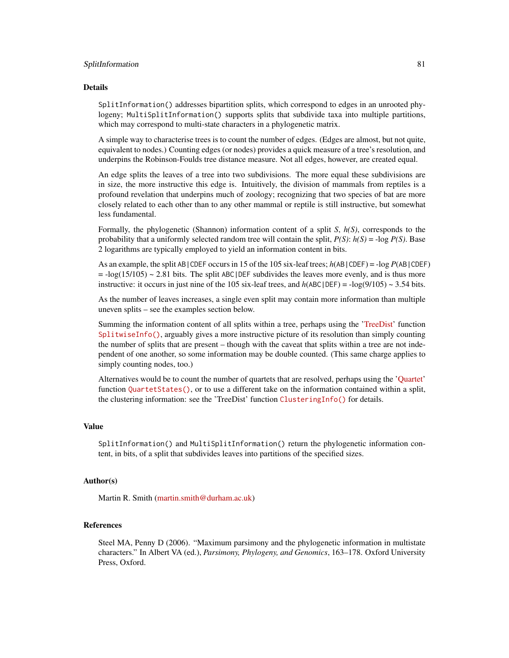### SplitInformation 81

#### Details

SplitInformation() addresses bipartition splits, which correspond to edges in an unrooted phylogeny; MultiSplitInformation() supports splits that subdivide taxa into multiple partitions, which may correspond to multi-state characters in a phylogenetic matrix.

A simple way to characterise trees is to count the number of edges. (Edges are almost, but not quite, equivalent to nodes.) Counting edges (or nodes) provides a quick measure of a tree's resolution, and underpins the Robinson-Foulds tree distance measure. Not all edges, however, are created equal.

An edge splits the leaves of a tree into two subdivisions. The more equal these subdivisions are in size, the more instructive this edge is. Intuitively, the division of mammals from reptiles is a profound revelation that underpins much of zoology; recognizing that two species of bat are more closely related to each other than to any other mammal or reptile is still instructive, but somewhat less fundamental.

Formally, the phylogenetic (Shannon) information content of a split *S*, *h(S)*, corresponds to the probability that a uniformly selected random tree will contain the split,  $P(S)$ :  $h(S) = -\log P(S)$ . Base 2 logarithms are typically employed to yield an information content in bits.

As an example, the split AB|CDEF occurs in 15 of the 105 six-leaf trees; *h*(AB|CDEF) = -log *P*(AB|CDEF)  $= -\log(15/105) \sim 2.81$  bits. The split ABC DEF subdivides the leaves more evenly, and is thus more instructive: it occurs in just nine of the 105 six-leaf trees, and  $h(ABC|DEF) = -log(9/105) \sim 3.54$  bits.

As the number of leaves increases, a single even split may contain more information than multiple uneven splits – see the examples section below.

Summing the information content of all splits within a tree, perhaps using the ['TreeDist'](https://ms609.github.io/TreeDist/) function [SplitwiseInfo\(\)](https://ms609.github.io/TreeDist/reference/TreeInfo.html), arguably gives a more instructive picture of its resolution than simply counting the number of splits that are present – though with the caveat that splits within a tree are not independent of one another, so some information may be double counted. (This same charge applies to simply counting nodes, too.)

Alternatives would be to count the number of quartets that are resolved, perhaps using the ['Quartet'](https://ms609.github.io/Quartet/) function [QuartetStates\(\)](https://ms609.github.io/Quartet/reference/QuartetState.html), or to use a different take on the information contained within a split, the clustering information: see the 'TreeDist' function [ClusteringInfo\(\)](https://ms609.github.io/TreeDist/reference/TreeInfo.html) for details.

## Value

SplitInformation() and MultiSplitInformation() return the phylogenetic information content, in bits, of a split that subdivides leaves into partitions of the specified sizes.

#### Author(s)

Martin R. Smith [\(martin.smith@durham.ac.uk\)](mailto:martin.smith@durham.ac.uk)

## References

Steel MA, Penny D (2006). "Maximum parsimony and the phylogenetic information in multistate characters." In Albert VA (ed.), *Parsimony, Phylogeny, and Genomics*, 163–178. Oxford University Press, Oxford.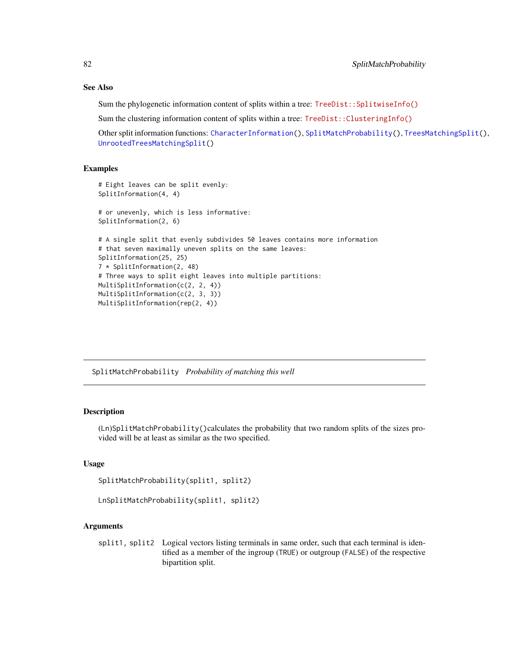## See Also

Sum the phylogenetic information content of splits within a tree:  $TreeDist::SplitwiseInfo()$ 

Sum the clustering information content of splits within a tree: [TreeDist::ClusteringInfo\(\)](https://ms609.github.io/TreeDist/reference/TreeInfo.html)

Other split information functions: [CharacterInformation\(](#page-10-0)), [SplitMatchProbability\(](#page-81-0)), [TreesMatchingSplit\(](#page-101-0)), [UnrootedTreesMatchingSplit\(](#page-105-0))

# Examples

```
# Eight leaves can be split evenly:
SplitInformation(4, 4)
# or unevenly, which is less informative:
SplitInformation(2, 6)
# A single split that evenly subdivides 50 leaves contains more information
# that seven maximally uneven splits on the same leaves:
SplitInformation(25, 25)
7 * SplitInformation(2, 48)
# Three ways to split eight leaves into multiple partitions:
MultiSplitInformation(c(2, 2, 4))
MultiSplitInformation(c(2, 3, 3))
MultiSplitInformation(rep(2, 4))
```
<span id="page-81-0"></span>SplitMatchProbability *Probability of matching this well*

# Description

(Ln)SplitMatchProbability()calculates the probability that two random splits of the sizes provided will be at least as similar as the two specified.

# Usage

```
SplitMatchProbability(split1, split2)
```

```
LnSplitMatchProbability(split1, split2)
```
# Arguments

split1, split2 Logical vectors listing terminals in same order, such that each terminal is identified as a member of the ingroup (TRUE) or outgroup (FALSE) of the respective bipartition split.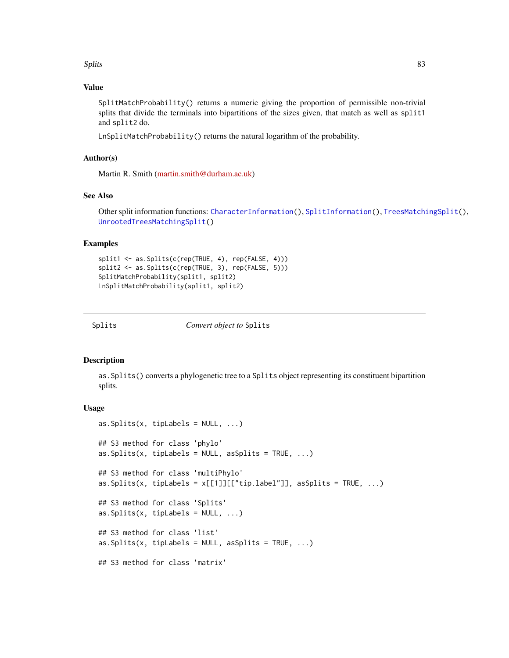#### Splits 83

## Value

SplitMatchProbability() returns a numeric giving the proportion of permissible non-trivial splits that divide the terminals into bipartitions of the sizes given, that match as well as split1 and split2 do.

LnSplitMatchProbability() returns the natural logarithm of the probability.

# Author(s)

Martin R. Smith [\(martin.smith@durham.ac.uk\)](mailto:martin.smith@durham.ac.uk)

# See Also

Other split information functions: [CharacterInformation\(](#page-10-0)), [SplitInformation\(](#page-79-0)), [TreesMatchingSplit\(](#page-101-0)), [UnrootedTreesMatchingSplit\(](#page-105-0))

## Examples

```
split1 <- as.Splits(c(rep(TRUE, 4), rep(FALSE, 4)))
split2 <- as.Splits(c(rep(TRUE, 3), rep(FALSE, 5)))
SplitMatchProbability(split1, split2)
LnSplitMatchProbability(split1, split2)
```
<span id="page-82-0"></span>

*Convert object to* Splits

#### <span id="page-82-1"></span>Description

as.Splits() converts a phylogenetic tree to a Splits object representing its constituent bipartition splits.

```
as.Splits(x, tipLabels = NULL, ...)## S3 method for class 'phylo'
as.Splits(x, tipLabels = NULL, asSplits = TRUE, \ldots)
## S3 method for class 'multiPhylo'
as.Splits(x, tipLabels = x[[1]][["tip.label"], asSplits = TRUE, ...)
## S3 method for class 'Splits'
as.Splits(x, tiplabels = NULL, ...)## S3 method for class 'list'
as.Splits(x, tipLabels = NULL, asSplits = TRUE, \ldots)
## S3 method for class 'matrix'
```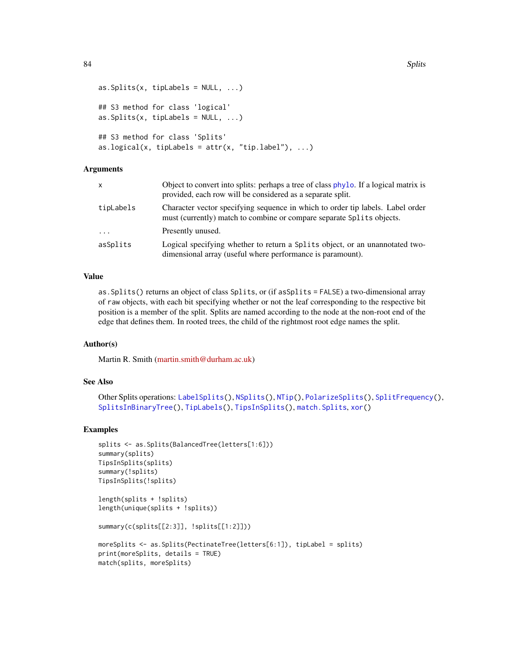```
as.Splits(x, tipLabels = NULL, ...)## S3 method for class 'logical'
as.Splits(x, tipLabels = NULL, ...)## S3 method for class 'Splits'
as.logical(x, tipLabels = attr(x, "tip.load"), ...)
```
# Arguments

| x         | Object to convert into splits: perhaps a tree of class phylo. If a logical matrix is<br>provided, each row will be considered as a separate split.      |
|-----------|---------------------------------------------------------------------------------------------------------------------------------------------------------|
| tipLabels | Character vector specifying sequence in which to order tip labels. Label order<br>must (currently) match to combine or compare separate Splits objects. |
| $\ddots$  | Presently unused.                                                                                                                                       |
| asSplits  | Logical specifying whether to return a Splits object, or an unannotated two-<br>dimensional array (useful where performance is paramount).              |

## Value

as.Splits() returns an object of class Splits, or (if asSplits = FALSE) a two-dimensional array of raw objects, with each bit specifying whether or not the leaf corresponding to the respective bit position is a member of the split. Splits are named according to the node at the non-root end of the edge that defines them. In rooted trees, the child of the rightmost root edge names the split.

#### Author(s)

Martin R. Smith [\(martin.smith@durham.ac.uk\)](mailto:martin.smith@durham.ac.uk)

# See Also

```
Other Splits operations: LabelSplits(), NSplits(), NTip(), PolarizeSplits(), SplitFrequency(),
SplitsInBinaryTree(), TipLabels(), TipsInSplits(), match.Splits, xor()
```
## Examples

```
splits <- as.Splits(BalancedTree(letters[1:6]))
summary(splits)
TipsInSplits(splits)
summary(!splits)
TipsInSplits(!splits)
```

```
length(splits + !splits)
length(unique(splits + !splits))
```

```
summary(c(splits[[2:3]], !splits[[1:2]]))
```

```
moreSplits <- as.Splits(PectinateTree(letters[6:1]), tipLabel = splits)
print(moreSplits, details = TRUE)
match(splits, moreSplits)
```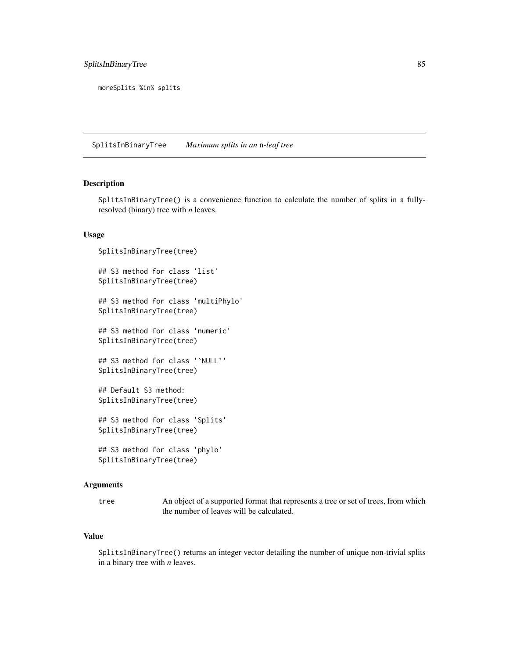# SplitsInBinaryTree 85

moreSplits %in% splits

<span id="page-84-0"></span>SplitsInBinaryTree *Maximum splits in an* n*-leaf tree*

# Description

SplitsInBinaryTree() is a convenience function to calculate the number of splits in a fullyresolved (binary) tree with *n* leaves.

## Usage

```
SplitsInBinaryTree(tree)
## S3 method for class 'list'
SplitsInBinaryTree(tree)
## S3 method for class 'multiPhylo'
SplitsInBinaryTree(tree)
## S3 method for class 'numeric'
SplitsInBinaryTree(tree)
## S3 method for class '`NULL`'
SplitsInBinaryTree(tree)
## Default S3 method:
SplitsInBinaryTree(tree)
## S3 method for class 'Splits'
SplitsInBinaryTree(tree)
## S3 method for class 'phylo'
```
# SplitsInBinaryTree(tree)

## Arguments

tree An object of a supported format that represents a tree or set of trees, from which the number of leaves will be calculated.

# Value

SplitsInBinaryTree() returns an integer vector detailing the number of unique non-trivial splits in a binary tree with *n* leaves.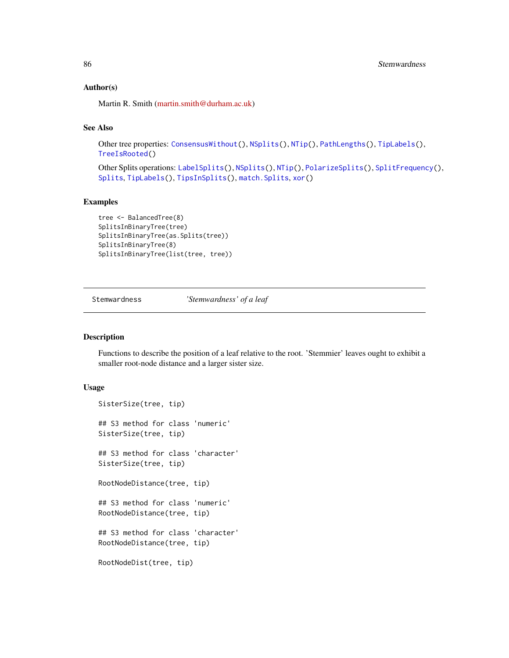## Author(s)

Martin R. Smith [\(martin.smith@durham.ac.uk\)](mailto:martin.smith@durham.ac.uk)

# See Also

Other tree properties: [ConsensusWithout\(](#page-18-0)), [NSplits\(](#page-56-0)), [NTip\(](#page-57-0)), [PathLengths\(](#page-59-0)), [TipLabels\(](#page-92-0)), [TreeIsRooted\(](#page-97-0))

Other Splits operations: [LabelSplits\(](#page-36-0)), [NSplits\(](#page-56-0)), [NTip\(](#page-57-0)), [PolarizeSplits\(](#page-60-0)), [SplitFrequency\(](#page-78-0)), [Splits](#page-82-0), [TipLabels\(](#page-92-0)), [TipsInSplits\(](#page-94-0)), [match.Splits](#page-42-0), [xor\(](#page-108-0))

# Examples

```
tree <- BalancedTree(8)
SplitsInBinaryTree(tree)
SplitsInBinaryTree(as.Splits(tree))
SplitsInBinaryTree(8)
SplitsInBinaryTree(list(tree, tree))
```
<span id="page-85-0"></span>Stemwardness *'Stemwardness' of a leaf*

#### Description

Functions to describe the position of a leaf relative to the root. 'Stemmier' leaves ought to exhibit a smaller root-node distance and a larger sister size.

```
SisterSize(tree, tip)
## S3 method for class 'numeric'
SisterSize(tree, tip)
## S3 method for class 'character'
SisterSize(tree, tip)
RootNodeDistance(tree, tip)
## S3 method for class 'numeric'
RootNodeDistance(tree, tip)
## S3 method for class 'character'
RootNodeDistance(tree, tip)
RootNodeDist(tree, tip)
```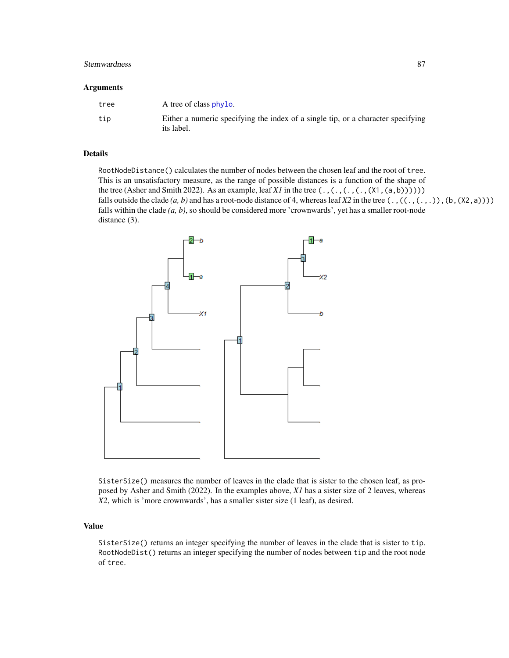## Stemwardness 87

#### **Arguments**

| tree | A tree of class phylo.                                                                         |
|------|------------------------------------------------------------------------------------------------|
| tip  | Either a numeric specifying the index of a single tip, or a character specifying<br>its label. |

## Details

RootNodeDistance() calculates the number of nodes between the chosen leaf and the root of tree. This is an unsatisfactory measure, as the range of possible distances is a function of the shape of the tree (Asher and Smith 2022). As an example, leaf *X1* in the tree (.,(.,(.,(.,(X1,(a,b)))))) falls outside the clade  $(a, b)$  and has a root-node distance of 4, whereas leaf *X2* in the tree  $(., ((., (., .)), (b, (X2, a))))$ falls within the clade *(a, b)*, so should be considered more 'crownwards', yet has a smaller root-node distance (3).



SisterSize() measures the number of leaves in the clade that is sister to the chosen leaf, as proposed by Asher and Smith (2022). In the examples above, *X1* has a sister size of 2 leaves, whereas *X2*, which is 'more crownwards', has a smaller sister size (1 leaf), as desired.

# Value

SisterSize() returns an integer specifying the number of leaves in the clade that is sister to tip. RootNodeDist() returns an integer specifying the number of nodes between tip and the root node of tree.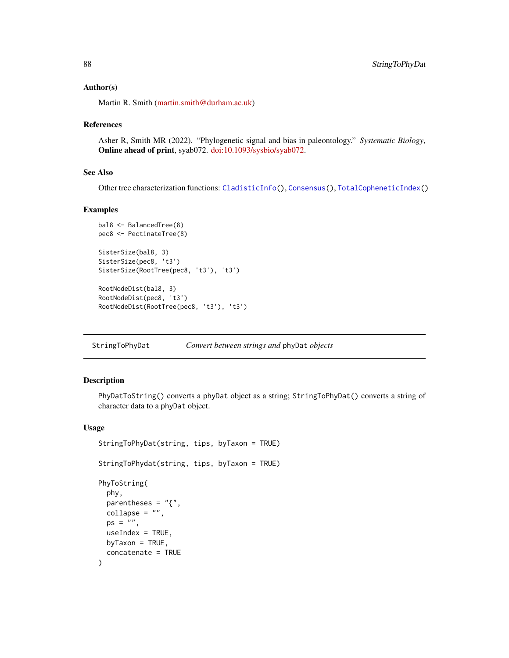## Author(s)

Martin R. Smith [\(martin.smith@durham.ac.uk\)](mailto:martin.smith@durham.ac.uk)

#### References

Asher R, Smith MR (2022). "Phylogenetic signal and bias in paleontology." *Systematic Biology*, Online ahead of print, syab072. [doi:10.1093/sysbio/syab072.](https://doi.org/10.1093/sysbio/syab072)

## See Also

Other tree characterization functions: [CladisticInfo\(](#page-12-0)), [Consensus\(](#page-17-0)), [TotalCopheneticIndex\(](#page-96-0))

## Examples

```
bal8 <- BalancedTree(8)
pec8 <- PectinateTree(8)
SisterSize(bal8, 3)
SisterSize(pec8, 't3')
SisterSize(RootTree(pec8, 't3'), 't3')
RootNodeDist(bal8, 3)
RootNodeDist(pec8, 't3')
RootNodeDist(RootTree(pec8, 't3'), 't3')
```
StringToPhyDat *Convert between strings and* phyDat *objects*

## Description

PhyDatToString() converts a phyDat object as a string; StringToPhyDat() converts a string of character data to a phyDat object.

```
StringToPhyDat(string, tips, byTaxon = TRUE)
StringToPhydat(string, tips, byTaxon = TRUE)
PhyToString(
 phy,
 parentheses = "{\n},
 collapse = "",ps = "",
 useIndex = TRUE,
 byTaxon = TRUE,
  concatenate = TRUE
)
```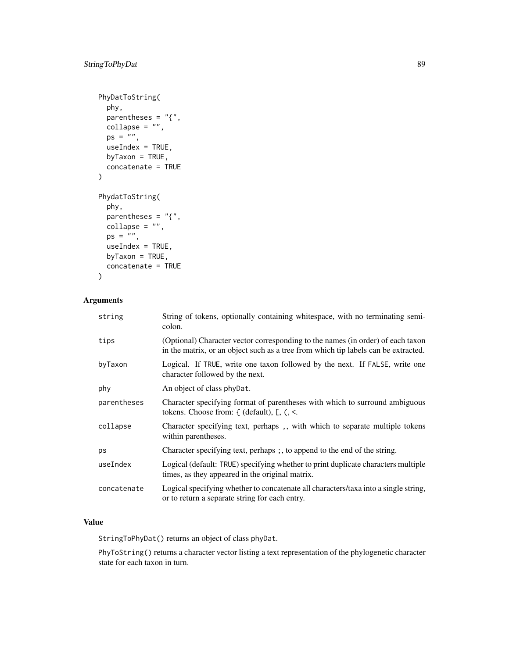```
PhyDatToString(
 phy,
 parentheses = "{\},
 collapse = "",ps = "",useIndex = TRUE,byTaxon = TRUE,
 concatenate = TRUE
)
PhydatToString(
 phy,
 parentheses = "{\n},
 collapse = "",
 ps = "",useIndex = TRUE,
 by Taxon = TRUE,concatenate = TRUE
```

```
\mathcal{L}
```
# Arguments

| string      | String of tokens, optionally containing whitespace, with no terminating semi-<br>colon.                                                                               |
|-------------|-----------------------------------------------------------------------------------------------------------------------------------------------------------------------|
| tips        | (Optional) Character vector corresponding to the names (in order) of each taxon<br>in the matrix, or an object such as a tree from which tip labels can be extracted. |
| byTaxon     | Logical. If TRUE, write one taxon followed by the next. If FALSE, write one<br>character followed by the next.                                                        |
| phy         | An object of class phyDat.                                                                                                                                            |
| parentheses | Character specifying format of parentheses with which to surround ambiguous<br>tokens. Choose from: $\{$ (default), $\Gamma$ , $\langle$ , $\leq$ .                   |
| collapse    | Character specifying text, perhaps, with which to separate multiple tokens<br>within parentheses.                                                                     |
| ps          | Character specifying text, perhaps; , to append to the end of the string.                                                                                             |
| useIndex    | Logical (default: TRUE) specifying whether to print duplicate characters multiple<br>times, as they appeared in the original matrix.                                  |
| concatenate | Logical specifying whether to concatenate all characters/taxa into a single string,<br>or to return a separate string for each entry.                                 |

# Value

StringToPhyDat() returns an object of class phyDat.

PhyToString() returns a character vector listing a text representation of the phylogenetic character state for each taxon in turn.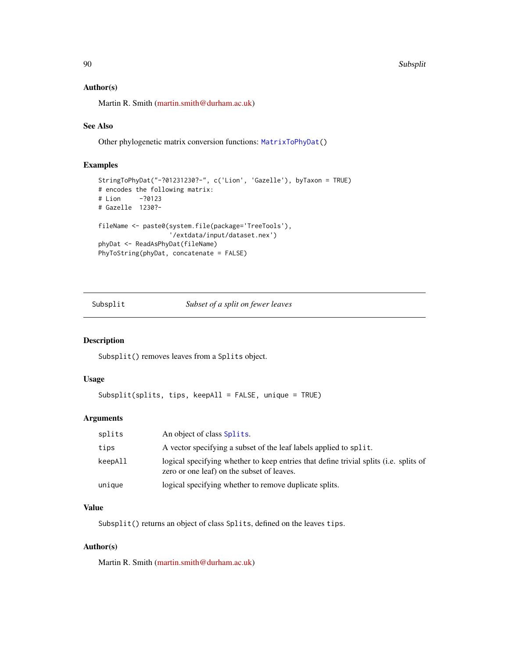#### 90 Subsplit

### Author(s)

Martin R. Smith [\(martin.smith@durham.ac.uk\)](mailto:martin.smith@durham.ac.uk)

## See Also

Other phylogenetic matrix conversion functions: [MatrixToPhyDat\(](#page-43-0))

# Examples

```
StringToPhyDat("-?01231230?-", c('Lion', 'Gazelle'), byTaxon = TRUE)
# encodes the following matrix:
# Lion -?0123
# Gazelle 1230?-
fileName <- paste0(system.file(package='TreeTools'),
                   '/extdata/input/dataset.nex')
phyDat <- ReadAsPhyDat(fileName)
PhyToString(phyDat, concatenate = FALSE)
```
## <span id="page-89-0"></span>Subsplit *Subset of a split on fewer leaves*

# Description

Subsplit() removes leaves from a Splits object.

## Usage

```
Subsplit(splits, tips, keepAll = FALSE, unique = TRUE)
```
#### Arguments

| splits  | An object of class Splits.                                                                                                                  |
|---------|---------------------------------------------------------------------------------------------------------------------------------------------|
| tips    | A vector specifying a subset of the leaf labels applied to split.                                                                           |
| keepAll | logical specifying whether to keep entries that define trivial splits ( <i>i.e.</i> splits of<br>zero or one leaf) on the subset of leaves. |
| unique  | logical specifying whether to remove duplicate splits.                                                                                      |

# Value

Subsplit() returns an object of class Splits, defined on the leaves tips.

## Author(s)

Martin R. Smith [\(martin.smith@durham.ac.uk\)](mailto:martin.smith@durham.ac.uk)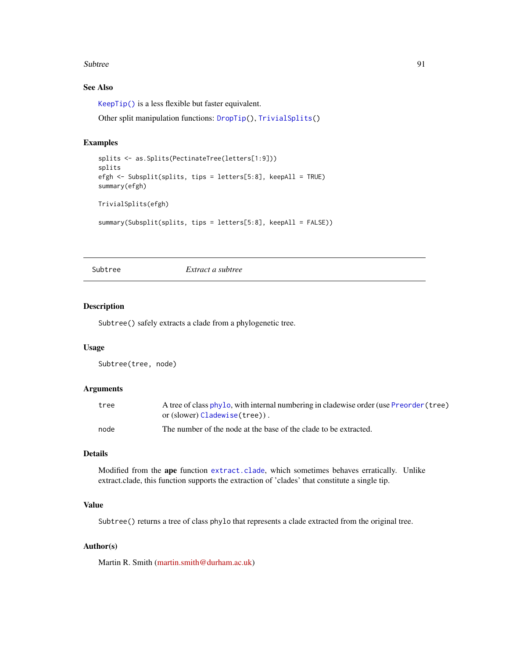#### Subtree 91

# See Also

[KeepTip\(\)](#page-23-1) is a less flexible but faster equivalent.

Other split manipulation functions: [DropTip\(](#page-23-0)), [TrivialSplits\(](#page-103-0))

## Examples

```
splits <- as.Splits(PectinateTree(letters[1:9]))
splits
efgh <- Subsplit(splits, tips = letters[5:8], keepAll = TRUE)
summary(efgh)
TrivialSplits(efgh)
summary(Subsplit(splits, tips = letters[5:8], keepAll = FALSE))
```
<span id="page-90-0"></span>

Subtree *Extract a subtree*

# Description

Subtree() safely extracts a clade from a phylogenetic tree.

#### Usage

```
Subtree(tree, node)
```
# Arguments

| tree | A tree of class phylo, with internal numbering in cladewise order (use Preorder (tree) |
|------|----------------------------------------------------------------------------------------|
|      | or (slower) Cladewise (tree)).                                                         |
| node | The number of the node at the base of the clade to be extracted.                       |

## Details

Modified from the ape function [extract.clade](#page-0-0), which sometimes behaves erratically. Unlike extract.clade, this function supports the extraction of 'clades' that constitute a single tip.

# Value

Subtree() returns a tree of class phylo that represents a clade extracted from the original tree.

# Author(s)

Martin R. Smith [\(martin.smith@durham.ac.uk\)](mailto:martin.smith@durham.ac.uk)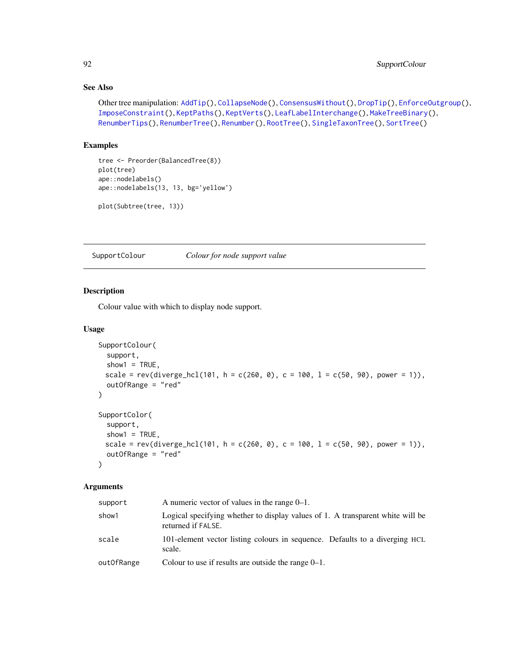# See Also

```
Other tree manipulation: AddTip(), CollapseNode(), ConsensusWithout(), DropTip(), EnforceOutgroup(),
ImposeConstraint(), KeptPaths(), KeptVerts(), LeafLabelInterchange(), MakeTreeBinary(),
RenumberTips(), RenumberTree(), Renumber(), RootTree(), SingleTaxonTree(), SortTree()
```
# Examples

```
tree <- Preorder(BalancedTree(8))
plot(tree)
ape::nodelabels()
ape::nodelabels(13, 13, bg='yellow')
```

```
plot(Subtree(tree, 13))
```
SupportColour *Colour for node support value*

# Description

Colour value with which to display node support.

# Usage

```
SupportColour(
  support,
 show1 = TRUE,scale = rev(diverge_hcl(101, h = c(260, 0), c = 100, l = c(50, 90), power = 1)),
 outOfRange = "red"
)
SupportColor(
  support,
  show1 = TRUE,scale = rev(diverge_hcl(101, h = c(260, 0), c = 100, l = c(50, 90), power = 1)),
 outOfRange = "red"
)
```
## Arguments

| support    | A numeric vector of values in the range $0-1$ .                                                      |
|------------|------------------------------------------------------------------------------------------------------|
| show1      | Logical specifying whether to display values of 1. A transparent white will be<br>returned if FALSE. |
| scale      | 101-element vector listing colours in sequence. Defaults to a diverging HCL<br>scale.                |
| out0fRange | Colour to use if results are outside the range $0-1$ .                                               |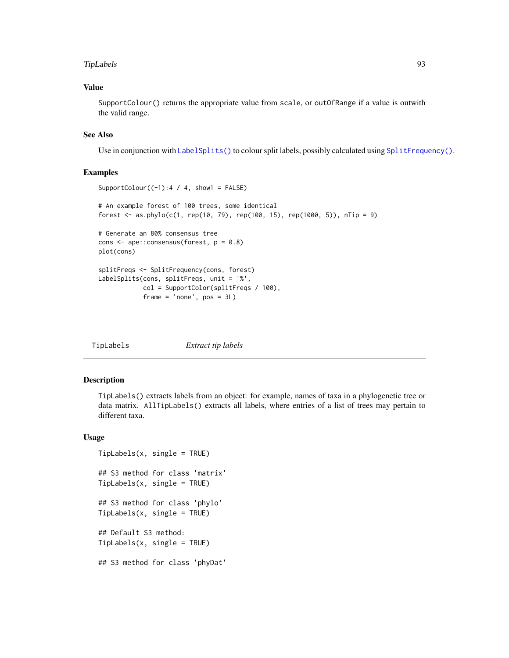#### TipLabels 93

# Value

SupportColour() returns the appropriate value from scale, or outOfRange if a value is outwith the valid range.

## See Also

Use in conjunction with [LabelSplits\(\)](#page-36-0) to colour split labels, possibly calculated using [SplitFrequency\(\)](#page-78-0).

# Examples

```
SupportColour((-1):4 / 4, show1 = FALSE)
# An example forest of 100 trees, some identical
forest <- as.phylo(c(1, rep(10, 79), rep(100, 15), rep(1000, 5)), nTip = 9)# Generate an 80% consensus tree
cons <- ape::consensus(forest, p = 0.8)
plot(cons)
splitFreqs <- SplitFrequency(cons, forest)
LabelSplits(cons, splitFreqs, unit = '%',
            col = SupportColor(splitFreqs / 100),
            frame = 'none', pos = 3L)
```
<span id="page-92-0"></span>

| TipLabels | Extract tip labels |  |
|-----------|--------------------|--|
|           |                    |  |

# Description

TipLabels() extracts labels from an object: for example, names of taxa in a phylogenetic tree or data matrix. AllTipLabels() extracts all labels, where entries of a list of trees may pertain to different taxa.

```
TipLabels(x, single = TRUE)
## S3 method for class 'matrix'
TipLabels(x, single = TRUE)
## S3 method for class 'phylo'
TipLabels(x, single = TRUE)
## Default S3 method:
TipLabels(x, single = TRUE)
## S3 method for class 'phyDat'
```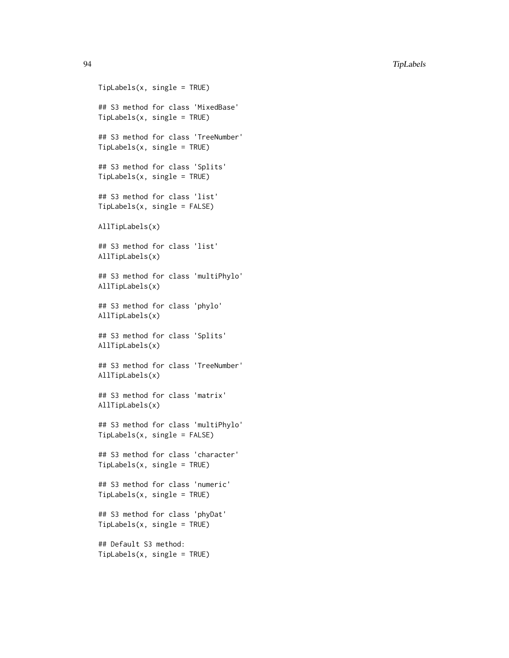```
TipLabels(x, single = TRUE)
## S3 method for class 'MixedBase'
TipLabels(x, single = TRUE)
## S3 method for class 'TreeNumber'
TipLabels(x, single = TRUE)
## S3 method for class 'Splits'
TipLabels(x, single = TRUE)
## S3 method for class 'list'
TipLabels(x, single = FALSE)
AllTipLabels(x)
## S3 method for class 'list'
AllTipLabels(x)
## S3 method for class 'multiPhylo'
AllTipLabels(x)
## S3 method for class 'phylo'
AllTipLabels(x)
## S3 method for class 'Splits'
AllTipLabels(x)
## S3 method for class 'TreeNumber'
AllTipLabels(x)
## S3 method for class 'matrix'
AllTipLabels(x)
## S3 method for class 'multiPhylo'
TipLabels(x, single = FALSE)
## S3 method for class 'character'
TipLabels(x, single = TRUE)
## S3 method for class 'numeric'
TipLabels(x, single = TRUE)
## S3 method for class 'phyDat'
TipLabels(x, single = TRUE)
## Default S3 method:
TipLabels(x, single = TRUE)
```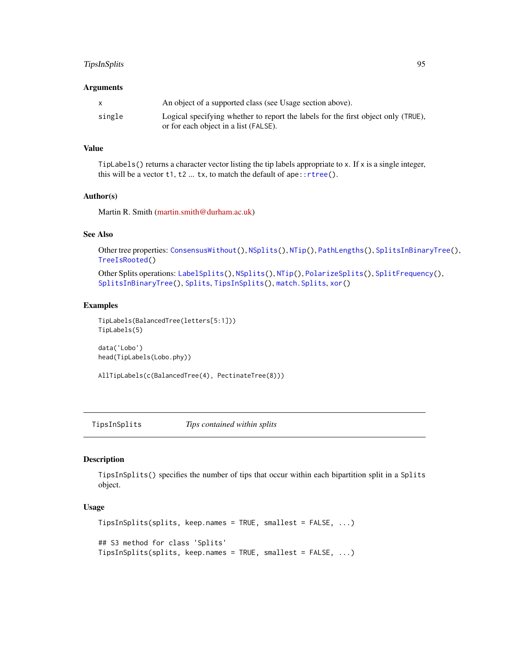# TipsInSplits 95

#### **Arguments**

|        | An object of a supported class (see Usage section above).                         |
|--------|-----------------------------------------------------------------------------------|
| single | Logical specifying whether to report the labels for the first object only (TRUE), |
|        | or for each object in a list (FALSE).                                             |

## Value

TipLabels() returns a character vector listing the tip labels appropriate to x. If  $x$  is a single integer, this will be a vector  $t1$ ,  $t2$  ...  $tx$ , to match the default of ape:: $rtree()$ .

## Author(s)

Martin R. Smith [\(martin.smith@durham.ac.uk\)](mailto:martin.smith@durham.ac.uk)

#### See Also

Other tree properties: [ConsensusWithout\(](#page-18-0)), [NSplits\(](#page-56-0)), [NTip\(](#page-57-0)), [PathLengths\(](#page-59-0)), [SplitsInBinaryTree\(](#page-84-0)), [TreeIsRooted\(](#page-97-0))

Other Splits operations: [LabelSplits\(](#page-36-0)), [NSplits\(](#page-56-0)), [NTip\(](#page-57-0)), [PolarizeSplits\(](#page-60-0)), [SplitFrequency\(](#page-78-0)), [SplitsInBinaryTree\(](#page-84-0)), [Splits](#page-82-0), [TipsInSplits\(](#page-94-0)), [match.Splits](#page-42-0), [xor\(](#page-108-0))

# Examples

```
TipLabels(BalancedTree(letters[5:1]))
TipLabels(5)
```

```
data('Lobo')
head(TipLabels(Lobo.phy))
```
AllTipLabels(c(BalancedTree(4), PectinateTree(8)))

<span id="page-94-0"></span>TipsInSplits *Tips contained within splits*

# Description

TipsInSplits() specifies the number of tips that occur within each bipartition split in a Splits object.

```
TipsInSplits(splits, keep.names = TRUE, smallest = FALSE, ...)
## S3 method for class 'Splits'
TipsInSplits(splits, keep.names = TRUE, smallest = FALSE, ...)
```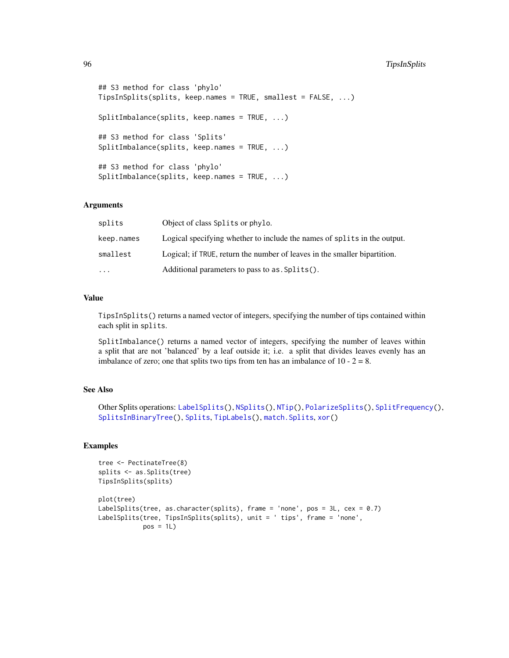# 96 TipsInSplits

```
## S3 method for class 'phylo'
TipsInSplits(splits, keep.names = TRUE, smallest = FALSE, ...)
SplitImbalance(splits, keep.names = TRUE, ...)
## S3 method for class 'Splits'
SplitImbalance(splits, keep.names = TRUE, ...)
## S3 method for class 'phylo'
SplitImbalance(splits, keep.names = TRUE, ...)
```
# Arguments

| splits     | Object of class Splits or phylo.                                          |
|------------|---------------------------------------------------------------------------|
| keep.names | Logical specifying whether to include the names of splits in the output.  |
| smallest   | Logical; if TRUE, return the number of leaves in the smaller bipartition. |
| $\ddotsc$  | Additional parameters to pass to as . Splits().                           |

### Value

TipsInSplits() returns a named vector of integers, specifying the number of tips contained within each split in splits.

SplitImbalance() returns a named vector of integers, specifying the number of leaves within a split that are not 'balanced' by a leaf outside it; i.e. a split that divides leaves evenly has an imbalance of zero; one that splits two tips from ten has an imbalance of  $10 - 2 = 8$ .

# See Also

```
Other Splits operations: LabelSplits(), NSplits(), NTip(), PolarizeSplits(), SplitFrequency(),
SplitsInBinaryTree(), Splits, TipLabels(), match.Splits, xor()
```
# Examples

```
tree <- PectinateTree(8)
splits <- as.Splits(tree)
TipsInSplits(splits)
plot(tree)
LabelSplits(tree, as.character(splits), frame = 'none', pos = 3L, cex = 0.7)
LabelSplits(tree, TipsInSplits(splits), unit = ' tips', frame = 'none',
            pos = 1L)
```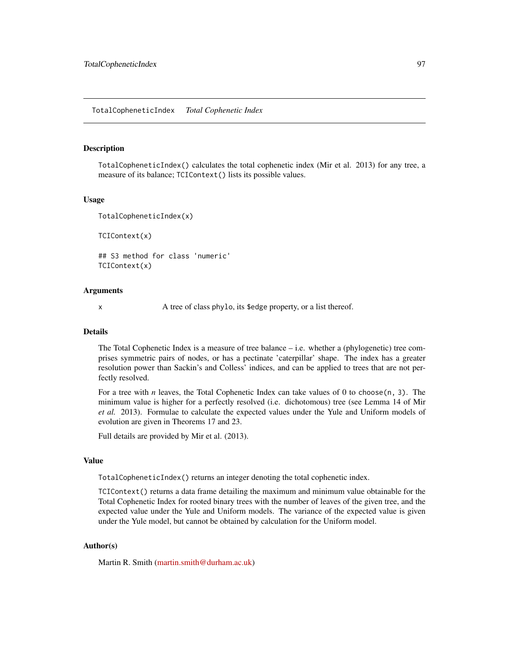#### <span id="page-96-0"></span>TotalCopheneticIndex *Total Cophenetic Index*

## Description

TotalCopheneticIndex() calculates the total cophenetic index (Mir et al. 2013) for any tree, a measure of its balance; TCIContext() lists its possible values.

#### Usage

```
TotalCopheneticIndex(x)
```
TCIContext(x)

## S3 method for class 'numeric' TCIContext(x)

## **Arguments**

x A tree of class phylo, its \$edge property, or a list thereof.

## Details

The Total Cophenetic Index is a measure of tree balance – i.e. whether a (phylogenetic) tree comprises symmetric pairs of nodes, or has a pectinate 'caterpillar' shape. The index has a greater resolution power than Sackin's and Colless' indices, and can be applied to trees that are not perfectly resolved.

For a tree with *n* leaves, the Total Cophenetic Index can take values of 0 to choose  $(n, 3)$ . The minimum value is higher for a perfectly resolved (i.e. dichotomous) tree (see Lemma 14 of Mir *et al.* 2013). Formulae to calculate the expected values under the Yule and Uniform models of evolution are given in Theorems 17 and 23.

Full details are provided by Mir et al. (2013).

# Value

TotalCopheneticIndex() returns an integer denoting the total cophenetic index.

TCIContext() returns a data frame detailing the maximum and minimum value obtainable for the Total Cophenetic Index for rooted binary trees with the number of leaves of the given tree, and the expected value under the Yule and Uniform models. The variance of the expected value is given under the Yule model, but cannot be obtained by calculation for the Uniform model.

# Author(s)

Martin R. Smith [\(martin.smith@durham.ac.uk\)](mailto:martin.smith@durham.ac.uk)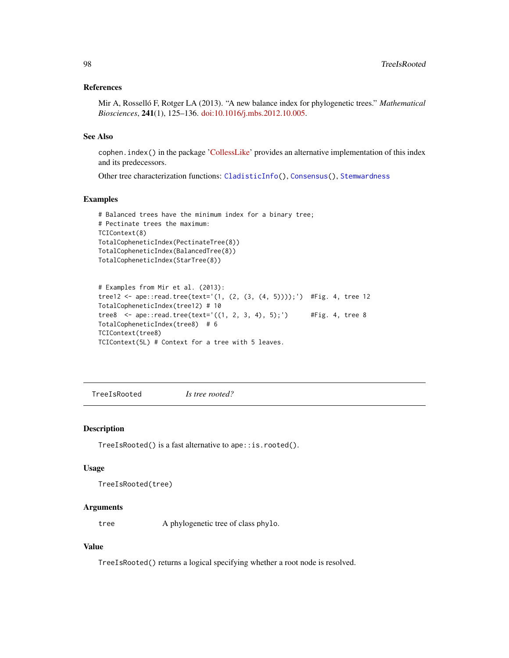# References

Mir A, Rosselló F, Rotger LA (2013). "A new balance index for phylogenetic trees." *Mathematical Biosciences*, 241(1), 125–136. [doi:10.1016/j.mbs.2012.10.005.](https://doi.org/10.1016/j.mbs.2012.10.005)

# See Also

cophen.index() in the package ['CollessLike'](https://github.com/LuciaRotger/CollessLike) provides an alternative implementation of this index and its predecessors.

Other tree characterization functions: [CladisticInfo\(](#page-12-0)), [Consensus\(](#page-17-0)), [Stemwardness](#page-85-0)

#### Examples

```
# Balanced trees have the minimum index for a binary tree;
# Pectinate trees the maximum:
TCIContext(8)
TotalCopheneticIndex(PectinateTree(8))
TotalCopheneticIndex(BalancedTree(8))
TotalCopheneticIndex(StarTree(8))
```

```
# Examples from Mir et al. (2013):
tree12 <- ape::read.tree(text='(1, (2, (3, (4, 5))));') #Fig. 4, tree 12
TotalCopheneticIndex(tree12) # 10
tree8 <- ape::read.tree(text='((1, 2, 3, 4), 5);') #Fig. 4, tree 8
TotalCopheneticIndex(tree8) # 6
TCIContext(tree8)
TCIContext(5L) # Context for a tree with 5 leaves.
```
<span id="page-97-0"></span>TreeIsRooted *Is tree rooted?*

## Description

TreeIsRooted() is a fast alternative to ape::is.rooted().

#### Usage

```
TreeIsRooted(tree)
```
## Arguments

tree A phylogenetic tree of class phylo.

# Value

TreeIsRooted() returns a logical specifying whether a root node is resolved.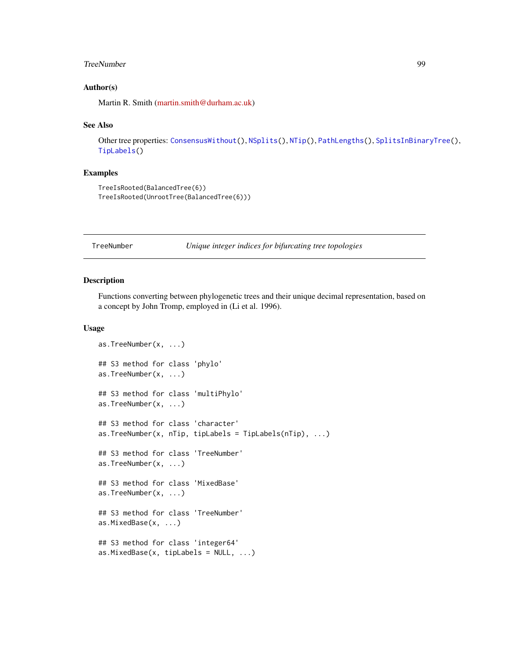#### TreeNumber 99

## Author(s)

Martin R. Smith [\(martin.smith@durham.ac.uk\)](mailto:martin.smith@durham.ac.uk)

#### See Also

Other tree properties: [ConsensusWithout\(](#page-18-0)), [NSplits\(](#page-56-0)), [NTip\(](#page-57-0)), [PathLengths\(](#page-59-0)), [SplitsInBinaryTree\(](#page-84-0)), [TipLabels\(](#page-92-0))

# Examples

```
TreeIsRooted(BalancedTree(6))
TreeIsRooted(UnrootTree(BalancedTree(6)))
```
<span id="page-98-0"></span>TreeNumber *Unique integer indices for bifurcating tree topologies*

#### Description

Functions converting between phylogenetic trees and their unique decimal representation, based on a concept by John Tromp, employed in (Li et al. 1996).

```
as.TreeNumber(x, ...)
## S3 method for class 'phylo'
as.TreeNumber(x, ...)
## S3 method for class 'multiPhylo'
as.TreeNumber(x, ...)
## S3 method for class 'character'
as.TreeNumber(x, nTip, tipLabels = TipLabels(nTip), ...)
## S3 method for class 'TreeNumber'
as.TreeNumber(x, ...)
## S3 method for class 'MixedBase'
as.TreeNumber(x, ...)
## S3 method for class 'TreeNumber'
as.MixedBase(x, ...)
## S3 method for class 'integer64'
as.MixedBase(x, tiplabels = NULL, ...)
```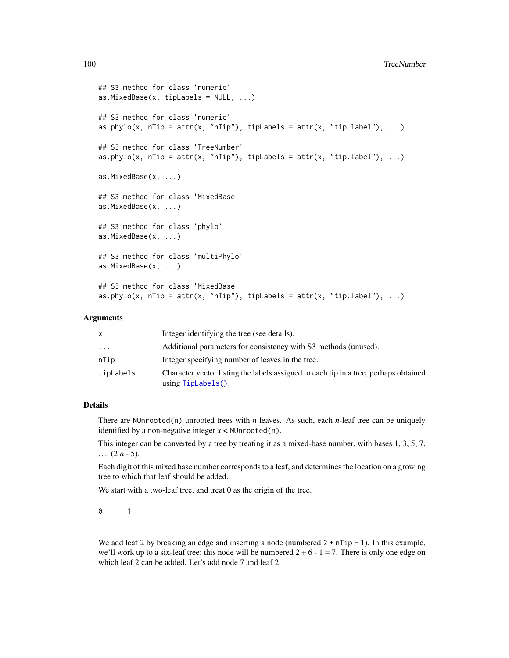```
## S3 method for class 'numeric'
as.MixedBase(x, tiplabels = NULL, ...)## S3 method for class 'numeric'
as.phylo(x, nTip = attr(x, "nTip"), tipLabels = attr(x, "tip.label"), ...)## S3 method for class 'TreeNumber'
as.phylo(x, nTip = attr(x, "nTip"), tipLabels = attr(x, "tip.label"), ...)
as.MixedBase(x, ...)
## S3 method for class 'MixedBase'
as.MixedBase(x, ...)
## S3 method for class 'phylo'
as.MixedBase(x, ...)
## S3 method for class 'multiPhylo'
as.MixedBase(x, ...)
## S3 method for class 'MixedBase'
as.phylo(x, nTip = attr(x, "nTip"), tipLabels = attr(x, "tip.label"), ...)
```
## Arguments

| X         | Integer identifying the tree (see details).                                                                   |
|-----------|---------------------------------------------------------------------------------------------------------------|
| $\cdots$  | Additional parameters for consistency with S3 methods (unused).                                               |
| nTip      | Integer specifying number of leaves in the tree.                                                              |
| tipLabels | Character vector listing the labels assigned to each tip in a tree, perhaps obtained<br>$using TipLabels()$ . |

## Details

There are NUnrooted(n) unrooted trees with *n* leaves. As such, each *n*-leaf tree can be uniquely identified by a non-negative integer  $x <$  NUnrooted(n).

This integer can be converted by a tree by treating it as a mixed-base number, with bases 1, 3, 5, 7,  $\ldots$  (2 *n* - 5).

Each digit of this mixed base number corresponds to a leaf, and determines the location on a growing tree to which that leaf should be added.

We start with a two-leaf tree, and treat 0 as the origin of the tree.

 $0$  ---- 1

We add leaf 2 by breaking an edge and inserting a node (numbered  $2 + nTip - 1$ ). In this example, we'll work up to a six-leaf tree; this node will be numbered  $2 + 6 - 1 = 7$ . There is only one edge on which leaf 2 can be added. Let's add node 7 and leaf 2: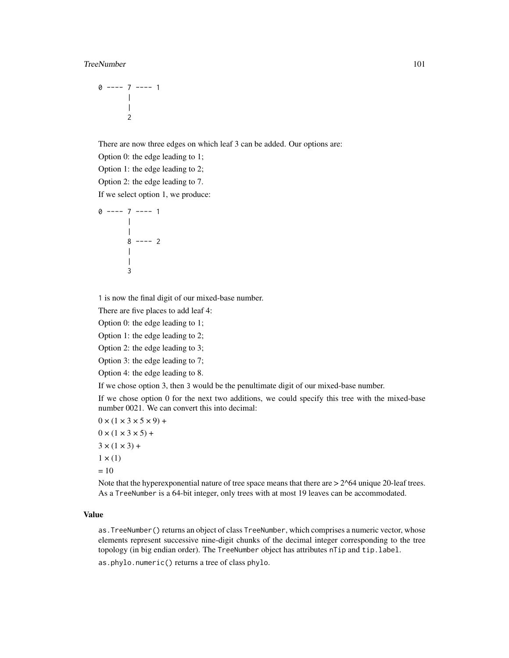#### TreeNumber 101

$$
\begin{array}{c}\n0 \text{ --- } 7 \text{ --- } 1 \\
\mid \\
\mid \\
2\n\end{array}
$$

There are now three edges on which leaf 3 can be added. Our options are:

Option 0: the edge leading to 1;

Option 1: the edge leading to 2;

Option 2: the edge leading to 7.

If we select option 1, we produce:

```
0 ---- 7 ---- 1
          \blacksquare|
           8 ---- 2
          |
          \blacksquare3
```
1 is now the final digit of our mixed-base number.

There are five places to add leaf 4:

Option 0: the edge leading to 1;

Option 1: the edge leading to 2;

Option 2: the edge leading to 3;

Option 3: the edge leading to 7;

Option 4: the edge leading to 8.

If we chose option 3, then 3 would be the penultimate digit of our mixed-base number.

If we chose option 0 for the next two additions, we could specify this tree with the mixed-base number 0021. We can convert this into decimal:

 $0 \times (1 \times 3 \times 5 \times 9) +$  $0 \times (1 \times 3 \times 5) +$  $3 \times (1 \times 3) +$  $1 \times (1)$  $= 10$ 

Note that the hyperexponential nature of tree space means that there are  $> 2^{\wedge}64$  unique 20-leaf trees. As a TreeNumber is a 64-bit integer, only trees with at most 19 leaves can be accommodated.

# Value

as.TreeNumber() returns an object of class TreeNumber, which comprises a numeric vector, whose elements represent successive nine-digit chunks of the decimal integer corresponding to the tree topology (in big endian order). The TreeNumber object has attributes nTip and tip.label.

as.phylo.numeric() returns a tree of class phylo.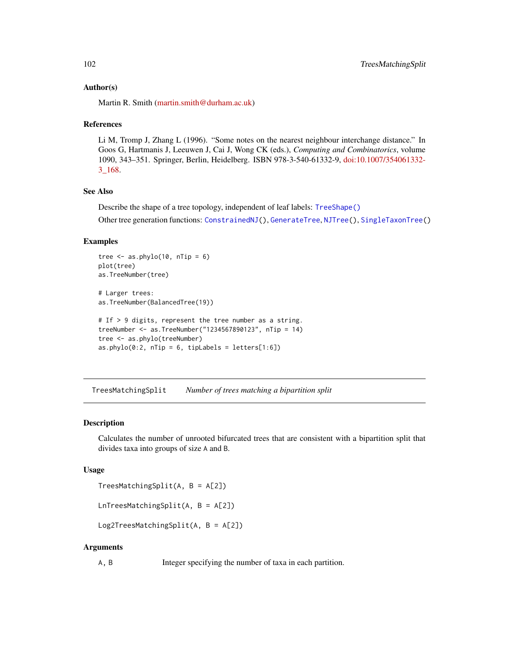## Author(s)

Martin R. Smith [\(martin.smith@durham.ac.uk\)](mailto:martin.smith@durham.ac.uk)

## References

Li M, Tromp J, Zhang L (1996). "Some notes on the nearest neighbour interchange distance." In Goos G, Hartmanis J, Leeuwen J, Cai J, Wong CK (eds.), *Computing and Combinatorics*, volume 1090, 343–351. Springer, Berlin, Heidelberg. ISBN 978-3-540-61332-9, [doi:10.1007/354061332-](https://doi.org/10.1007/3-540-61332-3_168) [3\\_168.](https://doi.org/10.1007/3-540-61332-3_168)

# See Also

Describe the shape of a tree topology, independent of leaf labels: [TreeShape\(\)](#page-0-0)

Other tree generation functions: [ConstrainedNJ\(](#page-20-0)), [GenerateTree](#page-30-0), [NJTree\(](#page-49-0)), [SingleTaxonTree\(](#page-73-0))

## Examples

```
tree \leq as.phylo(10, nTip = 6)
plot(tree)
as.TreeNumber(tree)
# Larger trees:
as.TreeNumber(BalancedTree(19))
# If > 9 digits, represent the tree number as a string.
treeNumber <- as.TreeNumber("1234567890123", nTip = 14)
tree <- as.phylo(treeNumber)
as. phylo(0:2, nTip = 6, tipLabels = letters[1:6])
```
<span id="page-101-0"></span>TreesMatchingSplit *Number of trees matching a bipartition split*

## Description

Calculates the number of unrooted bifurcated trees that are consistent with a bipartition split that divides taxa into groups of size A and B.

## Usage

```
TreesMatchingSplit(A, B = A[2])
```
LnTreesMatchingSplit(A, B = A[2])

Log2TreesMatchingSplit(A, B = A[2])

## Arguments

A, B Integer specifying the number of taxa in each partition.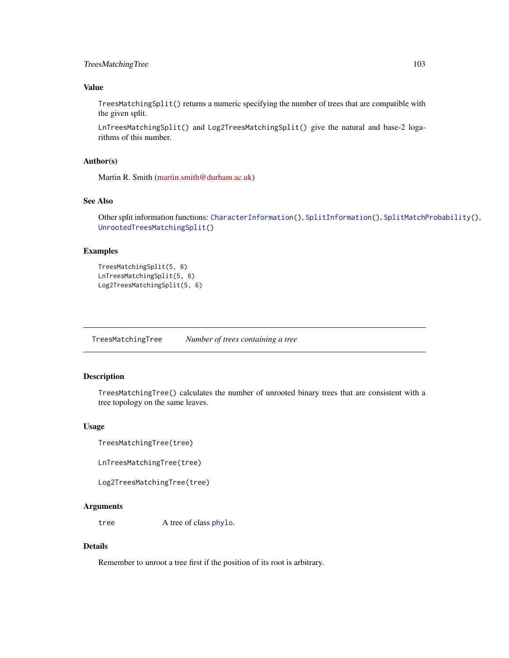# TreesMatchingTree 103

# Value

TreesMatchingSplit() returns a numeric specifying the number of trees that are compatible with the given split.

LnTreesMatchingSplit() and Log2TreesMatchingSplit() give the natural and base-2 logarithms of this number.

# Author(s)

Martin R. Smith [\(martin.smith@durham.ac.uk\)](mailto:martin.smith@durham.ac.uk)

# See Also

Other split information functions: [CharacterInformation\(](#page-10-0)), [SplitInformation\(](#page-79-0)), [SplitMatchProbability\(](#page-81-0)), [UnrootedTreesMatchingSplit\(](#page-105-0))

# Examples

```
TreesMatchingSplit(5, 6)
LnTreesMatchingSplit(5, 6)
Log2TreesMatchingSplit(5, 6)
```
TreesMatchingTree *Number of trees containing a tree*

# Description

TreesMatchingTree() calculates the number of unrooted binary trees that are consistent with a tree topology on the same leaves.

#### Usage

TreesMatchingTree(tree)

LnTreesMatchingTree(tree)

```
Log2TreesMatchingTree(tree)
```
# Arguments

tree A tree of class [phylo](#page-0-0).

## Details

Remember to unroot a tree first if the position of its root is arbitrary.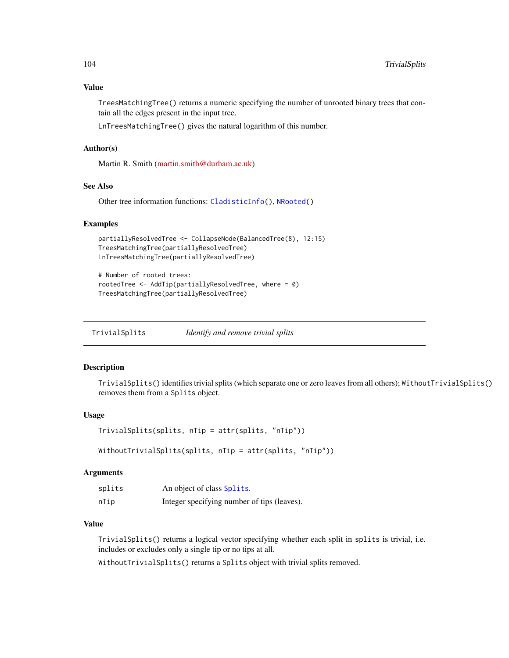TreesMatchingTree() returns a numeric specifying the number of unrooted binary trees that contain all the edges present in the input tree.

LnTreesMatchingTree() gives the natural logarithm of this number.

## Author(s)

Martin R. Smith [\(martin.smith@durham.ac.uk\)](mailto:martin.smith@durham.ac.uk)

## See Also

Other tree information functions: [CladisticInfo\(](#page-12-0)), [NRooted\(](#page-53-0))

## Examples

```
partiallyResolvedTree <- CollapseNode(BalancedTree(8), 12:15)
TreesMatchingTree(partiallyResolvedTree)
LnTreesMatchingTree(partiallyResolvedTree)
```

```
# Number of rooted trees:
rootedTree <- AddTip(partiallyResolvedTree, where = 0)
TreesMatchingTree(partiallyResolvedTree)
```
<span id="page-103-0"></span>TrivialSplits *Identify and remove trivial splits*

#### Description

TrivialSplits() identifies trivial splits (which separate one or zero leaves from all others); WithoutTrivialSplits() removes them from a Splits object.

# Usage

```
TrivialSplits(splits, nTip = attr(splits, "nTip"))
```

```
WithoutTrivialSplits(splits, nTip = attr(splits, "nTip"))
```
### Arguments

| splits | An object of class Splits.                  |
|--------|---------------------------------------------|
| nTip   | Integer specifying number of tips (leaves). |

### Value

TrivialSplits() returns a logical vector specifying whether each split in splits is trivial, i.e. includes or excludes only a single tip or no tips at all.

WithoutTrivialSplits() returns a Splits object with trivial splits removed.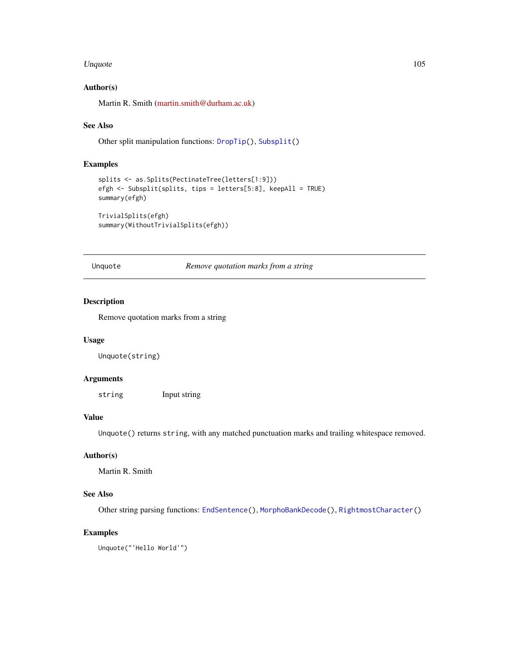#### Unquote 105

## Author(s)

Martin R. Smith [\(martin.smith@durham.ac.uk\)](mailto:martin.smith@durham.ac.uk)

# See Also

Other split manipulation functions: [DropTip\(](#page-23-0)), [Subsplit\(](#page-89-0))

# Examples

```
splits <- as.Splits(PectinateTree(letters[1:9]))
efgh <- Subsplit(splits, tips = letters[5:8], keepAll = TRUE)
summary(efgh)
TrivialSplits(efgh)
```
summary(WithoutTrivialSplits(efgh))

Unquote *Remove quotation marks from a string*

# Description

Remove quotation marks from a string

## Usage

Unquote(string)

## Arguments

string Input string

## Value

Unquote() returns string, with any matched punctuation marks and trailing whitespace removed.

#### Author(s)

Martin R. Smith

## See Also

Other string parsing functions: [EndSentence\(](#page-28-0)), [MorphoBankDecode\(](#page-44-0)), [RightmostCharacter\(](#page-68-0))

## Examples

Unquote("'Hello World'")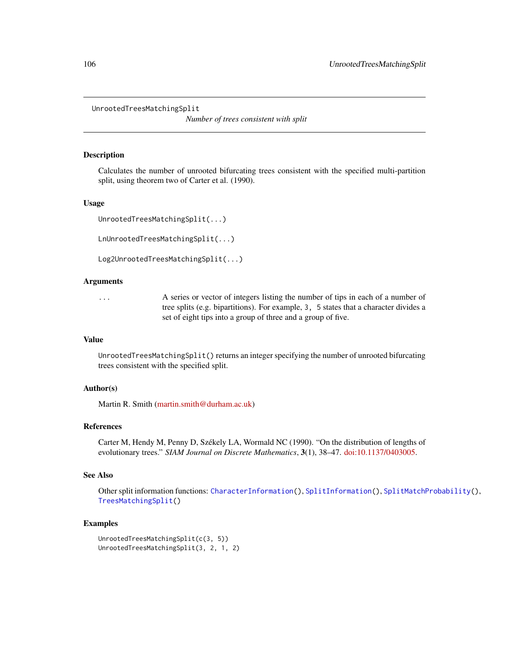<span id="page-105-0"></span>UnrootedTreesMatchingSplit

*Number of trees consistent with split*

## **Description**

Calculates the number of unrooted bifurcating trees consistent with the specified multi-partition split, using theorem two of Carter et al. (1990).

## Usage

UnrootedTreesMatchingSplit(...)

LnUnrootedTreesMatchingSplit(...)

Log2UnrootedTreesMatchingSplit(...)

## Arguments

... A series or vector of integers listing the number of tips in each of a number of tree splits (e.g. bipartitions). For example, 3, 5 states that a character divides a set of eight tips into a group of three and a group of five.

#### Value

UnrootedTreesMatchingSplit() returns an integer specifying the number of unrooted bifurcating trees consistent with the specified split.

# Author(s)

Martin R. Smith [\(martin.smith@durham.ac.uk\)](mailto:martin.smith@durham.ac.uk)

# References

Carter M, Hendy M, Penny D, Székely LA, Wormald NC (1990). "On the distribution of lengths of evolutionary trees." *SIAM Journal on Discrete Mathematics*, 3(1), 38–47. [doi:10.1137/0403005.](https://doi.org/10.1137/0403005)

## See Also

Other split information functions: [CharacterInformation\(](#page-10-0)), [SplitInformation\(](#page-79-0)), [SplitMatchProbability\(](#page-81-0)), [TreesMatchingSplit\(](#page-101-0))

#### Examples

```
UnrootedTreesMatchingSplit(c(3, 5))
UnrootedTreesMatchingSplit(3, 2, 1, 2)
```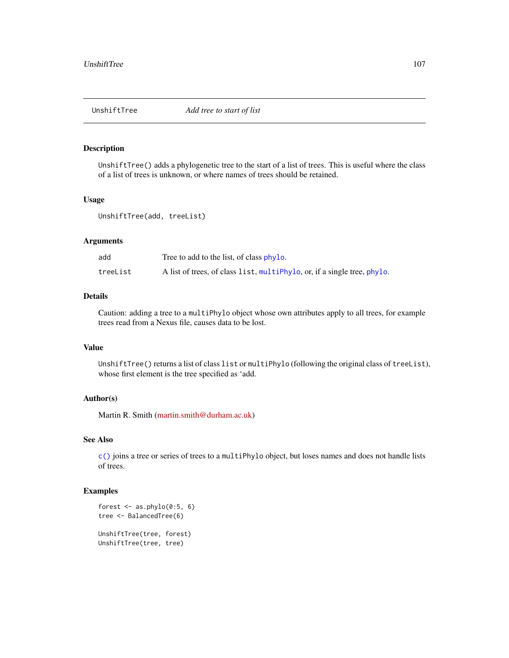## Description

UnshiftTree() adds a phylogenetic tree to the start of a list of trees. This is useful where the class of a list of trees is unknown, or where names of trees should be retained.

## Usage

```
UnshiftTree(add, treeList)
```
# Arguments

| add      | Tree to add to the list, of class phylo.                                 |
|----------|--------------------------------------------------------------------------|
| treeList | A list of trees, of class list, multiphylo, or, if a single tree, phylo. |

# Details

Caution: adding a tree to a multiPhylo object whose own attributes apply to all trees, for example trees read from a Nexus file, causes data to be lost.

# Value

UnshiftTree() returns a list of class list or multiPhylo (following the original class of treeList), whose first element is the tree specified as 'add.

#### Author(s)

Martin R. Smith [\(martin.smith@durham.ac.uk\)](mailto:martin.smith@durham.ac.uk)

## See Also

[c\(\)](#page-0-0) joins a tree or series of trees to a multiPhylo object, but loses names and does not handle lists of trees.

## Examples

```
forest \leq as.phylo(0:5, 6)
tree <- BalancedTree(6)
UnshiftTree(tree, forest)
UnshiftTree(tree, tree)
```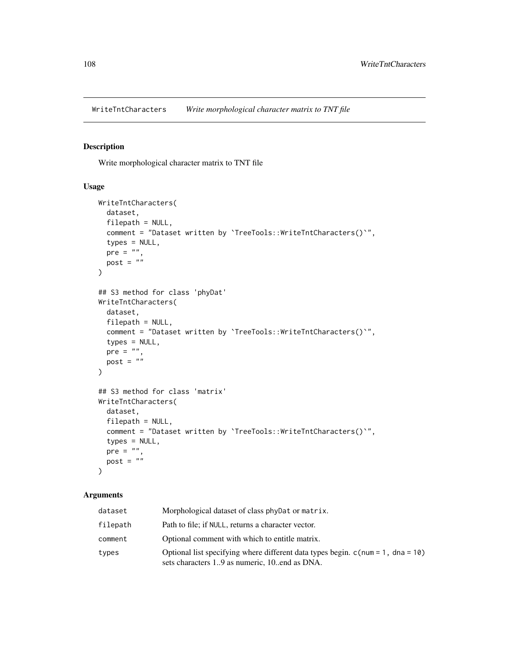WriteTntCharacters *Write morphological character matrix to TNT file*

# Description

Write morphological character matrix to TNT file

## Usage

```
WriteTntCharacters(
  dataset,
  filepath = NULL,
  comment = "Dataset written by `TreeTools::WriteTntCharacters()`",
  types = NULL,
 pre = ",
 post = "\lambda## S3 method for class 'phyDat'
WriteTntCharacters(
 dataset,
 filepath = NULL,comment = "Dataset written by `TreeTools::WriteTntCharacters()`",
  types = NULL,pre = "",post = ")
## S3 method for class 'matrix'
WriteTntCharacters(
 dataset,
 filepath = NULL,
  comment = "Dataset written by `TreeTools::WriteTntCharacters()`",
  types = NULL,
 pre = ",
 post = \sum_{n=1}^{\infty})
```
# Arguments

| dataset  | Morphological dataset of class phyDat or matrix.                                                                                   |
|----------|------------------------------------------------------------------------------------------------------------------------------------|
| filepath | Path to file; if NULL, returns a character vector.                                                                                 |
| comment  | Optional comment with which to entitle matrix.                                                                                     |
| types    | Optional list specifying where different data types begin. $c$ (num = 1, dna = 10)<br>sets characters 19 as numeric, 10end as DNA. |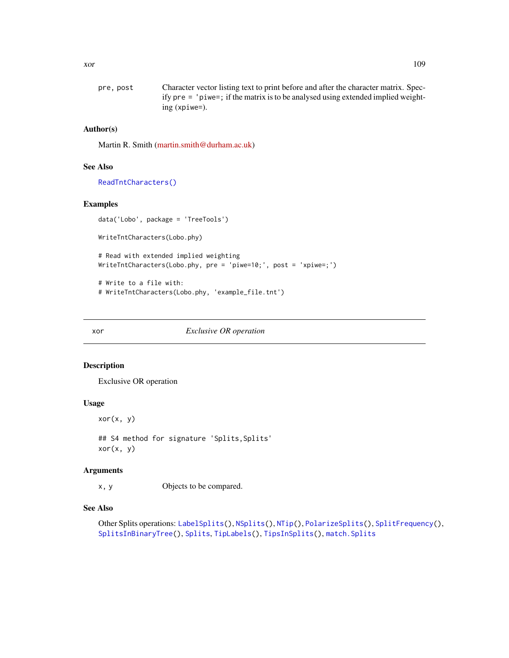<span id="page-108-0"></span>

| pre, post | Character vector listing text to print before and after the character matrix. Spec-  |
|-----------|--------------------------------------------------------------------------------------|
|           | ify $pre = 'piwe =$ ; if the matrix is to be analysed using extended implied weight- |
|           | $ing(xpiwe=).$                                                                       |

# Author(s)

Martin R. Smith [\(martin.smith@durham.ac.uk\)](mailto:martin.smith@durham.ac.uk)

### See Also

[ReadTntCharacters\(\)](#page-61-0)

### Examples

```
data('Lobo', package = 'TreeTools')
WriteTntCharacters(Lobo.phy)
# Read with extended implied weighting
WriteTntCharacters(Lobo.phy, pre = 'piwe=10;', post = 'xpiwe=;')
```
# Write to a file with: # WriteTntCharacters(Lobo.phy, 'example\_file.tnt')

xor *Exclusive OR operation*

### Description

Exclusive OR operation

# Usage

xor(x, y)

## S4 method for signature 'Splits, Splits'  $xor(x, y)$ 

# Arguments

x, y Objects to be compared.

# See Also

```
Other Splits operations: LabelSplits(), NSplits(), NTip(), PolarizeSplits(), SplitFrequency(),
SplitsInBinaryTree(), Splits, TipLabels(), TipsInSplits(), match.Splits
```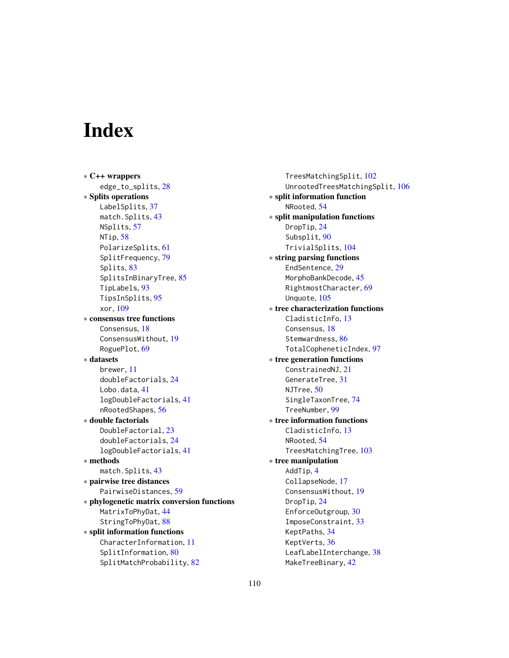# **Index**

∗ C++ wrappers edge\_to\_splits, [28](#page-27-0) ∗ Splits operations LabelSplits, [37](#page-36-1) match.Splits, [43](#page-42-1) NSplits, [57](#page-56-1) NTip, [58](#page-57-1) PolarizeSplits, [61](#page-60-1) SplitFrequency, [79](#page-78-1) Splits, [83](#page-82-1) SplitsInBinaryTree, [85](#page-84-1) TipLabels, [93](#page-92-1) TipsInSplits, [95](#page-94-1) xor, [109](#page-108-0) ∗ consensus tree functions Consensus, [18](#page-17-0) ConsensusWithout, [19](#page-18-0) RoguePlot, [69](#page-68-0) ∗ datasets brewer, [11](#page-10-0) doubleFactorials, [24](#page-23-0) Lobo.data, [41](#page-40-0) logDoubleFactorials, [41](#page-40-0) nRootedShapes, [56](#page-55-0) ∗ double factorials DoubleFactorial, [23](#page-22-0) doubleFactorials, [24](#page-23-0) logDoubleFactorials, [41](#page-40-0) ∗ methods match.Splits, [43](#page-42-1) ∗ pairwise tree distances PairwiseDistances, [59](#page-58-0) ∗ phylogenetic matrix conversion functions MatrixToPhyDat, [44](#page-43-0) StringToPhyDat, [88](#page-87-0) ∗ split information functions CharacterInformation, [11](#page-10-0) SplitInformation, [80](#page-79-0) SplitMatchProbability, [82](#page-81-0)

TreesMatchingSplit, [102](#page-101-0) UnrootedTreesMatchingSplit, [106](#page-105-0) ∗ split information function NRooted, [54](#page-53-0) ∗ split manipulation functions DropTip, [24](#page-23-0) Subsplit, [90](#page-89-0) TrivialSplits, [104](#page-103-0) ∗ string parsing functions EndSentence, [29](#page-28-0) MorphoBankDecode, [45](#page-44-0) RightmostCharacter, [69](#page-68-0) Unquote, [105](#page-104-0) ∗ tree characterization functions CladisticInfo, [13](#page-12-0) Consensus, [18](#page-17-0) Stemwardness, [86](#page-85-0) TotalCopheneticIndex, [97](#page-96-0) ∗ tree generation functions ConstrainedNJ, [21](#page-20-0) GenerateTree, [31](#page-30-0) NJTree, [50](#page-49-0) SingleTaxonTree, [74](#page-73-0) TreeNumber, [99](#page-98-0) ∗ tree information functions CladisticInfo, [13](#page-12-0) NRooted, [54](#page-53-0) TreesMatchingTree, [103](#page-102-0) ∗ tree manipulation AddTip, [4](#page-3-0) CollapseNode, [17](#page-16-0) ConsensusWithout, [19](#page-18-0) DropTip, [24](#page-23-0) EnforceOutgroup, [30](#page-29-0) ImposeConstraint, [33](#page-32-0) KeptPaths, [34](#page-33-0) KeptVerts, [36](#page-35-0) LeafLabelInterchange, [38](#page-37-0)

MakeTreeBinary, [42](#page-41-0)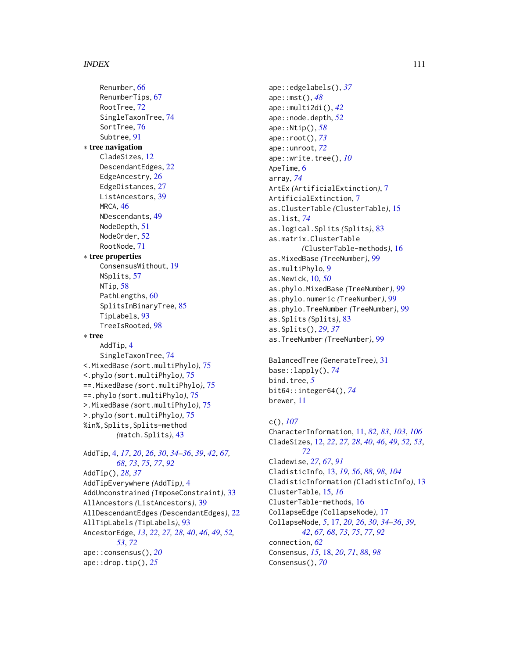### INDEX 111

Renumber, [66](#page-65-0) RenumberTips, [67](#page-66-0) RootTree, [72](#page-71-0) SingleTaxonTree, [74](#page-73-0) SortTree, [76](#page-75-0) Subtree, [91](#page-90-0) ∗ tree navigation CladeSizes, [12](#page-11-0) DescendantEdges, [22](#page-21-0) EdgeAncestry, [26](#page-25-0) EdgeDistances, [27](#page-26-0) ListAncestors, [39](#page-38-0) MRCA, [46](#page-45-0) NDescendants, [49](#page-48-0) NodeDepth, [51](#page-50-0) NodeOrder, [52](#page-51-0) RootNode, [71](#page-70-0) ∗ tree properties ConsensusWithout, [19](#page-18-0) NSplits, [57](#page-56-1) NTip, [58](#page-57-1) PathLengths, [60](#page-59-0) SplitsInBinaryTree, [85](#page-84-1) TipLabels, [93](#page-92-1) TreeIsRooted, [98](#page-97-0) ∗ tree AddTip, [4](#page-3-0) SingleTaxonTree, [74](#page-73-0) <.MixedBase *(*sort.multiPhylo*)*, [75](#page-74-0) <.phylo *(*sort.multiPhylo*)*, [75](#page-74-0) ==.MixedBase *(*sort.multiPhylo*)*, [75](#page-74-0) ==.phylo *(*sort.multiPhylo*)*, [75](#page-74-0) >.MixedBase *(*sort.multiPhylo*)*, [75](#page-74-0) >.phylo *(*sort.multiPhylo*)*, [75](#page-74-0) %in%,Splits,Splits-method *(*match.Splits*)*, [43](#page-42-1) AddTip, [4,](#page-3-0) *[17](#page-16-0)*, *[20](#page-19-0)*, *[26](#page-25-0)*, *[30](#page-29-0)*, *[34–](#page-33-0)[36](#page-35-0)*, *[39](#page-38-0)*, *[42](#page-41-0)*, *[67,](#page-66-0) [68](#page-67-0)*, *[73](#page-72-0)*, *[75](#page-74-0)*, *[77](#page-76-0)*, *[92](#page-91-0)* AddTip(), *[28](#page-27-0)*, *[37](#page-36-1)* AddTipEverywhere *(*AddTip*)*, [4](#page-3-0) AddUnconstrained *(*ImposeConstraint*)*, [33](#page-32-0) AllAncestors *(*ListAncestors*)*, [39](#page-38-0) AllDescendantEdges *(*DescendantEdges*)*, [22](#page-21-0) AllTipLabels *(*TipLabels*)*, [93](#page-92-1) AncestorEdge, *[13](#page-12-0)*, *[22](#page-21-0)*, *[27,](#page-26-0) [28](#page-27-0)*, *[40](#page-39-0)*, *[46](#page-45-0)*, *[49](#page-48-0)*, *[52,](#page-51-0) [53](#page-52-0)*, *[72](#page-71-0)* ape::consensus(), *[20](#page-19-0)* ape::drop.tip(), *[25](#page-24-0)*

ape::edgelabels(), *[37](#page-36-1)* ape::mst(), *[48](#page-47-0)* ape::multi2di(), *[42](#page-41-0)* ape::node.depth, *[52](#page-51-0)* ape::Ntip(), *[58](#page-57-1)* ape::root(), *[73](#page-72-0)* ape::unroot, *[72](#page-71-0)* ape::write.tree(), *[10](#page-9-0)* ApeTime, [6](#page-5-0) array, *[74](#page-73-0)* ArtEx *(*ArtificialExtinction*)*, [7](#page-6-0) ArtificialExtinction, [7](#page-6-0) as.ClusterTable *(*ClusterTable*)*, [15](#page-14-0) as.list, *[74](#page-73-0)* as.logical.Splits *(*Splits*)*, [83](#page-82-1) as.matrix.ClusterTable *(*ClusterTable-methods*)*, [16](#page-15-0) as.MixedBase *(*TreeNumber*)*, [99](#page-98-0) as.multiPhylo, [9](#page-8-0) as.Newick, [10,](#page-9-0) *[50](#page-49-0)* as.phylo.MixedBase *(*TreeNumber*)*, [99](#page-98-0) as.phylo.numeric *(*TreeNumber*)*, [99](#page-98-0) as.phylo.TreeNumber *(*TreeNumber*)*, [99](#page-98-0) as.Splits *(*Splits*)*, [83](#page-82-1) as.Splits(), *[29](#page-28-0)*, *[37](#page-36-1)* as.TreeNumber *(*TreeNumber*)*, [99](#page-98-0)

BalancedTree *(*GenerateTree*)*, [31](#page-30-0) base::lapply(), *[74](#page-73-0)* bind.tree, *[5](#page-4-0)* bit64::integer64(), *[74](#page-73-0)* brewer, [11](#page-10-0)

# c(), *[107](#page-106-0)* CharacterInformation, [11,](#page-10-0) *[82,](#page-81-0) [83](#page-82-1)*, *[103](#page-102-0)*, *[106](#page-105-0)* CladeSizes, [12,](#page-11-0) *[22](#page-21-0)*, *[27,](#page-26-0) [28](#page-27-0)*, *[40](#page-39-0)*, *[46](#page-45-0)*, *[49](#page-48-0)*, *[52,](#page-51-0) [53](#page-52-0)*, *[72](#page-71-0)* Cladewise, *[27](#page-26-0)*, *[67](#page-66-0)*, *[91](#page-90-0)* CladisticInfo, [13,](#page-12-0) *[19](#page-18-0)*, *[56](#page-55-0)*, *[88](#page-87-0)*, *[98](#page-97-0)*, *[104](#page-103-0)* CladisticInformation *(*CladisticInfo*)*, [13](#page-12-0) ClusterTable, [15,](#page-14-0) *[16](#page-15-0)* ClusterTable-methods, [16](#page-15-0) CollapseEdge *(*CollapseNode*)*, [17](#page-16-0) CollapseNode, *[5](#page-4-0)*, [17,](#page-16-0) *[20](#page-19-0)*, *[26](#page-25-0)*, *[30](#page-29-0)*, *[34](#page-33-0)[–36](#page-35-0)*, *[39](#page-38-0)*, *[42](#page-41-0)*, *[67,](#page-66-0) [68](#page-67-0)*, *[73](#page-72-0)*, *[75](#page-74-0)*, *[77](#page-76-0)*, *[92](#page-91-0)* connection, *[62](#page-61-1)* Consensus, *[15](#page-14-0)*, [18,](#page-17-0) *[20](#page-19-0)*, *[71](#page-70-0)*, *[88](#page-87-0)*, *[98](#page-97-0)* Consensus(), *[70](#page-69-0)*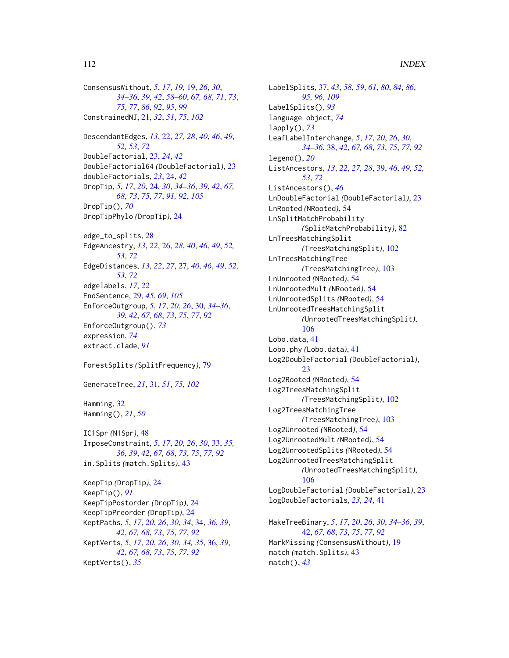ConsensusWithout, *[5](#page-4-0)*, *[17](#page-16-0)*, *[19](#page-18-0)*, [19,](#page-18-0) *[26](#page-25-0)*, *[30](#page-29-0)*, *[34](#page-33-0)[–36](#page-35-0)*, *[39](#page-38-0)*, *[42](#page-41-0)*, *[58–](#page-57-1)[60](#page-59-0)*, *[67,](#page-66-0) [68](#page-67-0)*, *[71](#page-70-0)*, *[73](#page-72-0)*, *[75](#page-74-0)*, *[77](#page-76-0)*, *[86](#page-85-0)*, *[92](#page-91-0)*, *[95](#page-94-1)*, *[99](#page-98-0)* ConstrainedNJ, [21,](#page-20-0) *[32](#page-31-0)*, *[51](#page-50-0)*, *[75](#page-74-0)*, *[102](#page-101-0)*

DescendantEdges, *[13](#page-12-0)*, [22,](#page-21-0) *[27,](#page-26-0) [28](#page-27-0)*, *[40](#page-39-0)*, *[46](#page-45-0)*, *[49](#page-48-0)*, *[52,](#page-51-0) [53](#page-52-0)*, *[72](#page-71-0)* DoubleFactorial, [23,](#page-22-0) *[24](#page-23-0)*, *[42](#page-41-0)* DoubleFactorial64 *(*DoubleFactorial*)*, [23](#page-22-0) doubleFactorials, *[23](#page-22-0)*, [24,](#page-23-0) *[42](#page-41-0)* DropTip, *[5](#page-4-0)*, *[17](#page-16-0)*, *[20](#page-19-0)*, [24,](#page-23-0) *[30](#page-29-0)*, *[34–](#page-33-0)[36](#page-35-0)*, *[39](#page-38-0)*, *[42](#page-41-0)*, *[67,](#page-66-0) [68](#page-67-0)*, *[73](#page-72-0)*, *[75](#page-74-0)*, *[77](#page-76-0)*, *[91,](#page-90-0) [92](#page-91-0)*, *[105](#page-104-0)* DropTip(), *[70](#page-69-0)* DropTipPhylo *(*DropTip*)*, [24](#page-23-0)

edge\_to\_splits, [28](#page-27-0) EdgeAncestry, *[13](#page-12-0)*, *[22](#page-21-0)*, [26,](#page-25-0) *[28](#page-27-0)*, *[40](#page-39-0)*, *[46](#page-45-0)*, *[49](#page-48-0)*, *[52,](#page-51-0) [53](#page-52-0)*, *[72](#page-71-0)* EdgeDistances, *[13](#page-12-0)*, *[22](#page-21-0)*, *[27](#page-26-0)*, [27,](#page-26-0) *[40](#page-39-0)*, *[46](#page-45-0)*, *[49](#page-48-0)*, *[52,](#page-51-0) [53](#page-52-0)*, *[72](#page-71-0)* edgelabels, *[17](#page-16-0)*, *[22](#page-21-0)* EndSentence, [29,](#page-28-0) *[45](#page-44-0)*, *[69](#page-68-0)*, *[105](#page-104-0)* EnforceOutgroup, *[5](#page-4-0)*, *[17](#page-16-0)*, *[20](#page-19-0)*, *[26](#page-25-0)*, [30,](#page-29-0) *[34–](#page-33-0)[36](#page-35-0)*, *[39](#page-38-0)*, *[42](#page-41-0)*, *[67,](#page-66-0) [68](#page-67-0)*, *[73](#page-72-0)*, *[75](#page-74-0)*, *[77](#page-76-0)*, *[92](#page-91-0)* EnforceOutgroup(), *[73](#page-72-0)* expression, *[74](#page-73-0)* extract.clade, *[91](#page-90-0)*

ForestSplits *(*SplitFrequency*)*, [79](#page-78-1)

GenerateTree, *[21](#page-20-0)*, [31,](#page-30-0) *[51](#page-50-0)*, *[75](#page-74-0)*, *[102](#page-101-0)*

Hamming, [32](#page-31-0) Hamming(), *[21](#page-20-0)*, *[50](#page-49-0)*

IC1Spr *(*N1Spr*)*, [48](#page-47-0) ImposeConstraint, *[5](#page-4-0)*, *[17](#page-16-0)*, *[20](#page-19-0)*, *[26](#page-25-0)*, *[30](#page-29-0)*, [33,](#page-32-0) *[35,](#page-34-0) [36](#page-35-0)*, *[39](#page-38-0)*, *[42](#page-41-0)*, *[67,](#page-66-0) [68](#page-67-0)*, *[73](#page-72-0)*, *[75](#page-74-0)*, *[77](#page-76-0)*, *[92](#page-91-0)* in.Splits *(*match.Splits*)*, [43](#page-42-1)

KeepTip *(*DropTip*)*, [24](#page-23-0) KeepTip(), *[91](#page-90-0)* KeepTipPostorder *(*DropTip*)*, [24](#page-23-0) KeepTipPreorder *(*DropTip*)*, [24](#page-23-0) KeptPaths, *[5](#page-4-0)*, *[17](#page-16-0)*, *[20](#page-19-0)*, *[26](#page-25-0)*, *[30](#page-29-0)*, *[34](#page-33-0)*, [34,](#page-33-0) *[36](#page-35-0)*, *[39](#page-38-0)*, *[42](#page-41-0)*, *[67,](#page-66-0) [68](#page-67-0)*, *[73](#page-72-0)*, *[75](#page-74-0)*, *[77](#page-76-0)*, *[92](#page-91-0)* KeptVerts, *[5](#page-4-0)*, *[17](#page-16-0)*, *[20](#page-19-0)*, *[26](#page-25-0)*, *[30](#page-29-0)*, *[34,](#page-33-0) [35](#page-34-0)*, [36,](#page-35-0) *[39](#page-38-0)*, *[42](#page-41-0)*, *[67,](#page-66-0) [68](#page-67-0)*, *[73](#page-72-0)*, *[75](#page-74-0)*, *[77](#page-76-0)*, *[92](#page-91-0)* KeptVerts(), *[35](#page-34-0)*

LabelSplits, [37,](#page-36-1) *[43](#page-42-1)*, *[58,](#page-57-1) [59](#page-58-0)*, *[61](#page-60-1)*, *[80](#page-79-0)*, *[84](#page-83-0)*, *[86](#page-85-0)*, *[95,](#page-94-1) [96](#page-95-0)*, *[109](#page-108-0)* LabelSplits(), *[93](#page-92-1)* language object, *[74](#page-73-0)* lapply(), *[73](#page-72-0)* LeafLabelInterchange, *[5](#page-4-0)*, *[17](#page-16-0)*, *[20](#page-19-0)*, *[26](#page-25-0)*, *[30](#page-29-0)*, *[34](#page-33-0)[–36](#page-35-0)*, [38,](#page-37-0) *[42](#page-41-0)*, *[67,](#page-66-0) [68](#page-67-0)*, *[73](#page-72-0)*, *[75](#page-74-0)*, *[77](#page-76-0)*, *[92](#page-91-0)* legend(), *[20](#page-19-0)* ListAncestors, *[13](#page-12-0)*, *[22](#page-21-0)*, *[27,](#page-26-0) [28](#page-27-0)*, [39,](#page-38-0) *[46](#page-45-0)*, *[49](#page-48-0)*, *[52,](#page-51-0) [53](#page-52-0)*, *[72](#page-71-0)* ListAncestors(), *[46](#page-45-0)* LnDoubleFactorial *(*DoubleFactorial*)*, [23](#page-22-0) LnRooted *(*NRooted*)*, [54](#page-53-0) LnSplitMatchProbability *(*SplitMatchProbability*)*, [82](#page-81-0) LnTreesMatchingSplit *(*TreesMatchingSplit*)*, [102](#page-101-0) LnTreesMatchingTree *(*TreesMatchingTree*)*, [103](#page-102-0) LnUnrooted *(*NRooted*)*, [54](#page-53-0) LnUnrootedMult *(*NRooted*)*, [54](#page-53-0) LnUnrootedSplits *(*NRooted*)*, [54](#page-53-0) LnUnrootedTreesMatchingSplit *(*UnrootedTreesMatchingSplit*)*, [106](#page-105-0) Lobo.data, [41](#page-40-0) Lobo.phy *(*Lobo.data*)*, [41](#page-40-0) Log2DoubleFactorial *(*DoubleFactorial*)*,  $23$ Log2Rooted *(*NRooted*)*, [54](#page-53-0) Log2TreesMatchingSplit *(*TreesMatchingSplit*)*, [102](#page-101-0) Log2TreesMatchingTree *(*TreesMatchingTree*)*, [103](#page-102-0) Log2Unrooted *(*NRooted*)*, [54](#page-53-0) Log2UnrootedMult *(*NRooted*)*, [54](#page-53-0) Log2UnrootedSplits *(*NRooted*)*, [54](#page-53-0) Log2UnrootedTreesMatchingSplit *(*UnrootedTreesMatchingSplit*)*, [106](#page-105-0) LogDoubleFactorial *(*DoubleFactorial*)*, [23](#page-22-0) logDoubleFactorials, *[23,](#page-22-0) [24](#page-23-0)*, [41](#page-40-0) MakeTreeBinary, *[5](#page-4-0)*, *[17](#page-16-0)*, *[20](#page-19-0)*, *[26](#page-25-0)*, *[30](#page-29-0)*, *[34](#page-33-0)[–36](#page-35-0)*, *[39](#page-38-0)*, [42,](#page-41-0) *[67,](#page-66-0) [68](#page-67-0)*, *[73](#page-72-0)*, *[75](#page-74-0)*, *[77](#page-76-0)*, *[92](#page-91-0)* MarkMissing *(*ConsensusWithout*)*, [19](#page-18-0) match *(*match.Splits*)*, [43](#page-42-1) match(), *[43](#page-42-1)*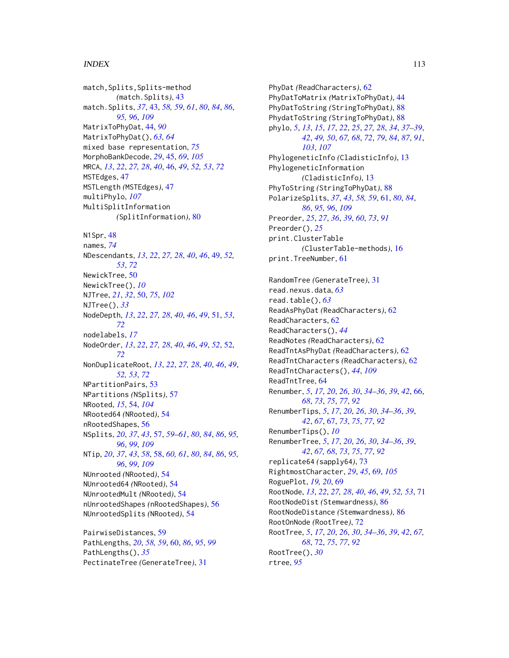### INDEX 113

match,Splits,Splits-method *(*match.Splits*)*, [43](#page-42-1) match.Splits, *[37](#page-36-1)*, [43,](#page-42-1) *[58,](#page-57-1) [59](#page-58-0)*, *[61](#page-60-1)*, *[80](#page-79-0)*, *[84](#page-83-0)*, *[86](#page-85-0)*, *[95,](#page-94-1) [96](#page-95-0)*, *[109](#page-108-0)* MatrixToPhyDat, [44,](#page-43-0) *[90](#page-89-0)* MatrixToPhyDat(), *[63,](#page-62-0) [64](#page-63-0)* mixed base representation, *[75](#page-74-0)* MorphoBankDecode, *[29](#page-28-0)*, [45,](#page-44-0) *[69](#page-68-0)*, *[105](#page-104-0)* MRCA, *[13](#page-12-0)*, *[22](#page-21-0)*, *[27,](#page-26-0) [28](#page-27-0)*, *[40](#page-39-0)*, [46,](#page-45-0) *[49](#page-48-0)*, *[52,](#page-51-0) [53](#page-52-0)*, *[72](#page-71-0)* MSTEdges, [47](#page-46-0) MSTLength *(*MSTEdges*)*, [47](#page-46-0) multiPhylo, *[107](#page-106-0)* MultiSplitInformation *(*SplitInformation*)*, [80](#page-79-0) N1Spr, [48](#page-47-0) names, *[74](#page-73-0)* NDescendants, *[13](#page-12-0)*, *[22](#page-21-0)*, *[27,](#page-26-0) [28](#page-27-0)*, *[40](#page-39-0)*, *[46](#page-45-0)*, [49,](#page-48-0) *[52,](#page-51-0) [53](#page-52-0)*, *[72](#page-71-0)* NewickTree, [50](#page-49-0) NewickTree(), *[10](#page-9-0)* NJTree, *[21](#page-20-0)*, *[32](#page-31-0)*, [50,](#page-49-0) *[75](#page-74-0)*, *[102](#page-101-0)* NJTree(), *[33](#page-32-0)* NodeDepth, *[13](#page-12-0)*, *[22](#page-21-0)*, *[27,](#page-26-0) [28](#page-27-0)*, *[40](#page-39-0)*, *[46](#page-45-0)*, *[49](#page-48-0)*, [51,](#page-50-0) *[53](#page-52-0)*, *[72](#page-71-0)* nodelabels, *[17](#page-16-0)* NodeOrder, *[13](#page-12-0)*, *[22](#page-21-0)*, *[27,](#page-26-0) [28](#page-27-0)*, *[40](#page-39-0)*, *[46](#page-45-0)*, *[49](#page-48-0)*, *[52](#page-51-0)*, [52,](#page-51-0) *[72](#page-71-0)* NonDuplicateRoot, *[13](#page-12-0)*, *[22](#page-21-0)*, *[27,](#page-26-0) [28](#page-27-0)*, *[40](#page-39-0)*, *[46](#page-45-0)*, *[49](#page-48-0)*, *[52,](#page-51-0) [53](#page-52-0)*, *[72](#page-71-0)* NPartitionPairs, [53](#page-52-0) NPartitions *(*NSplits*)*, [57](#page-56-1) NRooted, *[15](#page-14-0)*, [54,](#page-53-0) *[104](#page-103-0)* NRooted64 *(*NRooted*)*, [54](#page-53-0) nRootedShapes, [56](#page-55-0) NSplits, *[20](#page-19-0)*, *[37](#page-36-1)*, *[43](#page-42-1)*, [57,](#page-56-1) *[59–](#page-58-0)[61](#page-60-1)*, *[80](#page-79-0)*, *[84](#page-83-0)*, *[86](#page-85-0)*, *[95,](#page-94-1) [96](#page-95-0)*, *[99](#page-98-0)*, *[109](#page-108-0)* NTip, *[20](#page-19-0)*, *[37](#page-36-1)*, *[43](#page-42-1)*, *[58](#page-57-1)*, [58,](#page-57-1) *[60,](#page-59-0) [61](#page-60-1)*, *[80](#page-79-0)*, *[84](#page-83-0)*, *[86](#page-85-0)*, *[95,](#page-94-1) [96](#page-95-0)*, *[99](#page-98-0)*, *[109](#page-108-0)* NUnrooted *(*NRooted*)*, [54](#page-53-0) NUnrooted64 *(*NRooted*)*, [54](#page-53-0) NUnrootedMult *(*NRooted*)*, [54](#page-53-0) nUnrootedShapes *(*nRootedShapes*)*, [56](#page-55-0) NUnrootedSplits *(*NRooted*)*, [54](#page-53-0)

PairwiseDistances, [59](#page-58-0) PathLengths, *[20](#page-19-0)*, *[58,](#page-57-1) [59](#page-58-0)*, [60,](#page-59-0) *[86](#page-85-0)*, *[95](#page-94-1)*, *[99](#page-98-0)* PathLengths(), *[35](#page-34-0)* PectinateTree *(*GenerateTree*)*, [31](#page-30-0)

PhyDat *(*ReadCharacters*)*, [62](#page-61-1) PhyDatToMatrix *(*MatrixToPhyDat*)*, [44](#page-43-0) PhyDatToString *(*StringToPhyDat*)*, [88](#page-87-0) PhydatToString *(*StringToPhyDat*)*, [88](#page-87-0) phylo, *[5](#page-4-0)*, *[13](#page-12-0)*, *[15](#page-14-0)*, *[17](#page-16-0)*, *[22](#page-21-0)*, *[25](#page-24-0)*, *[27,](#page-26-0) [28](#page-27-0)*, *[34](#page-33-0)*, *[37](#page-36-1)[–39](#page-38-0)*, *[42](#page-41-0)*, *[49,](#page-48-0) [50](#page-49-0)*, *[67,](#page-66-0) [68](#page-67-0)*, *[72](#page-71-0)*, *[79](#page-78-1)*, *[84](#page-83-0)*, *[87](#page-86-0)*, *[91](#page-90-0)*, *[103](#page-102-0)*, *[107](#page-106-0)* PhylogeneticInfo *(*CladisticInfo*)*, [13](#page-12-0) PhylogeneticInformation *(*CladisticInfo*)*, [13](#page-12-0) PhyToString *(*StringToPhyDat*)*, [88](#page-87-0) PolarizeSplits, *[37](#page-36-1)*, *[43](#page-42-1)*, *[58,](#page-57-1) [59](#page-58-0)*, [61,](#page-60-1) *[80](#page-79-0)*, *[84](#page-83-0)*, *[86](#page-85-0)*, *[95,](#page-94-1) [96](#page-95-0)*, *[109](#page-108-0)* Preorder, *[25](#page-24-0)*, *[27](#page-26-0)*, *[36](#page-35-0)*, *[39](#page-38-0)*, *[60](#page-59-0)*, *[73](#page-72-0)*, *[91](#page-90-0)* Preorder(), *[25](#page-24-0)* print.ClusterTable *(*ClusterTable-methods*)*, [16](#page-15-0) print.TreeNumber, [61](#page-60-1)

RandomTree *(*GenerateTree*)*, [31](#page-30-0) read.nexus.data, *[63](#page-62-0)* read.table(), *[63](#page-62-0)* ReadAsPhyDat *(*ReadCharacters*)*, [62](#page-61-1) ReadCharacters, [62](#page-61-1) ReadCharacters(), *[44](#page-43-0)* ReadNotes *(*ReadCharacters*)*, [62](#page-61-1) ReadTntAsPhyDat *(*ReadCharacters*)*, [62](#page-61-1) ReadTntCharacters *(*ReadCharacters*)*, [62](#page-61-1) ReadTntCharacters(), *[44](#page-43-0)*, *[109](#page-108-0)* ReadTntTree, [64](#page-63-0) Renumber, *[5](#page-4-0)*, *[17](#page-16-0)*, *[20](#page-19-0)*, *[26](#page-25-0)*, *[30](#page-29-0)*, *[34](#page-33-0)[–36](#page-35-0)*, *[39](#page-38-0)*, *[42](#page-41-0)*, [66,](#page-65-0) *[68](#page-67-0)*, *[73](#page-72-0)*, *[75](#page-74-0)*, *[77](#page-76-0)*, *[92](#page-91-0)* RenumberTips, *[5](#page-4-0)*, *[17](#page-16-0)*, *[20](#page-19-0)*, *[26](#page-25-0)*, *[30](#page-29-0)*, *[34](#page-33-0)[–36](#page-35-0)*, *[39](#page-38-0)*, *[42](#page-41-0)*, *[67](#page-66-0)*, [67,](#page-66-0) *[73](#page-72-0)*, *[75](#page-74-0)*, *[77](#page-76-0)*, *[92](#page-91-0)* RenumberTips(), *[10](#page-9-0)* RenumberTree, *[5](#page-4-0)*, *[17](#page-16-0)*, *[20](#page-19-0)*, *[26](#page-25-0)*, *[30](#page-29-0)*, *[34](#page-33-0)[–36](#page-35-0)*, *[39](#page-38-0)*, *[42](#page-41-0)*, *[67,](#page-66-0) [68](#page-67-0)*, *[73](#page-72-0)*, *[75](#page-74-0)*, *[77](#page-76-0)*, *[92](#page-91-0)* replicate64 *(*sapply64*)*, [73](#page-72-0) RightmostCharacter, *[29](#page-28-0)*, *[45](#page-44-0)*, [69,](#page-68-0) *[105](#page-104-0)* RoguePlot, *[19,](#page-18-0) [20](#page-19-0)*, [69](#page-68-0) RootNode, *[13](#page-12-0)*, *[22](#page-21-0)*, *[27,](#page-26-0) [28](#page-27-0)*, *[40](#page-39-0)*, *[46](#page-45-0)*, *[49](#page-48-0)*, *[52,](#page-51-0) [53](#page-52-0)*, [71](#page-70-0) RootNodeDist *(*Stemwardness*)*, [86](#page-85-0) RootNodeDistance *(*Stemwardness*)*, [86](#page-85-0) RootOnNode *(*RootTree*)*, [72](#page-71-0) RootTree, *[5](#page-4-0)*, *[17](#page-16-0)*, *[20](#page-19-0)*, *[26](#page-25-0)*, *[30](#page-29-0)*, *[34](#page-33-0)[–36](#page-35-0)*, *[39](#page-38-0)*, *[42](#page-41-0)*, *[67,](#page-66-0) [68](#page-67-0)*, [72,](#page-71-0) *[75](#page-74-0)*, *[77](#page-76-0)*, *[92](#page-91-0)* RootTree(), *[30](#page-29-0)* rtree, *[95](#page-94-1)*